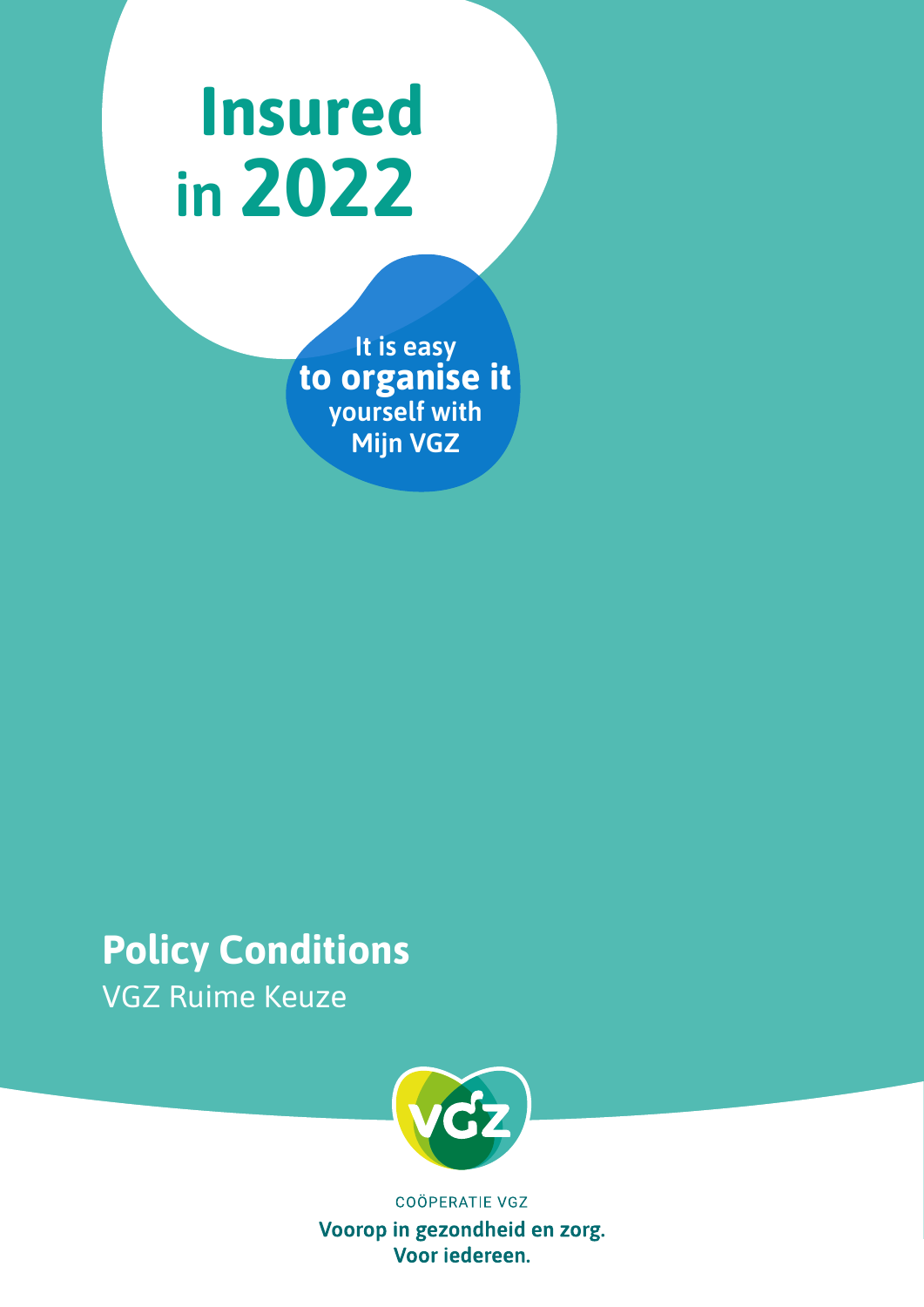# **Insured in 2022**

**It is easy to organise it yourself with Mijn VGZ**

## **Policy Conditions** VGZ Ruime Keuze



**COÖPERATIE VGZ** Voorop in gezondheid en zorg. Voor iedereen.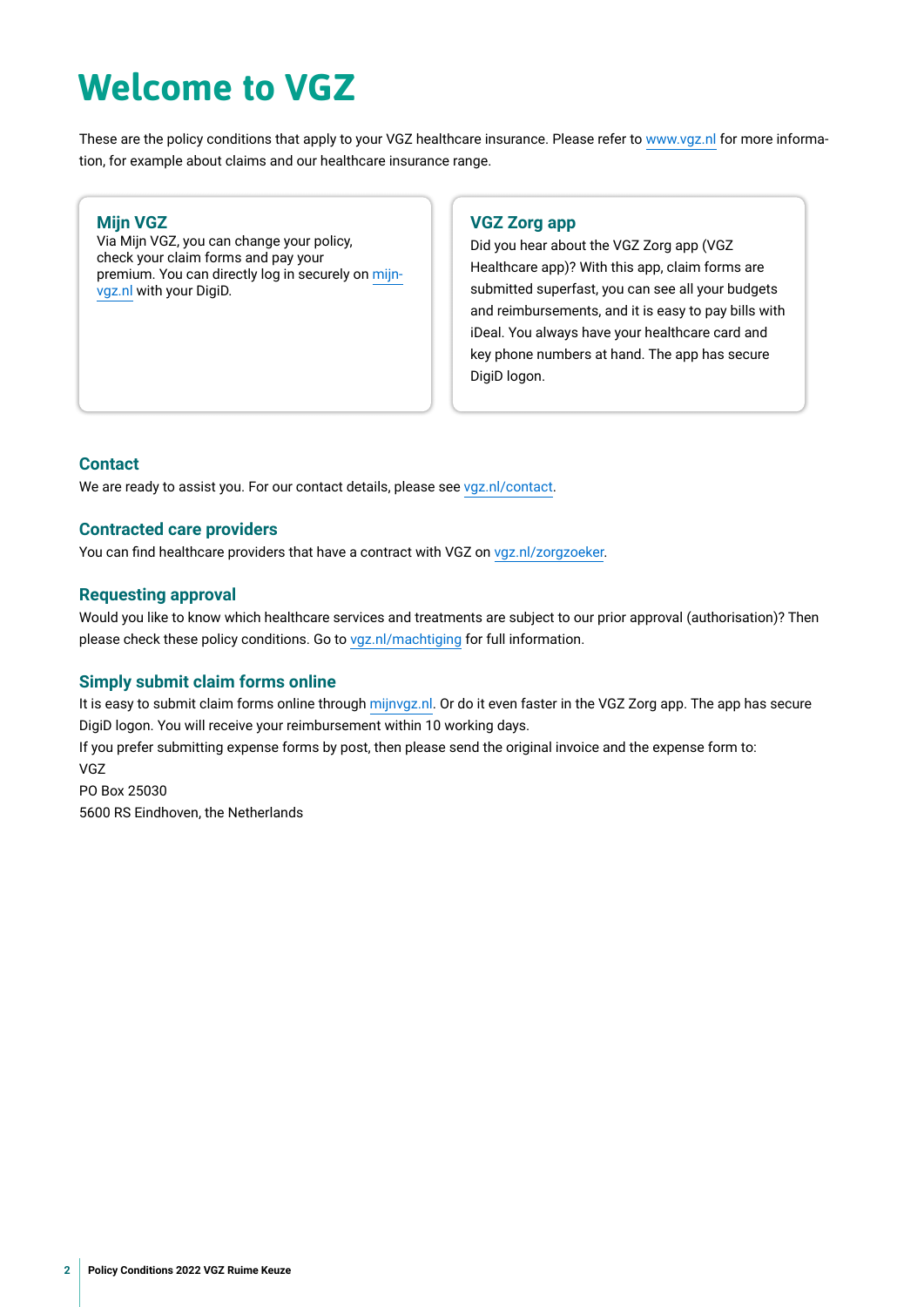## **Welcome to VGZ**

These are the policy conditions that apply to your VGZ healthcare insurance. Please refer to [www.vgz.nl](https://www.vgz.nl) for more information, for example about claims and our healthcare insurance range.

#### **Mijn VGZ**

Via Mijn VGZ, you can change your policy, check your claim forms and pay your premium. You can directly log in securely on [mijn](https://www.vgz.nl/inloggen)[vgz.nl](https://www.vgz.nl/inloggen) with your DigiD.

### **VGZ Zorg app**

Did you hear about the VGZ Zorg app (VGZ Healthcare app)? With this app, claim forms are submitted superfast, you can see all your budgets [and reimbursements, and it is easy to pay bills with](https://www.nza.nl)  iDeal. You always have your healthcare card and key phone numbers at hand. The app has secure DigiD logon.

#### **Contact**

We are ready to assist you. For our contact details, please see [vgz.nl/contact](https://www.vgz.nl/contact).

#### **Contracted care providers**

You can find healthcare providers that have a contract with VGZ on [vgz.nl/zorgzoeker](https://www.vgz.nl/zorgzoeker).

#### **Requesting approval**

Would you like to know which healthcare services and treatments are subject to our prior approval (authorisation)? Then please check these policy conditions. Go to [vgz.nl/machtiging](http://vgz.nl/machtiging) for full information.

#### **Simply submit claim forms online**

It is easy to submit claim forms online through [mijnvgz.nl.](https://www.vgz.nl/inloggen) Or do it even faster in the VGZ Zorg app. The app has secure DigiD logon. You will receive your reimbursement within 10 working days. If you prefer submitting expense forms by post, then please send the original invoice and the expense form to: VGZ PO Box 25030 5600 RS Eindhoven, the Netherlands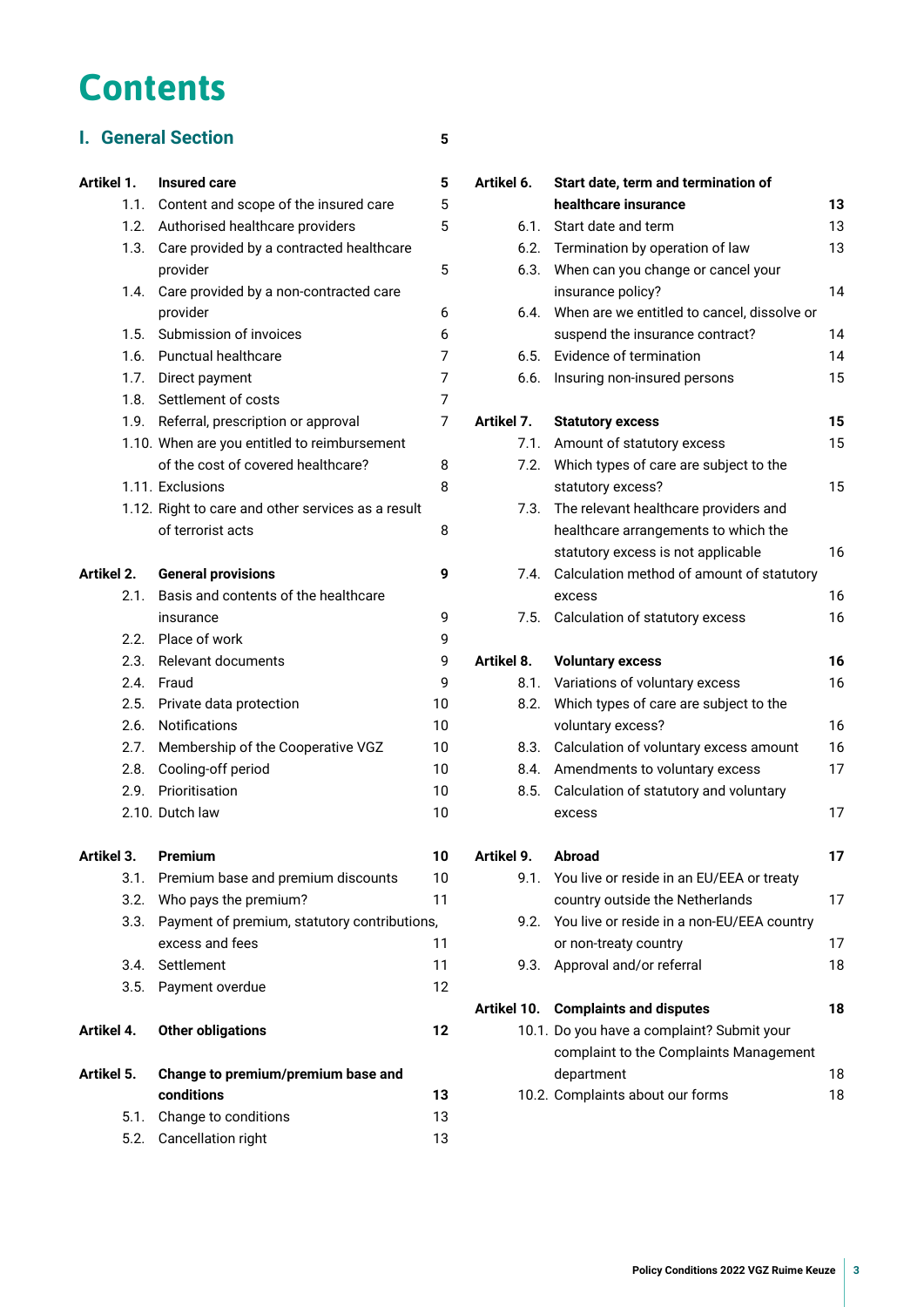## **Contents**

## **I. [General Section](#page-4-0) 5**

### **Artikel 1. [Insured care](#page-4-0) 5**

|            |      |                                                    | v  |
|------------|------|----------------------------------------------------|----|
|            |      | 1.1. Content and scope of the insured care         | 5  |
|            | 1.2. | Authorised healthcare providers                    | 5  |
|            | 1.3. | Care provided by a contracted healthcare           |    |
|            |      | provider                                           | 5  |
|            | 1.4. | Care provided by a non-contracted care             |    |
|            |      | provider                                           | 6  |
|            | 1.5. | Submission of invoices                             | 6  |
|            | 1.6. | <b>Punctual healthcare</b>                         | 7  |
|            | 1.7. | Direct payment                                     | 7  |
|            | 1.8. | Settlement of costs                                | 7  |
|            | 1.9. | Referral, prescription or approval                 | 7  |
|            |      | 1.10. When are you entitled to reimbursement       |    |
|            |      | of the cost of covered healthcare?                 | 8  |
|            |      | 1.11. Exclusions                                   | 8  |
|            |      | 1.12. Right to care and other services as a result |    |
|            |      | of terrorist acts                                  | 8  |
| Artikel 2. |      | <b>General provisions</b>                          | 9  |
|            | 2.1. | Basis and contents of the healthcare               |    |
|            |      | insurance                                          | 9  |
|            |      | 2.2. Place of work                                 | 9  |
|            | 2.3. | Relevant documents                                 | 9  |
|            | 2.4. | Fraud                                              | 9  |
|            |      | 2.5. Private data protection                       | 10 |
|            | 2.6. | Notifications                                      | 10 |
|            | 2.7. | Membership of the Cooperative VGZ                  | 10 |
|            | 2.8. | Cooling-off period                                 | 10 |
|            | 2.9. | Prioritisation                                     | 10 |
|            |      | 2.10. Dutch law                                    | 10 |
| Artikel 3. |      | Premium                                            | 10 |
|            |      | 3.1. Premium base and premium discounts            | 10 |
|            | 3.2. | Who pays the premium?                              | 11 |
|            | 3.3. | Payment of premium, statutory contributions,       |    |
|            |      | excess and fees                                    | 11 |
|            | 3.4. | Settlement                                         | 11 |
|            | 3.5. | Payment overdue                                    | 12 |
| Artikel 4. |      | <b>Other obligations</b>                           | 12 |
|            |      |                                                    |    |

| Artikel 5. Change to premium/premium base and |    |  |
|-----------------------------------------------|----|--|
| conditions                                    | 13 |  |
| 5.1. Change to conditions                     | 13 |  |
| 5.2. Cancellation right                       | 13 |  |

| Artikel 6.  |      | Start date, term and termination of            |    |  |  |
|-------------|------|------------------------------------------------|----|--|--|
|             |      | healthcare insurance                           | 13 |  |  |
|             | 6.1. | Start date and term                            | 13 |  |  |
|             | 6.2. | Termination by operation of law                | 13 |  |  |
|             | 6.3. | When can you change or cancel your             |    |  |  |
|             |      | insurance policy?                              | 14 |  |  |
|             | 6.4. | When are we entitled to cancel, dissolve or    |    |  |  |
|             |      | suspend the insurance contract?                | 14 |  |  |
|             | 6.5. | Evidence of termination                        | 14 |  |  |
|             | 6.6. | Insuring non-insured persons                   | 15 |  |  |
| Artikel 7.  |      | <b>Statutory excess</b>                        | 15 |  |  |
|             | 7.1. | Amount of statutory excess                     | 15 |  |  |
|             | 7.2. | Which types of care are subject to the         |    |  |  |
|             |      | statutory excess?                              | 15 |  |  |
|             | 7.3. | The relevant healthcare providers and          |    |  |  |
|             |      | healthcare arrangements to which the           |    |  |  |
|             |      | statutory excess is not applicable             | 16 |  |  |
|             | 7.4. | Calculation method of amount of statutory      |    |  |  |
|             |      | excess                                         | 16 |  |  |
|             | 7.5. | Calculation of statutory excess                | 16 |  |  |
|             |      |                                                |    |  |  |
| Artikel 8.  |      | <b>Voluntary excess</b>                        | 16 |  |  |
|             | 8.1. | Variations of voluntary excess                 | 16 |  |  |
|             | 8.2. | Which types of care are subject to the         |    |  |  |
|             |      | voluntary excess?                              | 16 |  |  |
|             | 8.3. | Calculation of voluntary excess amount         | 16 |  |  |
|             | 8.4. | Amendments to voluntary excess                 | 17 |  |  |
|             | 8.5. | Calculation of statutory and voluntary         |    |  |  |
|             |      | excess                                         | 17 |  |  |
| Artikel 9.  |      | Abroad                                         | 17 |  |  |
|             | 9.1. | You live or reside in an EU/EEA or treaty      |    |  |  |
|             |      | country outside the Netherlands                | 17 |  |  |
|             | 9.2. | You live or reside in a non-EU/EEA country     |    |  |  |
|             |      | or non-treaty country                          | 17 |  |  |
|             | 9.3. | Approval and/or referral                       | 18 |  |  |
| Artikel 10. |      | <b>Complaints and disputes</b>                 | 18 |  |  |
|             |      | 10.1. Do you have a complaint? Submit your     |    |  |  |
|             |      | complaint to the Complaints Management         |    |  |  |
|             |      | department<br>10.2. Complaints about our forms | 18 |  |  |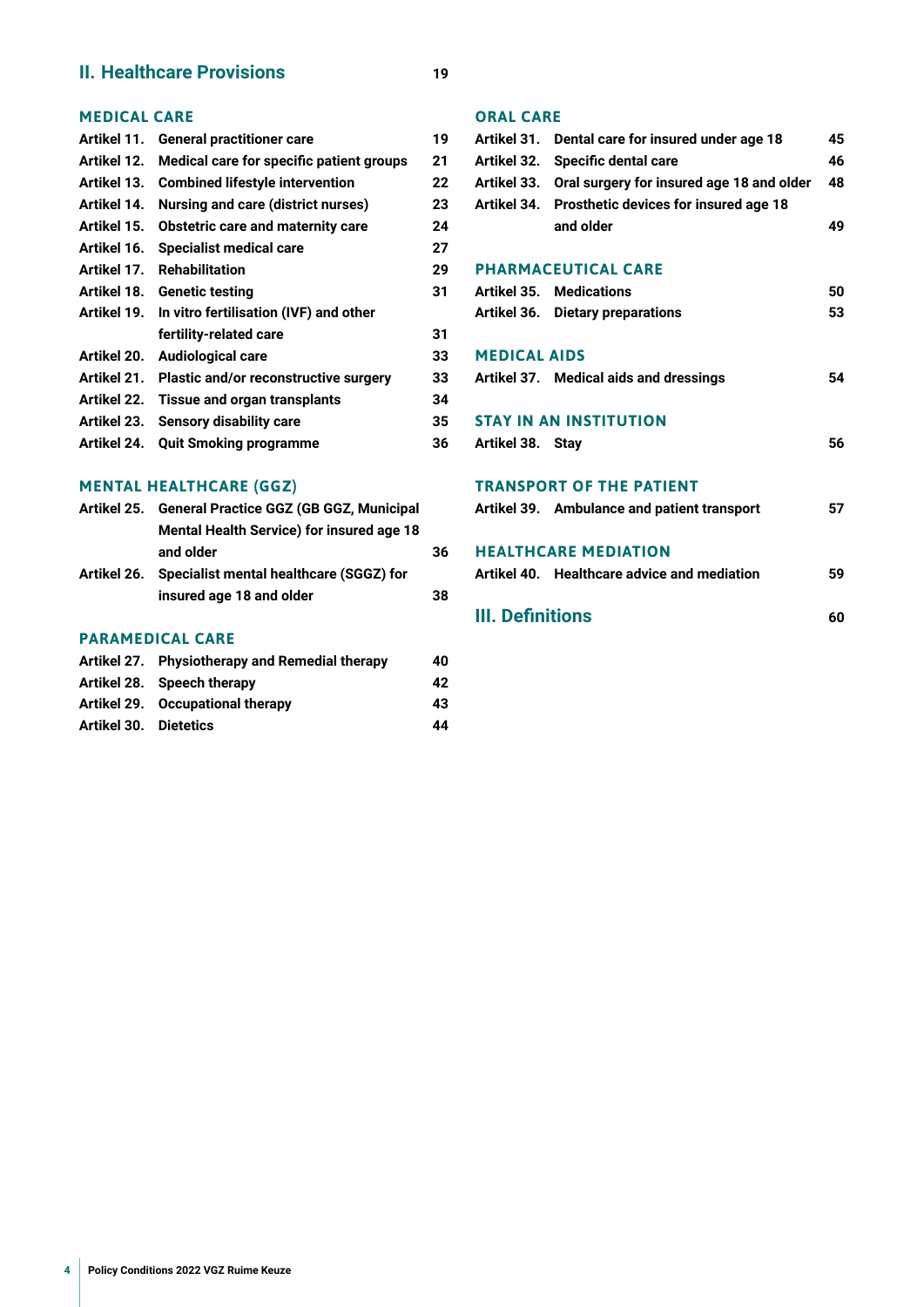### **II. [Healthcare Provisions](#page-18-0) 19**

### **[MEDICAL CARE](#page-18-0)**

|             | Artikel 11. General practitioner care             | 19 |
|-------------|---------------------------------------------------|----|
| Artikel 12. | Medical care for specific patient groups          | 21 |
| Artikel 13. | <b>Combined lifestyle intervention</b>            | 22 |
| Artikel 14. | Nursing and care (district nurses)                | 23 |
| Artikel 15. | Obstetric care and maternity care                 | 24 |
| Artikel 16. | <b>Specialist medical care</b>                    | 27 |
| Artikel 17. | <b>Rehabilitation</b>                             | 29 |
|             | Artikel 18. Genetic testing                       | 31 |
| Artikel 19. | In vitro fertilisation (IVF) and other            |    |
|             | fertility-related care                            | 31 |
|             | Artikel 20. Audiological care                     | 33 |
|             | Artikel 21. Plastic and/or reconstructive surgery | 33 |
| Artikel 22. | <b>Tissue and organ transplants</b>               | 34 |
| Artikel 23. | <b>Sensory disability care</b>                    | 35 |
| Artikel 24. | <b>Quit Smoking programme</b>                     | 36 |

## **[MENTAL HEALTHCARE \(GGZ\)](#page-35-0)**

| Artikel 25. General Practice GGZ (GB GGZ, Municipal |    |  |
|-----------------------------------------------------|----|--|
| <b>Mental Health Service) for insured age 18</b>    |    |  |
| and older                                           | 36 |  |
| Artikel 26. Specialist mental healthcare (SGGZ) for |    |  |
| insured age 18 and older                            | 38 |  |
|                                                     |    |  |

### **[PARAMEDICAL CARE](#page-39-0)**

|                              | Artikel 27. Physiotherapy and Remedial therapy | 40 |
|------------------------------|------------------------------------------------|----|
|                              | Artikel 28. Speech therapy                     | 42 |
|                              | Artikel 29. Occupational therapy               | 43 |
| <b>Artikel 30. Dietetics</b> |                                                | 44 |

#### **[ORAL CARE](#page-44-0)**

|                     | Artikel 31. Dental care for insured under age 18 | 45 |
|---------------------|--------------------------------------------------|----|
| Artikel 32.         | Specific dental care                             | 46 |
| Artikel 33.         | Oral surgery for insured age 18 and older        | 48 |
| Artikel 34.         | Prosthetic devices for insured age 18            |    |
|                     | and older                                        | 49 |
|                     |                                                  |    |
|                     | <b>PHARMACEUTICAL CARE</b>                       |    |
|                     | <b>Artikel 35. Medications</b>                   | 50 |
|                     | Artikel 36. Dietary preparations                 | 53 |
| <b>MEDICAL AIDS</b> |                                                  |    |
|                     | Artikel 37. Medical aids and dressings           | 54 |
|                     |                                                  |    |
|                     | <b>STAY IN AN INSTITUTION</b>                    |    |
| Artikel 38. Stay    |                                                  | 56 |
|                     | <b>TRANSPORT OF THE PATIENT</b>                  |    |
|                     |                                                  | 57 |
|                     | Artikel 39. Ambulance and patient transport      |    |
|                     | <b>HEALTHCARE MEDIATION</b>                      |    |
|                     | Artikel 40. Healthcare advice and mediation      | 59 |
|                     |                                                  |    |

**[III. Defnitions](#page-59-0) 60**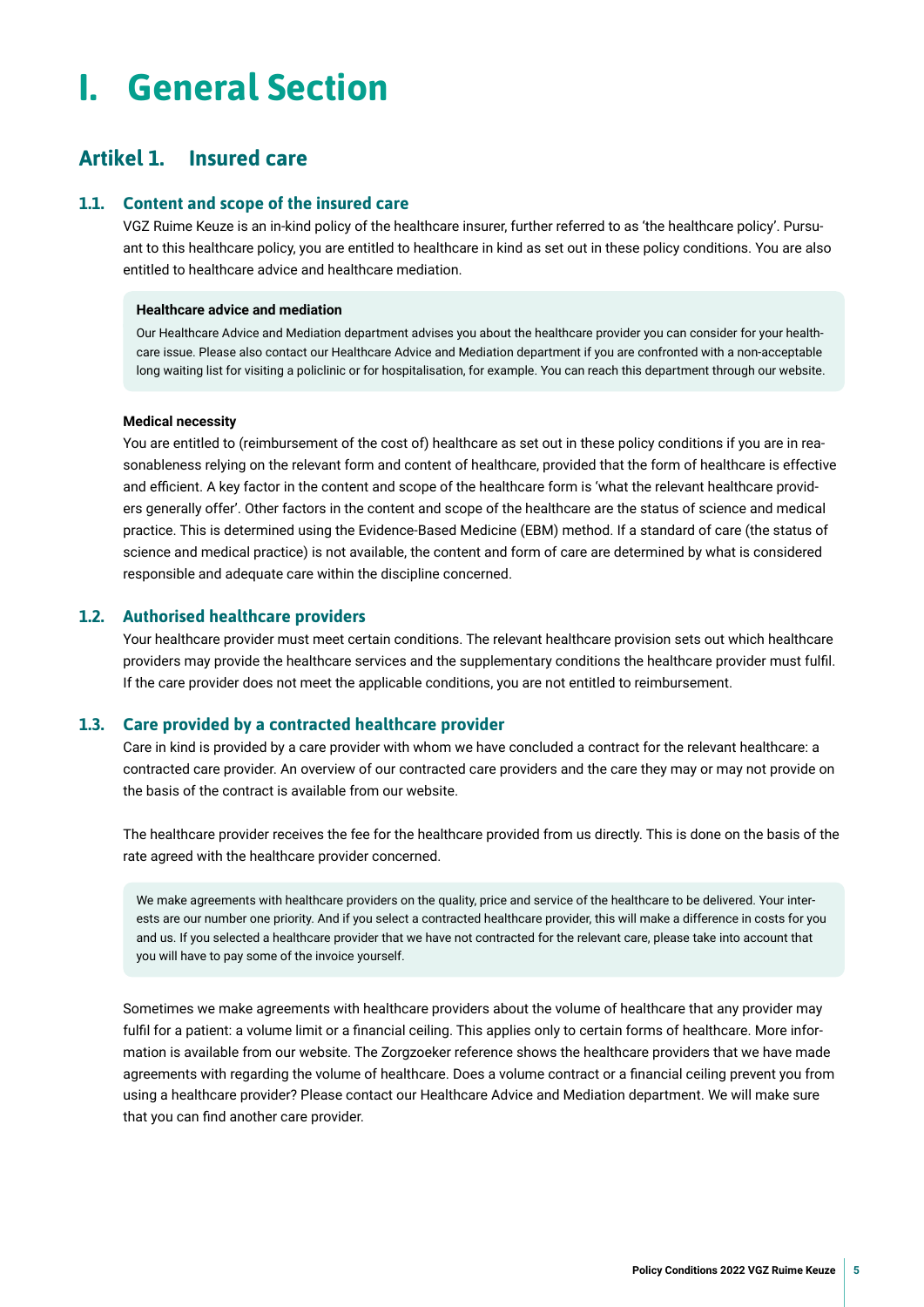## <span id="page-4-0"></span>**I. General Section**

## **Artikel 1. Insured care**

#### **1.1. Content and scope of the insured care**

VGZ Ruime Keuze is an in-kind policy of the healthcare insurer, further referred to as 'the healthcare policy'. Pursuant to this healthcare policy, you are entitled to healthcare in kind as set out in these policy conditions. You are also entitled to healthcare advice and healthcare mediation.

#### **Healthcare advice and mediation**

Our Healthcare Advice and Mediation department advises you about the healthcare provider you can consider for your healthcare issue. Please also contact our Healthcare Advice and Mediation department if you are confronted with a non-acceptable long waiting list for visiting a policlinic or for hospitalisation, for example. You can reach this department through our website.

#### **Medical necessity**

You are entitled to (reimbursement of the cost of) healthcare as set out in these policy conditions if you are in reasonableness relying on the relevant form and content of healthcare, provided that the form of healthcare is effective and efficient. A key factor in the content and scope of the healthcare form is 'what the relevant healthcare providers generally offer'. Other factors in the content and scope of the healthcare are the status of science and medical practice. This is determined using the Evidence-Based Medicine (EBM) method. If a standard of care (the status of science and medical practice) is not available, the content and form of care are determined by what is considered responsible and adequate care within the discipline concerned.

#### **1.2. Authorised healthcare providers**

Your healthcare provider must meet certain conditions. The relevant healthcare provision sets out which healthcare providers may provide the healthcare services and the supplementary conditions the healthcare provider must fulfl. If the care provider does not meet the applicable conditions, you are not entitled to reimbursement.

#### **1.3. Care provided by a contracted healthcare provider**

Care in kind is provided by a care provider with whom we have concluded a contract for the relevant healthcare: a contracted care provider. An overview of our contracted care providers and the care they may or may not provide on the basis of the contract is available from our website.

The healthcare provider receives the fee for the healthcare provided from us directly. This is done on the basis of the rate agreed with the healthcare provider concerned.

We make agreements with healthcare providers on the quality, price and service of the healthcare to be delivered. Your interests are our number one priority. And if you select a contracted healthcare provider, this will make a difference in costs for you and us. If you selected a healthcare provider that we have not contracted for the relevant care, please take into account that you will have to pay some of the invoice yourself.

Sometimes we make agreements with healthcare providers about the volume of healthcare that any provider may fulfil for a patient: a volume limit or a financial ceiling. This applies only to certain forms of healthcare. More information is available from our website. The Zorgzoeker reference shows the healthcare providers that we have made agreements with regarding the volume of healthcare. Does a volume contract or a fnancial ceiling prevent you from using a healthcare provider? Please contact our Healthcare Advice and Mediation department. We will make sure that you can fnd another care provider.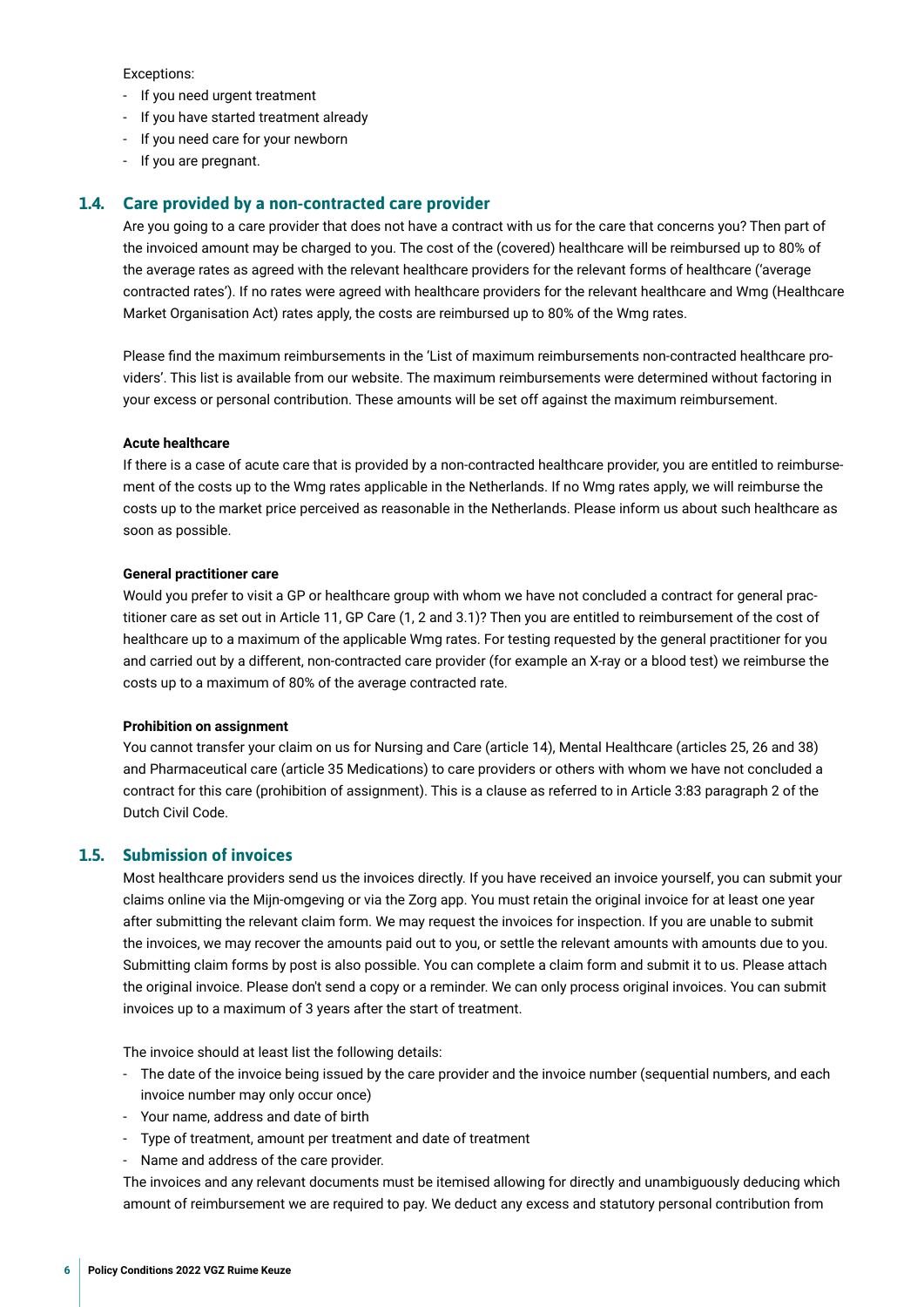<span id="page-5-0"></span>Exceptions:

- If you need urgent treatment
- If you have started treatment already
- If you need care for your newborn
- If you are pregnant.

#### **1.4. Care provided by a non-contracted care provider**

Are you going to a care provider that does not have a contract with us for the care that concerns you? Then part of the invoiced amount may be charged to you. The cost of the (covered) healthcare will be reimbursed up to 80% of the average rates as agreed with the relevant healthcare providers for the relevant forms of healthcare ('average contracted rates'). If no rates were agreed with healthcare providers for the relevant healthcare and Wmg (Healthcare Market Organisation Act) rates apply, the costs are reimbursed up to 80% of the Wmg rates.

Please fnd the maximum reimbursements in the 'List of maximum reimbursements non-contracted healthcare providers'. This list is available from our website. The maximum reimbursements were determined without factoring in your excess or personal contribution. These amounts will be set off against the maximum reimbursement.

#### **Acute healthcare**

If there is a case of acute care that is provided by a non-contracted healthcare provider, you are entitled to reimbursement of the costs up to the Wmg rates applicable in the Netherlands. If no Wmg rates apply, we will reimburse the costs up to the market price perceived as reasonable in the Netherlands. Please inform us about such healthcare as soon as possible.

#### **General practitioner care**

Would you prefer to visit a GP or healthcare group with whom we have not concluded a contract for general practitioner care as set out in Article 11, GP Care (1, 2 and 3.1)? Then you are entitled to reimbursement of the cost of healthcare up to a maximum of the applicable Wmg rates. For testing requested by the general practitioner for you and carried out by a different, non-contracted care provider (for example an X-ray or a blood test) we reimburse the costs up to a maximum of 80% of the average contracted rate.

#### **Prohibition on assignment**

You cannot transfer your claim on us for Nursing and Care (article 14), Mental Healthcare (articles 25, 26 and 38) and Pharmaceutical care (article 35 Medications) to care providers or others with whom we have not concluded a contract for this care (prohibition of assignment). This is a clause as referred to in Article 3:83 paragraph 2 of the Dutch Civil Code.

#### **1.5. Submission of invoices**

Most healthcare providers send us the invoices directly. If you have received an invoice yourself, you can submit your claims online via the Mijn-omgeving or via the Zorg app. You must retain the original invoice for at least one year after submitting the relevant claim form. We may request the invoices for inspection. If you are unable to submit the invoices, we may recover the amounts paid out to you, or settle the relevant amounts with amounts due to you. Submitting claim forms by post is also possible. You can complete a claim form and submit it to us. Please attach the original invoice. Please don't send a copy or a reminder. We can only process original invoices. You can submit invoices up to a maximum of 3 years after the start of treatment.

The invoice should at least list the following details:

- The date of the invoice being issued by the care provider and the invoice number (sequential numbers, and each invoice number may only occur once)
- Your name, address and date of birth
- Type of treatment, amount per treatment and date of treatment
- Name and address of the care provider.

The invoices and any relevant documents must be itemised allowing for directly and unambiguously deducing which amount of reimbursement we are required to pay. We deduct any excess and statutory personal contribution from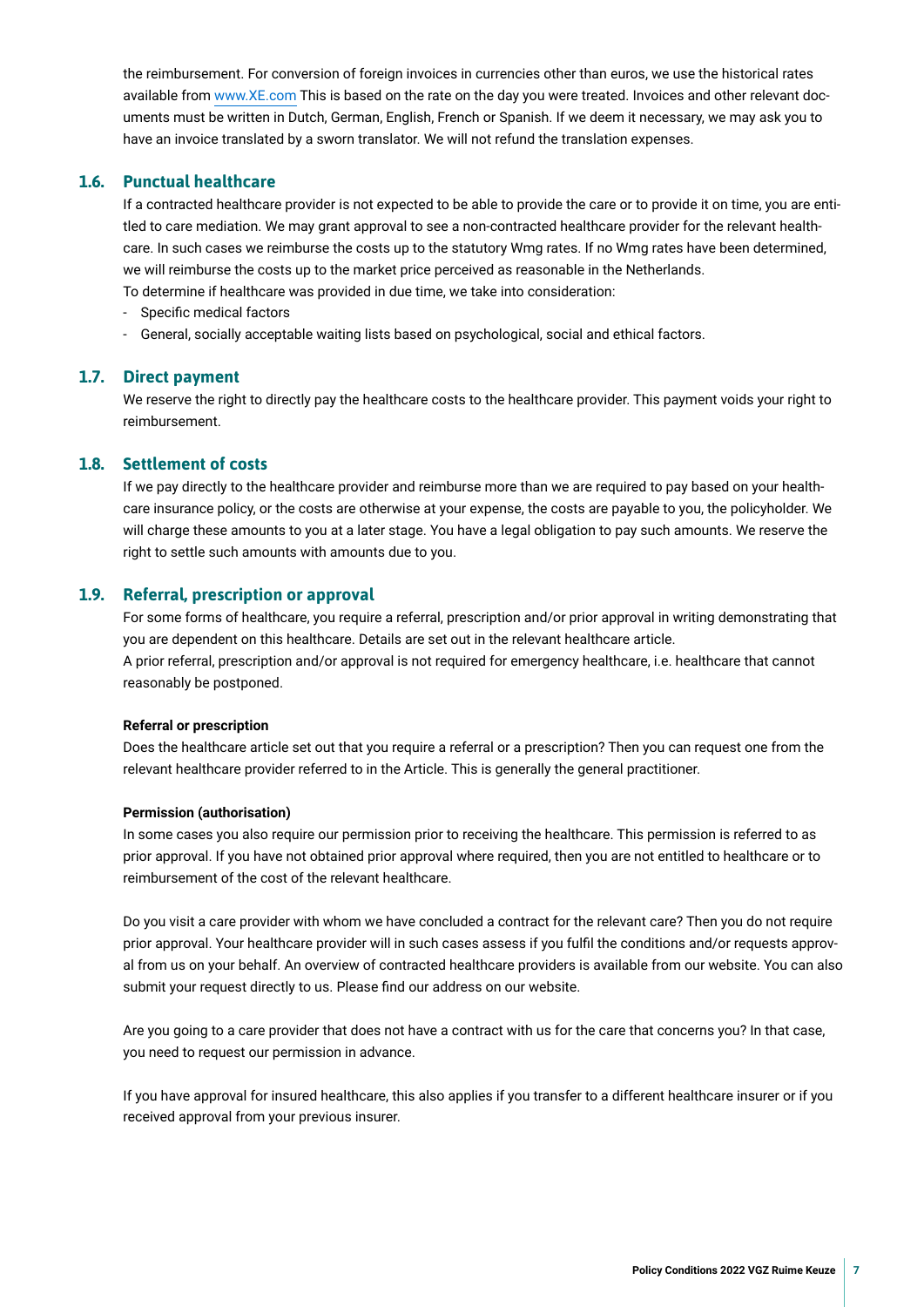<span id="page-6-0"></span>the reimbursement. For conversion of foreign invoices in currencies other than euros, we use the historical rates available from [www.XE.com](https://www.XE.com) This is based on the rate on the day you were treated. Invoices and other relevant documents must be written in Dutch, German, English, French or Spanish. If we deem it necessary, we may ask you to have an invoice translated by a sworn translator. We will not refund the translation expenses.

#### **1.6. Punctual healthcare**

If a contracted healthcare provider is not expected to be able to provide the care or to provide it on time, you are entitled to care mediation. We may grant approval to see a non-contracted healthcare provider for the relevant healthcare. In such cases we reimburse the costs up to the statutory Wmg rates. If no Wmg rates have been determined, we will reimburse the costs up to the market price perceived as reasonable in the Netherlands. To determine if healthcare was provided in due time, we take into consideration:

- Specifc medical factors
- General, socially acceptable waiting lists based on psychological, social and ethical factors.

#### **1.7. Direct payment**

We reserve the right to directly pay the healthcare costs to the healthcare provider. This payment voids your right to reimbursement.

#### **1.8. Settlement of costs**

If we pay directly to the healthcare provider and reimburse more than we are required to pay based on your healthcare insurance policy, or the costs are otherwise at your expense, the costs are payable to you, the policyholder. We will charge these amounts to you at a later stage. You have a legal obligation to pay such amounts. We reserve the right to settle such amounts with amounts due to you.

#### **1.9. Referral, prescription or approval**

For some forms of healthcare, you require a referral, prescription and/or prior approval in writing demonstrating that you are dependent on this healthcare. Details are set out in the relevant healthcare article. A prior referral, prescription and/or approval is not required for emergency healthcare, i.e. healthcare that cannot reasonably be postponed.

#### **Referral or prescription**

Does the healthcare article set out that you require a referral or a prescription? Then you can request one from the relevant healthcare provider referred to in the Article. This is generally the general practitioner.

#### **Permission (authorisation)**

In some cases you also require our permission prior to receiving the healthcare. This permission is referred to as prior approval. If you have not obtained prior approval where required, then you are not entitled to healthcare or to reimbursement of the cost of the relevant healthcare.

Do you visit a care provider with whom we have concluded a contract for the relevant care? Then you do not require prior approval. Your healthcare provider will in such cases assess if you fulfl the conditions and/or requests approval from us on your behalf. An overview of contracted healthcare providers is available from our website. You can also submit your request directly to us. Please fnd our address on our website.

Are you going to a care provider that does not have a contract with us for the care that concerns you? In that case, you need to request our permission in advance.

If you have approval for insured healthcare, this also applies if you transfer to a different healthcare insurer or if you received approval from your previous insurer.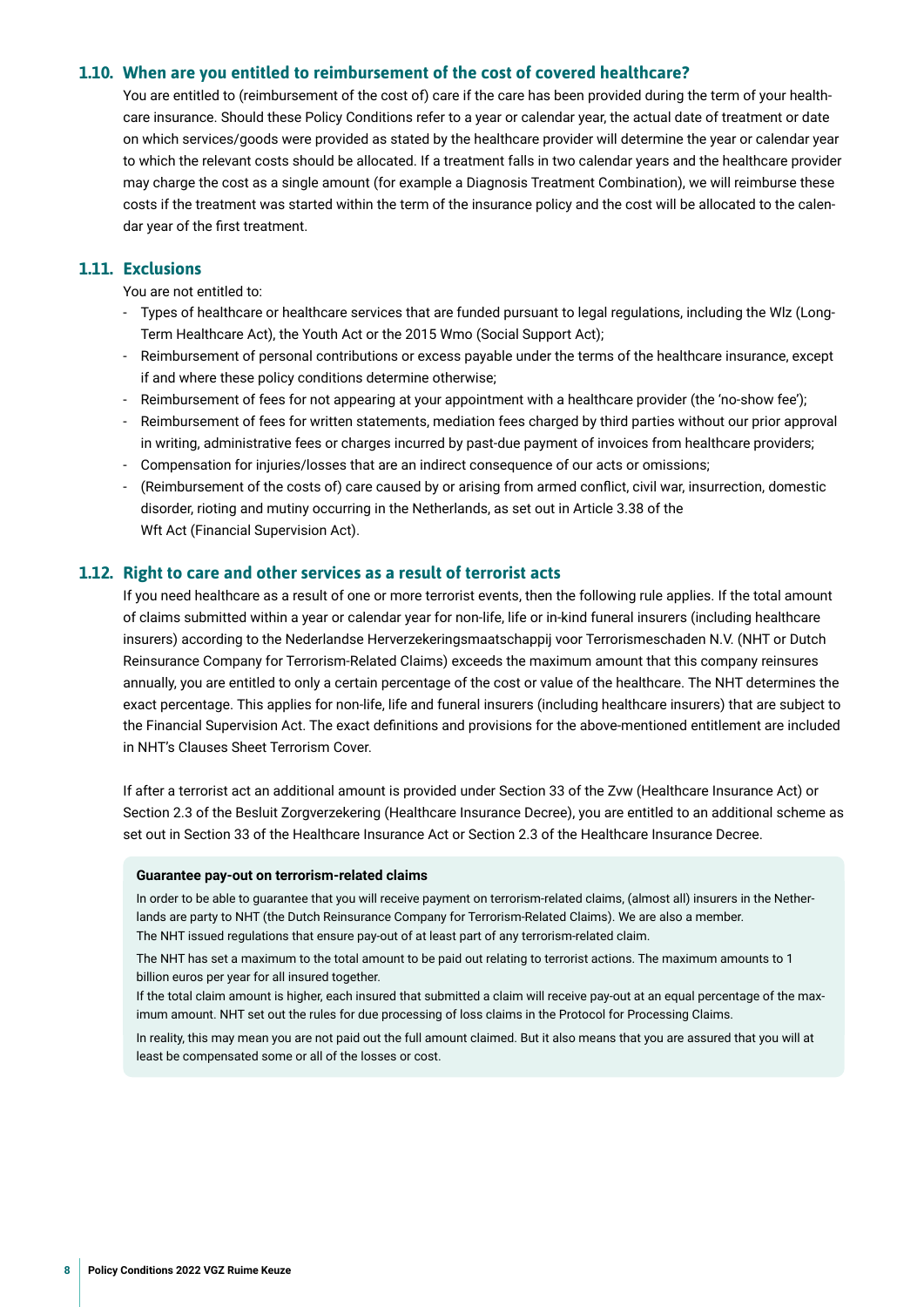#### <span id="page-7-0"></span>**1.10. When are you entitled to reimbursement of the cost of covered healthcare?**

You are entitled to (reimbursement of the cost of) care if the care has been provided during the term of your healthcare insurance. Should these Policy Conditions refer to a year or calendar year, the actual date of treatment or date on which services/goods were provided as stated by the healthcare provider will determine the year or calendar year to which the relevant costs should be allocated. If a treatment falls in two calendar years and the healthcare provider may charge the cost as a single amount (for example a Diagnosis Treatment Combination), we will reimburse these costs if the treatment was started within the term of the insurance policy and the cost will be allocated to the calendar year of the frst treatment.

#### **1.11. Exclusions**

You are not entitled to:

- Types of healthcare or healthcare services that are funded pursuant to legal regulations, including the Wlz (Long-Term Healthcare Act), the Youth Act or the 2015 Wmo (Social Support Act);
- Reimbursement of personal contributions or excess payable under the terms of the healthcare insurance, except if and where these policy conditions determine otherwise;
- Reimbursement of fees for not appearing at your appointment with a healthcare provider (the 'no-show fee');
- Reimbursement of fees for written statements, mediation fees charged by third parties without our prior approval in writing, administrative fees or charges incurred by past-due payment of invoices from healthcare providers;
- Compensation for injuries/losses that are an indirect consequence of our acts or omissions;
- (Reimbursement of the costs of) care caused by or arising from armed conflict, civil war, insurrection, domestic disorder, rioting and mutiny occurring in the Netherlands, as set out in Article 3.38 of the Wft Act (Financial Supervision Act).

#### **1.12. Right to care and other services as a result of terrorist acts**

If you need healthcare as a result of one or more terrorist events, then the following rule applies. If the total amount of claims submitted within a year or calendar year for non-life, life or in-kind funeral insurers (including healthcare insurers) according to the Nederlandse Herverzekeringsmaatschappij voor Terrorismeschaden N.V. (NHT or Dutch Reinsurance Company for Terrorism-Related Claims) exceeds the maximum amount that this company reinsures annually, you are entitled to only a certain percentage of the cost or value of the healthcare. The NHT determines the exact percentage. This applies for non-life, life and funeral insurers (including healthcare insurers) that are subject to the Financial Supervision Act. The exact defnitions and provisions for the above-mentioned entitlement are included in NHT's Clauses Sheet Terrorism Cover.

If after a terrorist act an additional amount is provided under Section 33 of the Zvw (Healthcare Insurance Act) or Section 2.3 of the Besluit Zorgverzekering (Healthcare Insurance Decree), you are entitled to an additional scheme as set out in Section 33 of the Healthcare Insurance Act or Section 2.3 of the Healthcare Insurance Decree.

#### **Guarantee pay-out on terrorism-related claims**

In order to be able to guarantee that you will receive payment on terrorism-related claims, (almost all) insurers in the Netherlands are party to NHT (the Dutch Reinsurance Company for Terrorism-Related Claims). We are also a member. The NHT issued regulations that ensure pay-out of at least part of any terrorism-related claim.

The NHT has set a maximum to the total amount to be paid out relating to terrorist actions. The maximum amounts to 1 billion euros per year for all insured together.

If the total claim amount is higher, each insured that submitted a claim will receive pay-out at an equal percentage of the maximum amount. NHT set out the rules for due processing of loss claims in the Protocol for Processing Claims.

In reality, this may mean you are not paid out the full amount claimed. But it also means that you are assured that you will at least be compensated some or all of the losses or cost.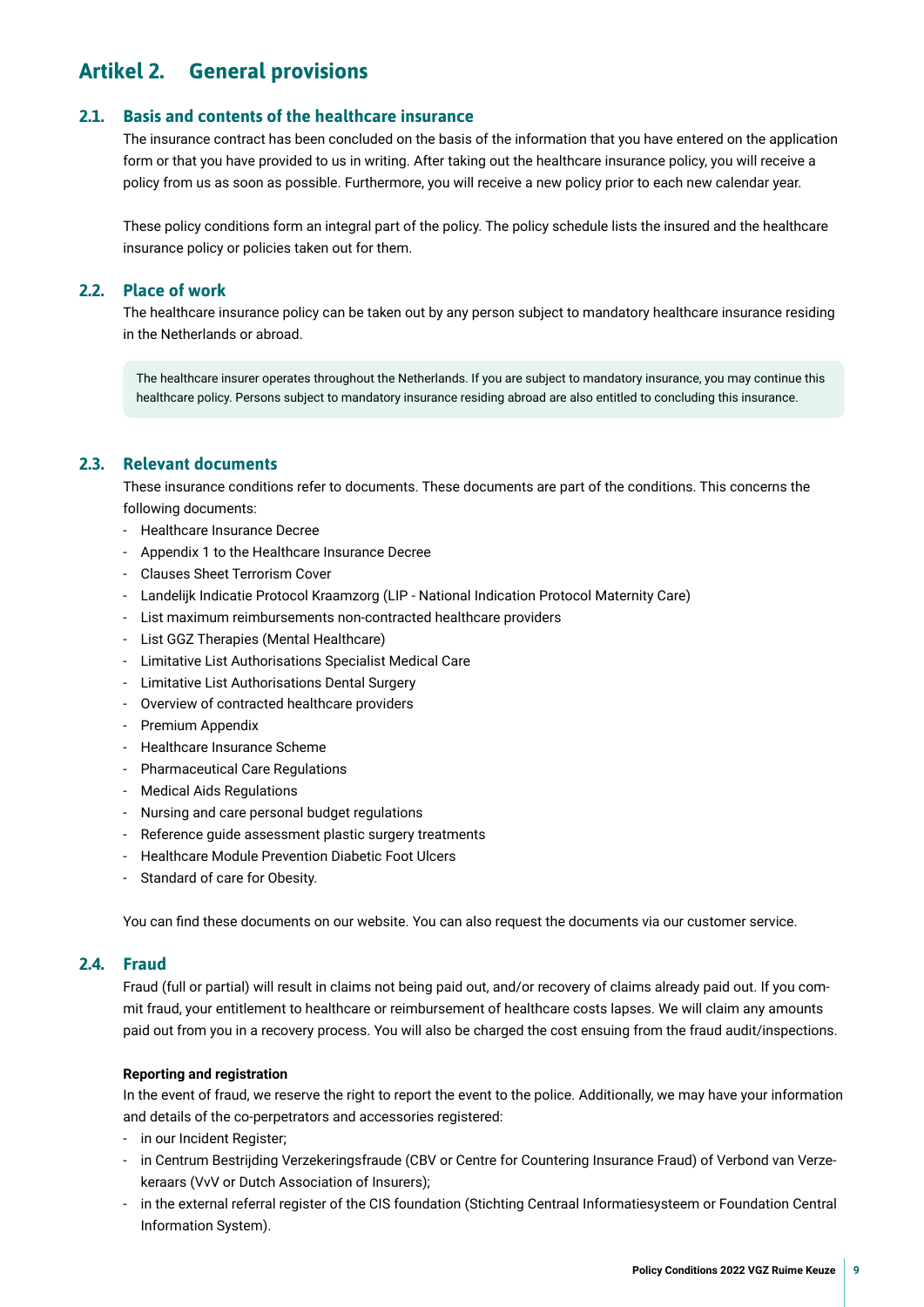## <span id="page-8-0"></span>**Artikel 2. General provisions**

#### **2.1. Basis and contents of the healthcare insurance**

The insurance contract has been concluded on the basis of the information that you have entered on the application form or that you have provided to us in writing. After taking out the healthcare insurance policy, you will receive a policy from us as soon as possible. Furthermore, you will receive a new policy prior to each new calendar year.

These policy conditions form an integral part of the policy. The policy schedule lists the insured and the healthcare insurance policy or policies taken out for them.

#### **2.2. Place of work**

The healthcare insurance policy can be taken out by any person subject to mandatory healthcare insurance residing in the Netherlands or abroad.

The healthcare insurer operates throughout the Netherlands. If you are subject to mandatory insurance, you may continue this healthcare policy. Persons subject to mandatory insurance residing abroad are also entitled to concluding this insurance.

#### **2.3. Relevant documents**

These insurance conditions refer to documents. These documents are part of the conditions. This concerns the following documents:

- Healthcare Insurance Decree
- Appendix 1 to the Healthcare Insurance Decree
- Clauses Sheet Terrorism Cover
- Landelijk Indicatie Protocol Kraamzorg (LIP National Indication Protocol Maternity Care)
- List maximum reimbursements non-contracted healthcare providers
- List GGZ Therapies (Mental Healthcare)
- Limitative List Authorisations Specialist Medical Care
- Limitative List Authorisations Dental Surgery
- Overview of contracted healthcare providers
- Premium Appendix
- Healthcare Insurance Scheme
- Pharmaceutical Care Regulations
- Medical Aids Regulations
- Nursing and care personal budget regulations
- Reference guide assessment plastic surgery treatments
- Healthcare Module Prevention Diabetic Foot Ulcers
- Standard of care for Obesity.

You can fnd these documents on our website. You can also request the documents via our customer service.

#### **2.4. Fraud**

Fraud (full or partial) will result in claims not being paid out, and/or recovery of claims already paid out. If you commit fraud, your entitlement to healthcare or reimbursement of healthcare costs lapses. We will claim any amounts paid out from you in a recovery process. You will also be charged the cost ensuing from the fraud audit/inspections.

#### **Reporting and registration**

In the event of fraud, we reserve the right to report the event to the police. Additionally, we may have your information and details of the co-perpetrators and accessories registered:

- in our Incident Register;
- in Centrum Bestrijding Verzekeringsfraude (CBV or Centre for Countering Insurance Fraud) of Verbond van Verzekeraars (VvV or Dutch Association of Insurers);
- in the external referral register of the CIS foundation (Stichting Centraal Informatiesysteem or Foundation Central Information System).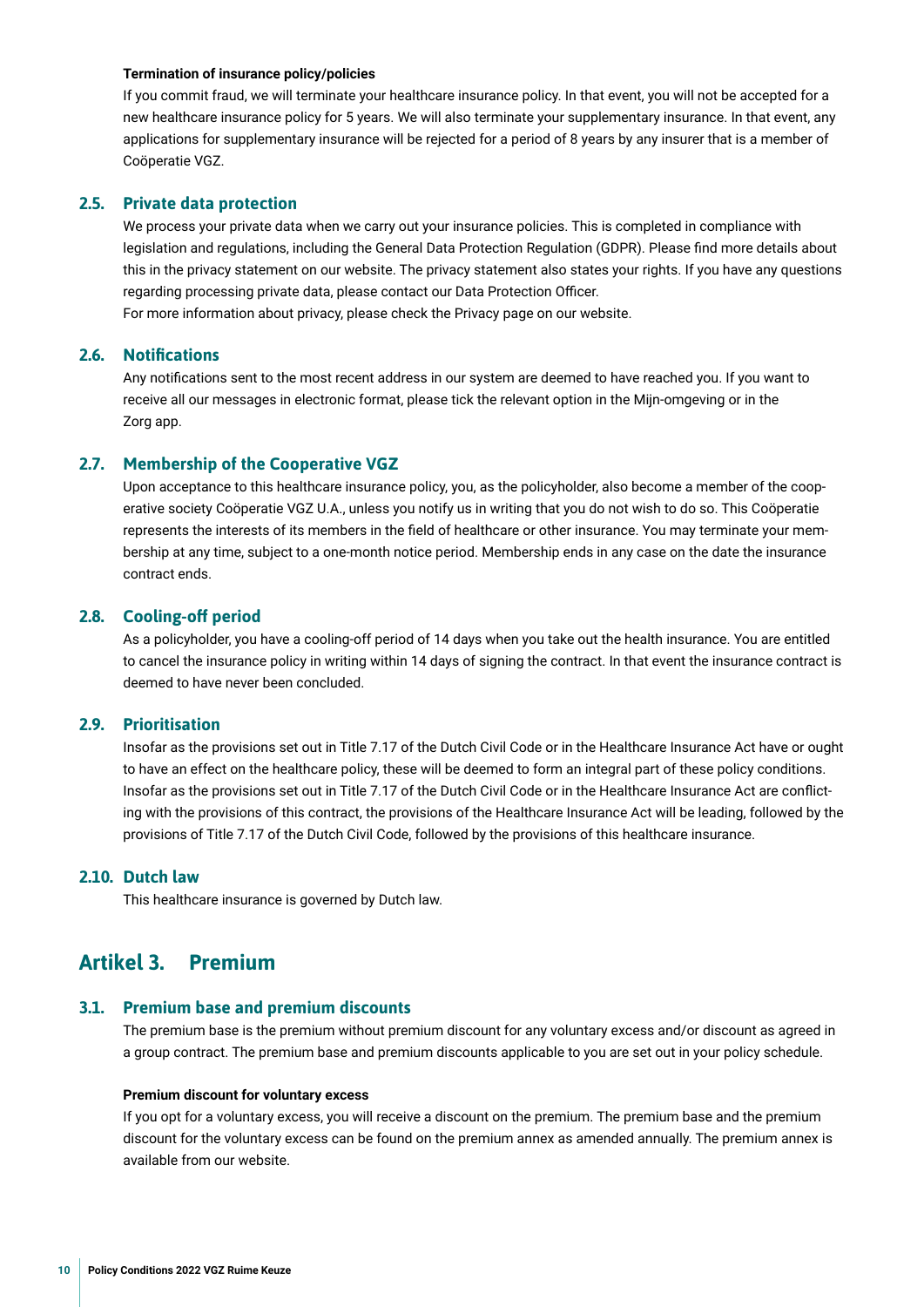#### <span id="page-9-0"></span>**Termination of insurance policy/policies**

If you commit fraud, we will terminate your healthcare insurance policy. In that event, you will not be accepted for a new healthcare insurance policy for 5 years. We will also terminate your supplementary insurance. In that event, any applications for supplementary insurance will be rejected for a period of 8 years by any insurer that is a member of Coöperatie VGZ.

#### **2.5. Private data protection**

We process your private data when we carry out your insurance policies. This is completed in compliance with legislation and regulations, including the General Data Protection Regulation (GDPR). Please fnd more details about this in the privacy statement on our website. The privacy statement also states your rights. If you have any questions regarding processing private data, please contact our Data Protection Officer. For more information about privacy, please check the Privacy page on our website.

#### **2.6. Notifcations**

Any notifcations sent to the most recent address in our system are deemed to have reached you. If you want to receive all our messages in electronic format, please tick the relevant option in the Mijn-omgeving or in the Zorg app.

#### **2.7. Membership of the Cooperative VGZ**

Upon acceptance to this healthcare insurance policy, you, as the policyholder, also become a member of the cooperative society Coöperatie VGZ U.A., unless you notify us in writing that you do not wish to do so. This Coöperatie represents the interests of its members in the feld of healthcare or other insurance. You may terminate your membership at any time, subject to a one-month notice period. Membership ends in any case on the date the insurance contract ends.

#### **2.8. Cooling-of period**

As a policyholder, you have a cooling-off period of 14 days when you take out the health insurance. You are entitled to cancel the insurance policy in writing within 14 days of signing the contract. In that event the insurance contract is deemed to have never been concluded.

#### **2.9. Prioritisation**

Insofar as the provisions set out in Title 7.17 of the Dutch Civil Code or in the Healthcare Insurance Act have or ought to have an effect on the healthcare policy, these will be deemed to form an integral part of these policy conditions. Insofar as the provisions set out in Title 7.17 of the Dutch Civil Code or in the Healthcare Insurance Act are conficting with the provisions of this contract, the provisions of the Healthcare Insurance Act will be leading, followed by the provisions of Title 7.17 of the Dutch Civil Code, followed by the provisions of this healthcare insurance.

#### **2.10. Dutch law**

This healthcare insurance is governed by Dutch law.

## **Artikel 3. Premium**

#### **3.1. Premium base and premium discounts**

The premium base is the premium without premium discount for any voluntary excess and/or discount as agreed in a group contract. The premium base and premium discounts applicable to you are set out in your policy schedule.

#### **Premium discount for voluntary excess**

If you opt for a voluntary excess, you will receive a discount on the premium. The premium base and the premium discount for the voluntary excess can be found on the premium annex as amended annually. The premium annex is available from our website.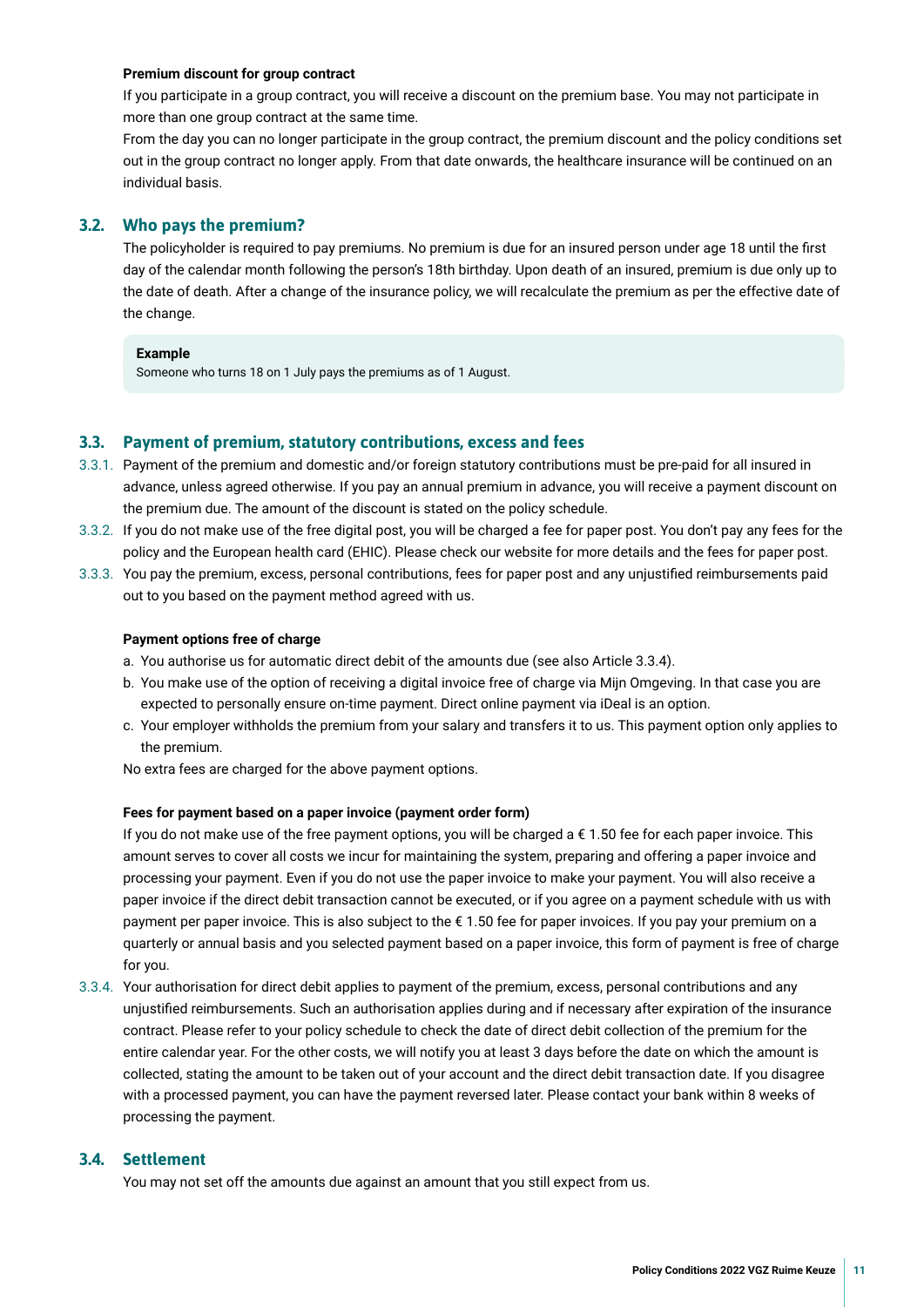#### <span id="page-10-0"></span>**Premium discount for group contract**

If you participate in a group contract, you will receive a discount on the premium base. You may not participate in more than one group contract at the same time.

From the day you can no longer participate in the group contract, the premium discount and the policy conditions set out in the group contract no longer apply. From that date onwards, the healthcare insurance will be continued on an individual basis.

#### **3.2. Who pays the premium?**

The policyholder is required to pay premiums. No premium is due for an insured person under age 18 until the frst day of the calendar month following the person's 18th birthday. Upon death of an insured, premium is due only up to the date of death. After a change of the insurance policy, we will recalculate the premium as per the effective date of the change.

#### **Example**

Someone who turns 18 on 1 July pays the premiums as of 1 August.

#### **3.3. Payment of premium, statutory contributions, excess and fees**

- 3.3.1. Payment of the premium and domestic and/or foreign statutory contributions must be pre-paid for all insured in advance, unless agreed otherwise. If you pay an annual premium in advance, you will receive a payment discount on the premium due. The amount of the discount is stated on the policy schedule.
- 3.3.2. If you do not make use of the free digital post, you will be charged a fee for paper post. You don't pay any fees for the policy and the European health card (EHIC). Please check our website for more details and the fees for paper post.
- 3.3.3. You pay the premium, excess, personal contributions, fees for paper post and any unjustifed reimbursements paid out to you based on the payment method agreed with us.

#### **Payment options free of charge**

- a. You authorise us for automatic direct debit of the amounts due (see also Article 3.3.4).
- b. You make use of the option of receiving a digital invoice free of charge via Mijn Omgeving. In that case you are expected to personally ensure on-time payment. Direct online payment via iDeal is an option.
- c. Your employer withholds the premium from your salary and transfers it to us. This payment option only applies to the premium.

No extra fees are charged for the above payment options.

#### **Fees for payment based on a paper invoice (payment order form)**

If you do not make use of the free payment options, you will be charged a  $\epsilon$  1.50 fee for each paper invoice. This amount serves to cover all costs we incur for maintaining the system, preparing and offering a paper invoice and processing your payment. Even if you do not use the paper invoice to make your payment. You will also receive a paper invoice if the direct debit transaction cannot be executed, or if you agree on a payment schedule with us with payment per paper invoice. This is also subject to the €1.50 fee for paper invoices. If you pay your premium on a quarterly or annual basis and you selected payment based on a paper invoice, this form of payment is free of charge for you.

3.3.4. Your authorisation for direct debit applies to payment of the premium, excess, personal contributions and any unjustifed reimbursements. Such an authorisation applies during and if necessary after expiration of the insurance contract. Please refer to your policy schedule to check the date of direct debit collection of the premium for the entire calendar year. For the other costs, we will notify you at least 3 days before the date on which the amount is collected, stating the amount to be taken out of your account and the direct debit transaction date. If you disagree with a processed payment, you can have the payment reversed later. Please contact your bank within 8 weeks of processing the payment.

#### **3.4. Settlement**

You may not set off the amounts due against an amount that you still expect from us.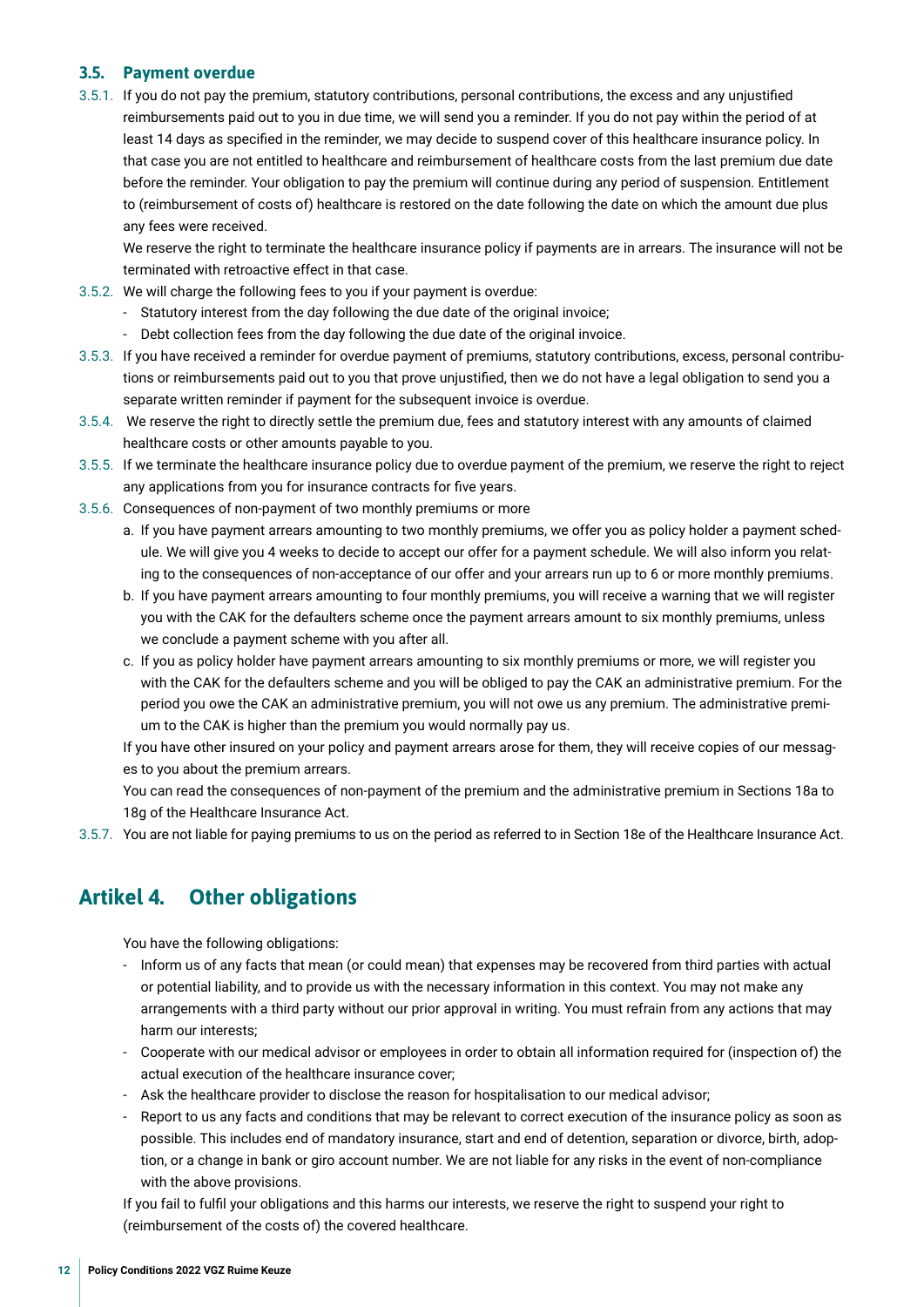#### <span id="page-11-0"></span>**3.5. Payment overdue**

3.5.1. If you do not pay the premium, statutory contributions, personal contributions, the excess and any unjustifed reimbursements paid out to you in due time, we will send you a reminder. If you do not pay within the period of at least 14 days as specifed in the reminder, we may decide to suspend cover of this healthcare insurance policy. In that case you are not entitled to healthcare and reimbursement of healthcare costs from the last premium due date before the reminder. Your obligation to pay the premium will continue during any period of suspension. Entitlement to (reimbursement of costs of) healthcare is restored on the date following the date on which the amount due plus any fees were received.

We reserve the right to terminate the healthcare insurance policy if payments are in arrears. The insurance will not be terminated with retroactive effect in that case.

- 3.5.2. We will charge the following fees to you if your payment is overdue:
	- Statutory interest from the day following the due date of the original invoice;
	- Debt collection fees from the day following the due date of the original invoice.
- 3.5.3. If you have received a reminder for overdue payment of premiums, statutory contributions, excess, personal contributions or reimbursements paid out to you that prove unjustifed, then we do not have a legal obligation to send you a separate written reminder if payment for the subsequent invoice is overdue.
- 3.5.4. We reserve the right to directly settle the premium due, fees and statutory interest with any amounts of claimed healthcare costs or other amounts payable to you.
- 3.5.5. If we terminate the healthcare insurance policy due to overdue payment of the premium, we reserve the right to reject any applications from you for insurance contracts for fve years.
- 3.5.6. Consequences of non-payment of two monthly premiums or more
	- a. If you have payment arrears amounting to two monthly premiums, we offer you as policy holder a payment schedule. We will give you 4 weeks to decide to accept our offer for a payment schedule. We will also inform you relating to the consequences of non-acceptance of our offer and your arrears run up to 6 or more monthly premiums.
	- b. If you have payment arrears amounting to four monthly premiums, you will receive a warning that we will register you with the CAK for the defaulters scheme once the payment arrears amount to six monthly premiums, unless we conclude a payment scheme with you after all.
	- c. If you as policy holder have payment arrears amounting to six monthly premiums or more, we will register you with the CAK for the defaulters scheme and you will be obliged to pay the CAK an administrative premium. For the period you owe the CAK an administrative premium, you will not owe us any premium. The administrative premium to the CAK is higher than the premium you would normally pay us.

If you have other insured on your policy and payment arrears arose for them, they will receive copies of our messages to you about the premium arrears.

You can read the consequences of non-payment of the premium and the administrative premium in Sections 18a to 18g of the Healthcare Insurance Act.

3.5.7. You are not liable for paying premiums to us on the period as referred to in Section 18e of the Healthcare Insurance Act.

## **Artikel 4. Other obligations**

You have the following obligations:

- Inform us of any facts that mean (or could mean) that expenses may be recovered from third parties with actual or potential liability, and to provide us with the necessary information in this context. You may not make any arrangements with a third party without our prior approval in writing. You must refrain from any actions that may harm our interests;
- Cooperate with our medical advisor or employees in order to obtain all information required for (inspection of) the actual execution of the healthcare insurance cover;
- Ask the healthcare provider to disclose the reason for hospitalisation to our medical advisor;
- Report to us any facts and conditions that may be relevant to correct execution of the insurance policy as soon as possible. This includes end of mandatory insurance, start and end of detention, separation or divorce, birth, adoption, or a change in bank or giro account number. We are not liable for any risks in the event of non-compliance with the above provisions.

If you fail to fulfl your obligations and this harms our interests, we reserve the right to suspend your right to (reimbursement of the costs of) the covered healthcare.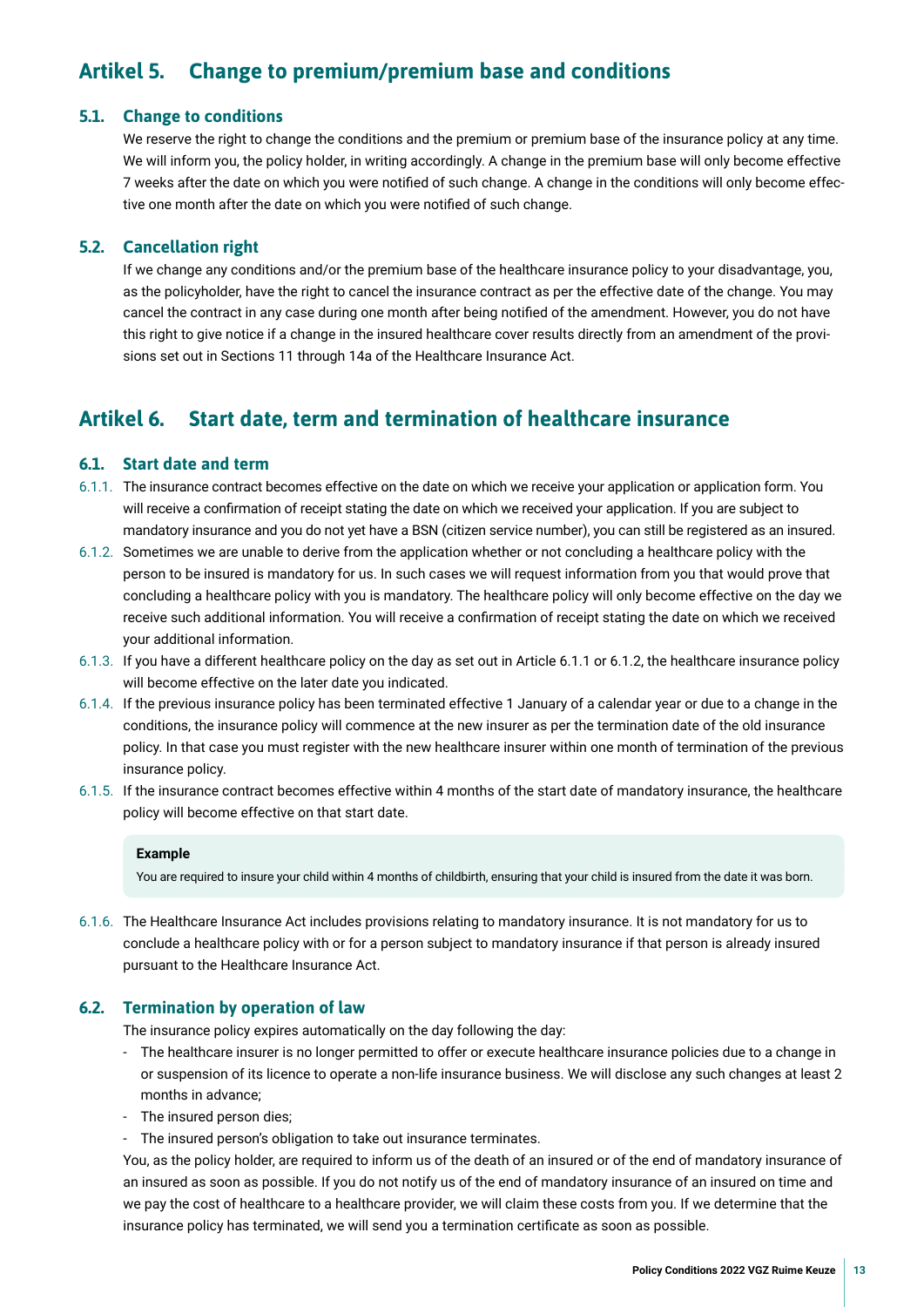## <span id="page-12-0"></span>**Artikel 5. Change to premium/premium base and conditions**

#### **5.1. Change to conditions**

We reserve the right to change the conditions and the premium or premium base of the insurance policy at any time. We will inform you, the policy holder, in writing accordingly. A change in the premium base will only become effective 7 weeks after the date on which you were notifed of such change. A change in the conditions will only become effective one month after the date on which you were notifed of such change.

#### **5.2. Cancellation right**

If we change any conditions and/or the premium base of the healthcare insurance policy to your disadvantage, you, as the policyholder, have the right to cancel the insurance contract as per the effective date of the change. You may cancel the contract in any case during one month after being notifed of the amendment. However, you do not have this right to give notice if a change in the insured healthcare cover results directly from an amendment of the provisions set out in Sections 11 through 14a of the Healthcare Insurance Act.

## **Artikel 6. Start date, term and termination of healthcare insurance**

#### **6.1. Start date and term**

- 6.1.1. The insurance contract becomes effective on the date on which we receive your application or application form. You will receive a confrmation of receipt stating the date on which we received your application. If you are subject to mandatory insurance and you do not yet have a BSN (citizen service number), you can still be registered as an insured.
- 6.1.2. Sometimes we are unable to derive from the application whether or not concluding a healthcare policy with the person to be insured is mandatory for us. In such cases we will request information from you that would prove that concluding a healthcare policy with you is mandatory. The healthcare policy will only become effective on the day we receive such additional information. You will receive a confrmation of receipt stating the date on which we received your additional information.
- 6.1.3. If you have a different healthcare policy on the day as set out in Article 6.1.1 or 6.1.2, the healthcare insurance policy will become effective on the later date you indicated.
- 6.1.4. If the previous insurance policy has been terminated effective 1 January of a calendar year or due to a change in the conditions, the insurance policy will commence at the new insurer as per the termination date of the old insurance policy. In that case you must register with the new healthcare insurer within one month of termination of the previous insurance policy.
- 6.1.5. If the insurance contract becomes effective within 4 months of the start date of mandatory insurance, the healthcare policy will become effective on that start date.

#### **Example**

You are required to insure your child within 4 months of childbirth, ensuring that your child is insured from the date it was born.

6.1.6. The Healthcare Insurance Act includes provisions relating to mandatory insurance. It is not mandatory for us to conclude a healthcare policy with or for a person subject to mandatory insurance if that person is already insured pursuant to the Healthcare Insurance Act.

#### **6.2. Termination by operation of law**

The insurance policy expires automatically on the day following the day:

- The healthcare insurer is no longer permitted to offer or execute healthcare insurance policies due to a change in or suspension of its licence to operate a non-life insurance business. We will disclose any such changes at least 2 months in advance;
- The insured person dies;
- The insured person's obligation to take out insurance terminates.

You, as the policy holder, are required to inform us of the death of an insured or of the end of mandatory insurance of an insured as soon as possible. If you do not notify us of the end of mandatory insurance of an insured on time and we pay the cost of healthcare to a healthcare provider, we will claim these costs from you. If we determine that the insurance policy has terminated, we will send you a termination certifcate as soon as possible.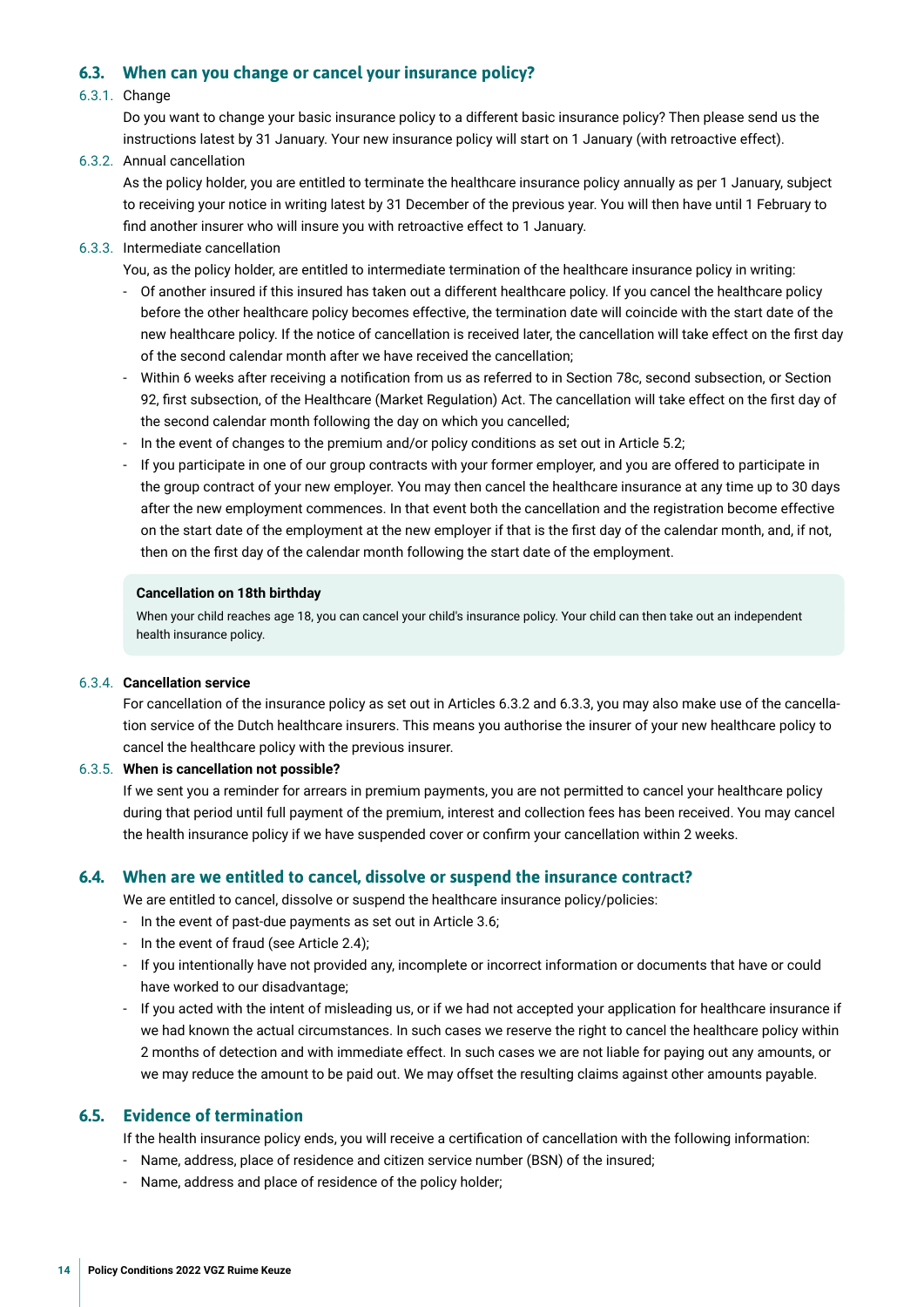#### <span id="page-13-0"></span>**6.3. When can you change or cancel your insurance policy?**

#### 6.3.1. Change

Do you want to change your basic insurance policy to a different basic insurance policy? Then please send us the instructions latest by 31 January. Your new insurance policy will start on 1 January (with retroactive effect).

6.3.2. Annual cancellation

As the policy holder, you are entitled to terminate the healthcare insurance policy annually as per 1 January, subject to receiving your notice in writing latest by 31 December of the previous year. You will then have until 1 February to fnd another insurer who will insure you with retroactive effect to 1 January.

6.3.3. Intermediate cancellation

You, as the policy holder, are entitled to intermediate termination of the healthcare insurance policy in writing:

- Of another insured if this insured has taken out a different healthcare policy. If you cancel the healthcare policy before the other healthcare policy becomes effective, the termination date will coincide with the start date of the new healthcare policy. If the notice of cancellation is received later, the cancellation will take effect on the frst day of the second calendar month after we have received the cancellation;
- Within 6 weeks after receiving a notifcation from us as referred to in Section 78c, second subsection, or Section 92, frst subsection, of the Healthcare (Market Regulation) Act. The cancellation will take effect on the frst day of the second calendar month following the day on which you cancelled;
- In the event of changes to the premium and/or policy conditions as set out in Article 5.2;
- If you participate in one of our group contracts with your former employer, and you are offered to participate in the group contract of your new employer. You may then cancel the healthcare insurance at any time up to 30 days after the new employment commences. In that event both the cancellation and the registration become effective on the start date of the employment at the new employer if that is the frst day of the calendar month, and, if not, then on the frst day of the calendar month following the start date of the employment.

#### **Cancellation on 18th birthday**

When your child reaches age 18, you can cancel your child's insurance policy. Your child can then take out an independent health insurance policy.

#### 6.3.4. **Cancellation service**

For cancellation of the insurance policy as set out in Articles 6.3.2 and 6.3.3, you may also make use of the cancellation service of the Dutch healthcare insurers. This means you authorise the insurer of your new healthcare policy to cancel the healthcare policy with the previous insurer.

#### 6.3.5. **When is cancellation not possible?**

If we sent you a reminder for arrears in premium payments, you are not permitted to cancel your healthcare policy during that period until full payment of the premium, interest and collection fees has been received. You may cancel the health insurance policy if we have suspended cover or confrm your cancellation within 2 weeks.

#### **6.4. When are we entitled to cancel, dissolve or suspend the insurance contract?**

We are entitled to cancel, dissolve or suspend the healthcare insurance policy/policies:

- In the event of past-due payments as set out in Article 3.6;
- In the event of fraud (see Article 2.4);
- If you intentionally have not provided any, incomplete or incorrect information or documents that have or could have worked to our disadvantage;
- If you acted with the intent of misleading us, or if we had not accepted your application for healthcare insurance if we had known the actual circumstances. In such cases we reserve the right to cancel the healthcare policy within 2 months of detection and with immediate effect. In such cases we are not liable for paying out any amounts, or we may reduce the amount to be paid out. We may offset the resulting claims against other amounts payable.

#### **6.5. Evidence of termination**

If the health insurance policy ends, you will receive a certifcation of cancellation with the following information:

- Name, address, place of residence and citizen service number (BSN) of the insured;
- Name, address and place of residence of the policy holder;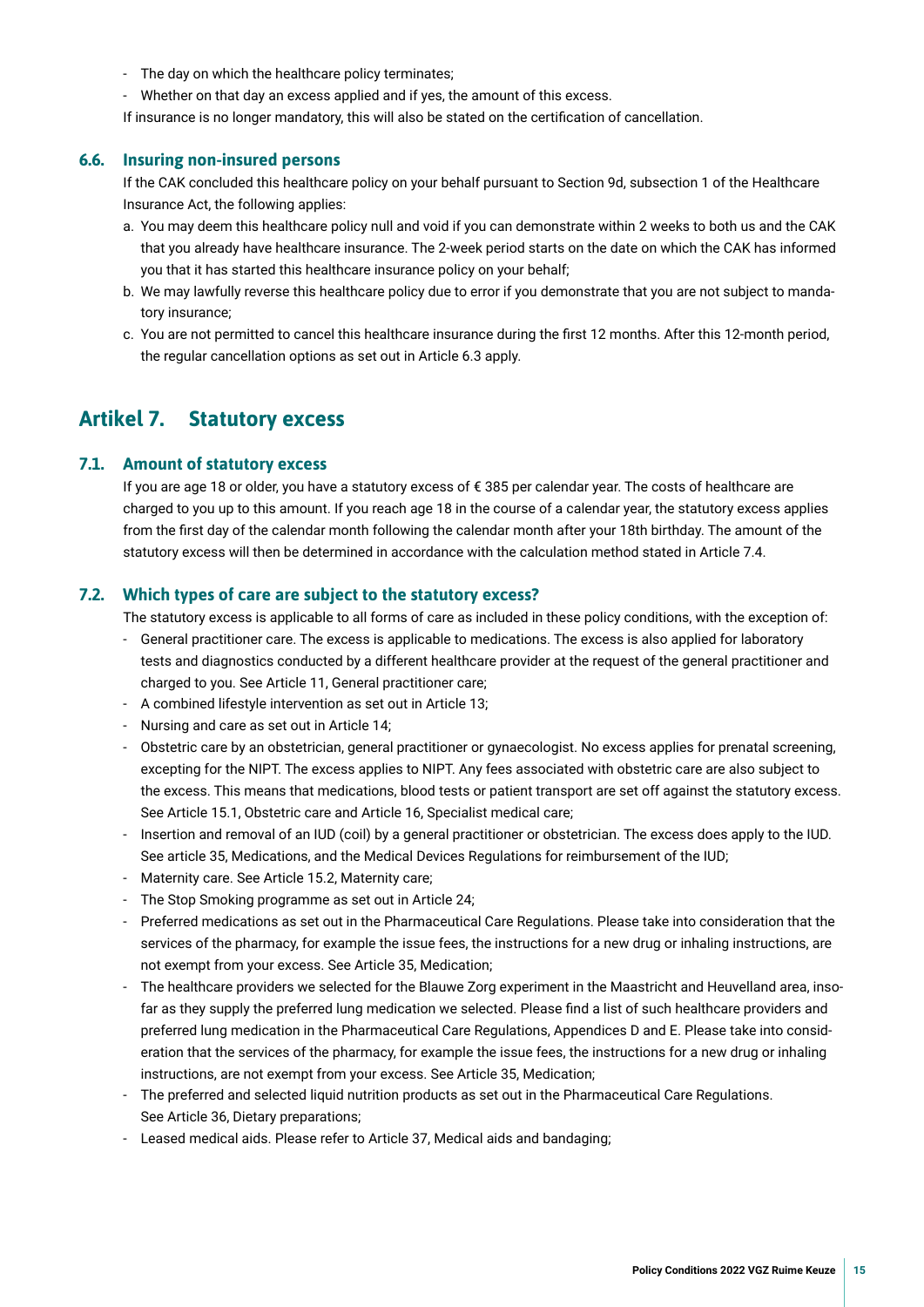- <span id="page-14-0"></span>- The day on which the healthcare policy terminates;
- Whether on that day an excess applied and if yes, the amount of this excess.
- If insurance is no longer mandatory, this will also be stated on the certifcation of cancellation.

#### **6.6. Insuring non-insured persons**

If the CAK concluded this healthcare policy on your behalf pursuant to Section 9d, subsection 1 of the Healthcare Insurance Act, the following applies:

- a. You may deem this healthcare policy null and void if you can demonstrate within 2 weeks to both us and the CAK that you already have healthcare insurance. The 2-week period starts on the date on which the CAK has informed you that it has started this healthcare insurance policy on your behalf;
- b. We may lawfully reverse this healthcare policy due to error if you demonstrate that you are not subject to mandatory insurance;
- c. You are not permitted to cancel this healthcare insurance during the frst 12 months. After this 12-month period, the regular cancellation options as set out in Article 6.3 apply.

### **Artikel 7. Statutory excess**

#### **7.1. Amount of statutory excess**

If you are age 18 or older, you have a statutory excess of € 385 per calendar year. The costs of healthcare are charged to you up to this amount. If you reach age 18 in the course of a calendar year, the statutory excess applies from the frst day of the calendar month following the calendar month after your 18th birthday. The amount of the statutory excess will then be determined in accordance with the calculation method stated in Article 7.4.

#### **7.2. Which types of care are subject to the statutory excess?**

The statutory excess is applicable to all forms of care as included in these policy conditions, with the exception of:

- General practitioner care. The excess is applicable to medications. The excess is also applied for laboratory tests and diagnostics conducted by a different healthcare provider at the request of the general practitioner and charged to you. See Article 11, General practitioner care;
- A combined lifestyle intervention as set out in Article 13;
- Nursing and care as set out in Article 14;
- Obstetric care by an obstetrician, general practitioner or gynaecologist. No excess applies for prenatal screening, excepting for the NIPT. The excess applies to NIPT. Any fees associated with obstetric care are also subject to the excess. This means that medications, blood tests or patient transport are set off against the statutory excess. See Article 15.1, Obstetric care and Article 16, Specialist medical care;
- Insertion and removal of an IUD (coil) by a general practitioner or obstetrician. The excess does apply to the IUD. See article 35, Medications, and the Medical Devices Regulations for reimbursement of the IUD;
- Maternity care. See Article 15.2, Maternity care;
- The Stop Smoking programme as set out in Article 24;
- Preferred medications as set out in the Pharmaceutical Care Regulations. Please take into consideration that the services of the pharmacy, for example the issue fees, the instructions for a new drug or inhaling instructions, are not exempt from your excess. See Article 35, Medication;
- The healthcare providers we selected for the Blauwe Zorg experiment in the Maastricht and Heuvelland area, insofar as they supply the preferred lung medication we selected. Please fnd a list of such healthcare providers and preferred lung medication in the Pharmaceutical Care Regulations, Appendices D and E. Please take into consideration that the services of the pharmacy, for example the issue fees, the instructions for a new drug or inhaling instructions, are not exempt from your excess. See Article 35, Medication;
- The preferred and selected liquid nutrition products as set out in the Pharmaceutical Care Regulations. See Article 36, Dietary preparations;
- Leased medical aids. Please refer to Article 37, Medical aids and bandaging;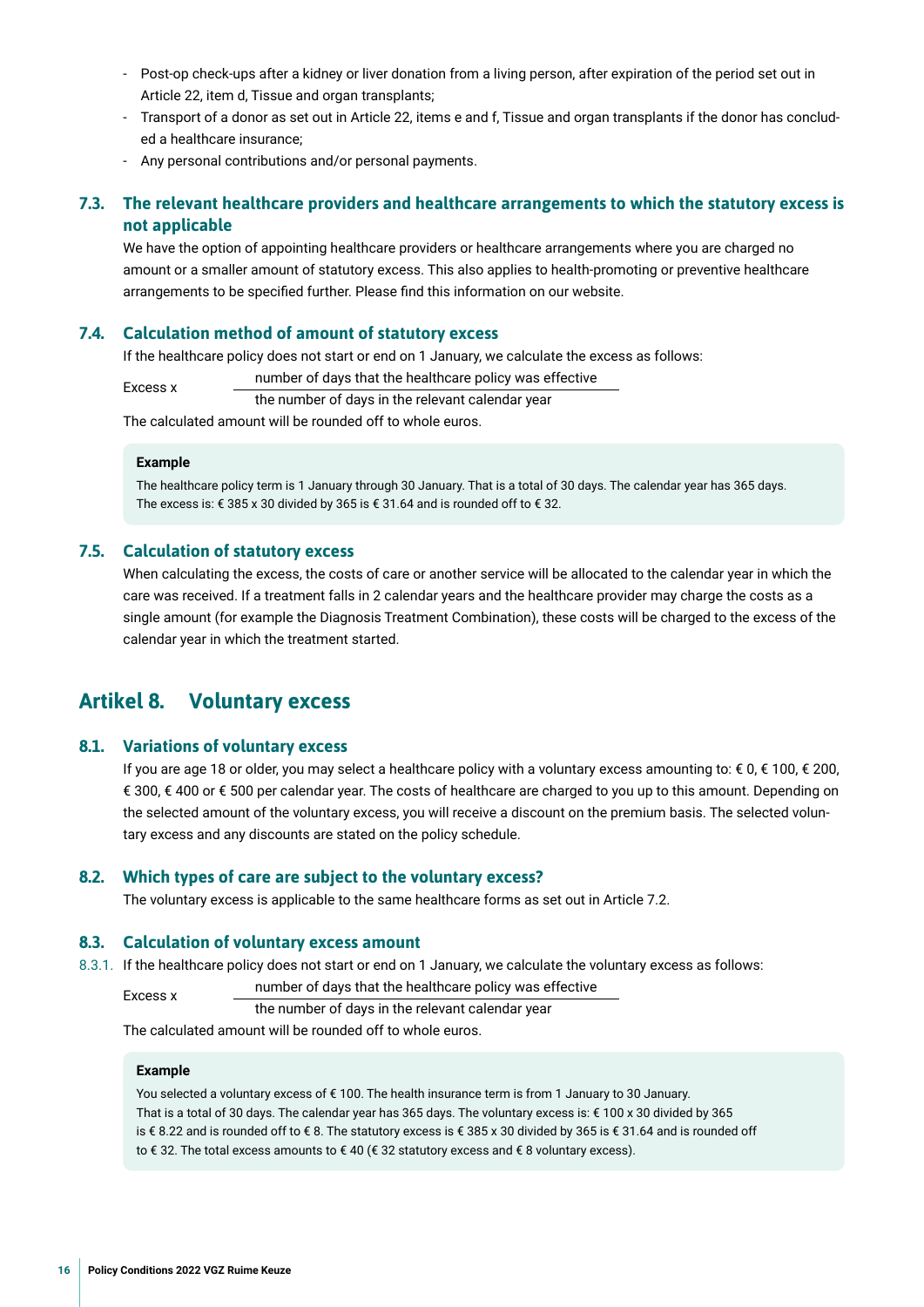- <span id="page-15-0"></span>- Post-op check-ups after a kidney or liver donation from a living person, after expiration of the period set out in Article 22, item d, Tissue and organ transplants;
- Transport of a donor as set out in Article 22, items e and f, Tissue and organ transplants if the donor has concluded a healthcare insurance;
- Any personal contributions and/or personal payments.

#### **7.3. The relevant healthcare providers and healthcare arrangements to which the statutory excess is not applicable**

We have the option of appointing healthcare providers or healthcare arrangements where you are charged no amount or a smaller amount of statutory excess. This also applies to health-promoting or preventive healthcare arrangements to be specifed further. Please fnd this information on our website.

#### **7.4. Calculation method of amount of statutory excess**

If the healthcare policy does not start or end on 1 January, we calculate the excess as follows:

number of days that the healthcare policy was effective

the number of days in the relevant calendar year

The calculated amount will be rounded off to whole euros.

#### **Example**

The healthcare policy term is 1 January through 30 January. That is a total of 30 days. The calendar year has 365 days. The excess is: € 385 x 30 divided by 365 is € 31.64 and is rounded off to € 32.

#### **7.5. Calculation of statutory excess**

When calculating the excess, the costs of care or another service will be allocated to the calendar year in which the care was received. If a treatment falls in 2 calendar years and the healthcare provider may charge the costs as a single amount (for example the Diagnosis Treatment Combination), these costs will be charged to the excess of the calendar year in which the treatment started.

## **Artikel 8. Voluntary excess**

#### **8.1. Variations of voluntary excess**

If you are age 18 or older, you may select a healthcare policy with a voluntary excess amounting to: € 0, € 100, € 200, € 300, € 400 or € 500 per calendar year. The costs of healthcare are charged to you up to this amount. Depending on the selected amount of the voluntary excess, you will receive a discount on the premium basis. The selected voluntary excess and any discounts are stated on the policy schedule.

#### **8.2. Which types of care are subject to the voluntary excess?**

The voluntary excess is applicable to the same healthcare forms as set out in Article 7.2.

#### **8.3. Calculation of voluntary excess amount**

8.3.1. If the healthcare policy does not start or end on 1 January, we calculate the voluntary excess as follows:

Excess x number of days that the healthcare policy was effective<br>the number of days in the relevant calendar year

The calculated amount will be rounded off to whole euros.

#### **Example**

You selected a voluntary excess of € 100. The health insurance term is from 1 January to 30 January. That is a total of 30 days. The calendar year has 365 days. The voluntary excess is: € 100 x 30 divided by 365 is € 8.22 and is rounded off to € 8. The statutory excess is € 385 x 30 divided by 365 is € 31.64 and is rounded off to € 32. The total excess amounts to € 40 (€ 32 statutory excess and € 8 voluntary excess).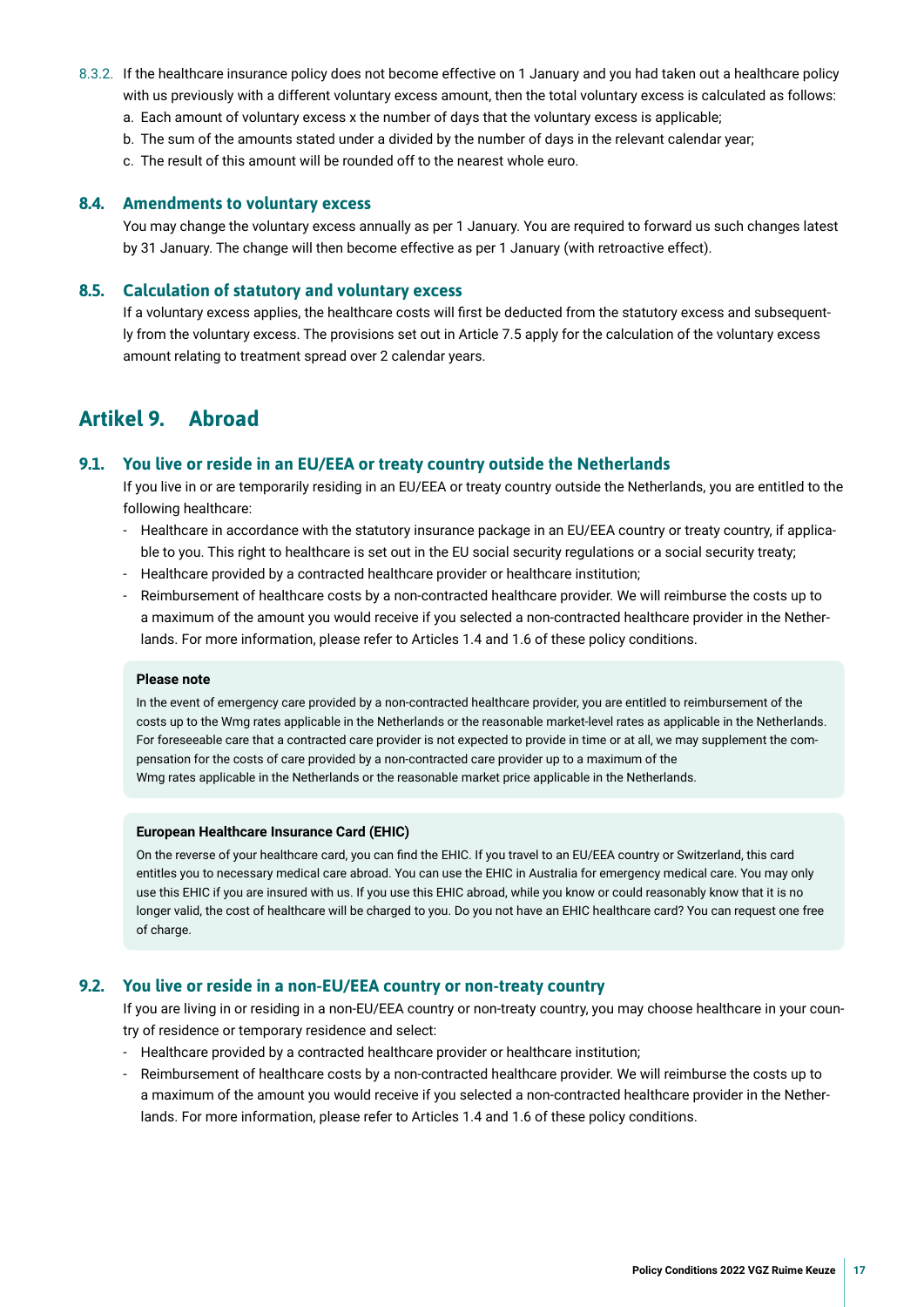- <span id="page-16-0"></span>8.3.2. If the healthcare insurance policy does not become effective on 1 January and you had taken out a healthcare policy with us previously with a different voluntary excess amount, then the total voluntary excess is calculated as follows:
	- a. Each amount of voluntary excess x the number of days that the voluntary excess is applicable;
	- b. The sum of the amounts stated under a divided by the number of days in the relevant calendar year;
	- c. The result of this amount will be rounded off to the nearest whole euro.

#### **8.4. Amendments to voluntary excess**

You may change the voluntary excess annually as per 1 January. You are required to forward us such changes latest by 31 January. The change will then become effective as per 1 January (with retroactive effect).

#### **8.5. Calculation of statutory and voluntary excess**

If a voluntary excess applies, the healthcare costs will frst be deducted from the statutory excess and subsequently from the voluntary excess. The provisions set out in Article 7.5 apply for the calculation of the voluntary excess amount relating to treatment spread over 2 calendar years.

## **Artikel 9. Abroad**

#### **9.1. You live or reside in an EU/EEA or treaty country outside the Netherlands**

If you live in or are temporarily residing in an EU/EEA or treaty country outside the Netherlands, you are entitled to the following healthcare:

- Healthcare in accordance with the statutory insurance package in an EU/EEA country or treaty country, if applicable to you. This right to healthcare is set out in the EU social security regulations or a social security treaty;
- Healthcare provided by a contracted healthcare provider or healthcare institution;
- Reimbursement of healthcare costs by a non-contracted healthcare provider. We will reimburse the costs up to a maximum of the amount you would receive if you selected a non-contracted healthcare provider in the Netherlands. For more information, please refer to Articles 1.4 and 1.6 of these policy conditions.

#### **Please note**

In the event of emergency care provided by a non-contracted healthcare provider, you are entitled to reimbursement of the costs up to the Wmg rates applicable in the Netherlands or the reasonable market-level rates as applicable in the Netherlands. For foreseeable care that a contracted care provider is not expected to provide in time or at all, we may supplement the compensation for the costs of care provided by a non-contracted care provider up to a maximum of the Wmg rates applicable in the Netherlands or the reasonable market price applicable in the Netherlands.

#### **European Healthcare Insurance Card (EHIC)**

On the reverse of your healthcare card, you can fnd the EHIC. If you travel to an EU/EEA country or Switzerland, this card entitles you to necessary medical care abroad. You can use the EHIC in Australia for emergency medical care. You may only use this EHIC if you are insured with us. If you use this EHIC abroad, while you know or could reasonably know that it is no longer valid, the cost of healthcare will be charged to you. Do you not have an EHIC healthcare card? You can request one free of charge.

#### **9.2. You live or reside in a non-EU/EEA country or non-treaty country**

If you are living in or residing in a non-EU/EEA country or non-treaty country, you may choose healthcare in your country of residence or temporary residence and select:

- Healthcare provided by a contracted healthcare provider or healthcare institution;
- Reimbursement of healthcare costs by a non-contracted healthcare provider. We will reimburse the costs up to a maximum of the amount you would receive if you selected a non-contracted healthcare provider in the Netherlands. For more information, please refer to Articles 1.4 and 1.6 of these policy conditions.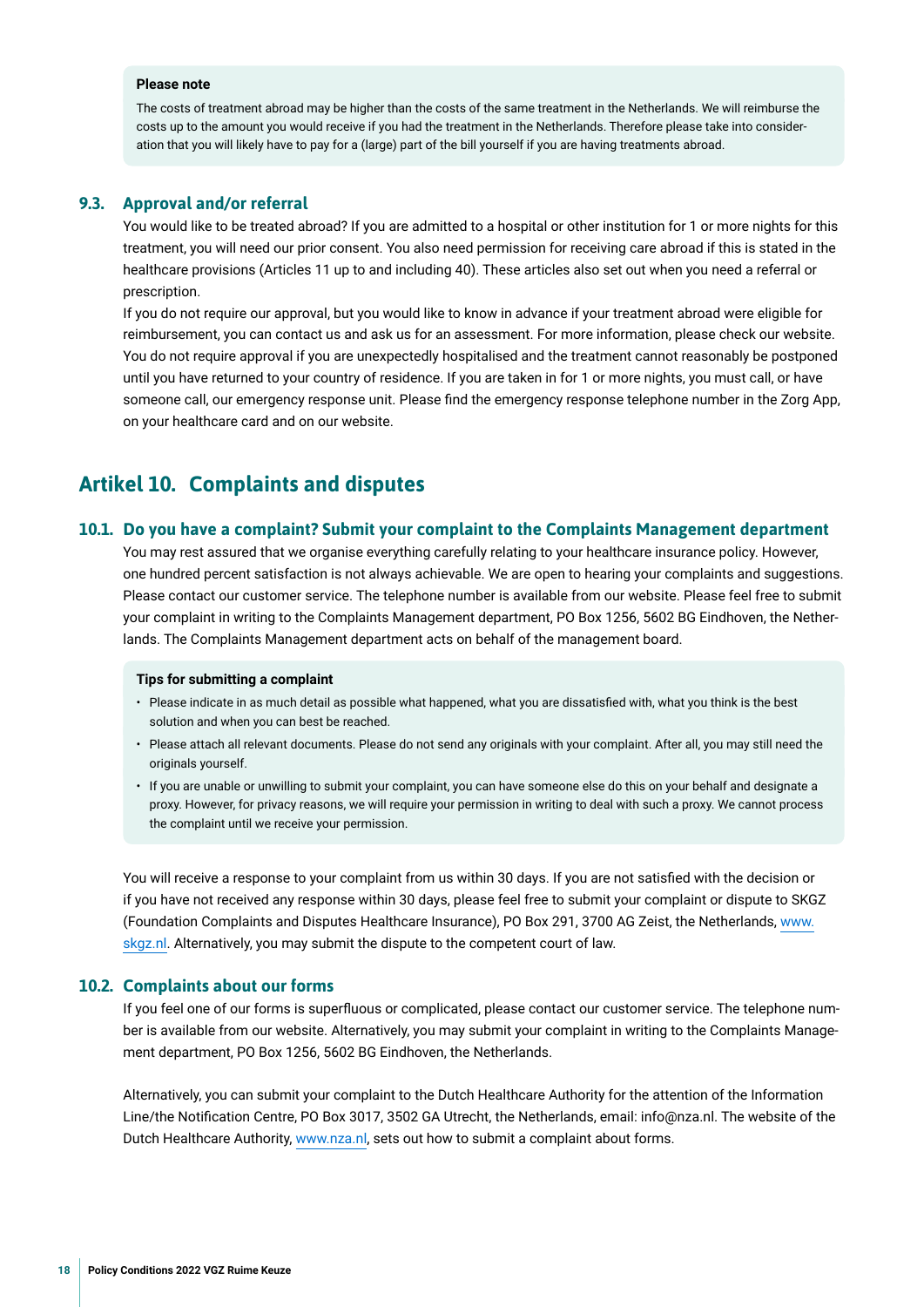#### <span id="page-17-0"></span>**Please note**

The costs of treatment abroad may be higher than the costs of the same treatment in the Netherlands. We will reimburse the costs up to the amount you would receive if you had the treatment in the Netherlands. Therefore please take into consideration that you will likely have to pay for a (large) part of the bill yourself if you are having treatments abroad.

#### **9.3. Approval and/or referral**

You would like to be treated abroad? If you are admitted to a hospital or other institution for 1 or more nights for this treatment, you will need our prior consent. You also need permission for receiving care abroad if this is stated in the healthcare provisions (Articles 11 up to and including 40). These articles also set out when you need a referral or prescription.

If you do not require our approval, but you would like to know in advance if your treatment abroad were eligible for reimbursement, you can contact us and ask us for an assessment. For more information, please check our website. You do not require approval if you are unexpectedly hospitalised and the treatment cannot reasonably be postponed until you have returned to your country of residence. If you are taken in for 1 or more nights, you must call, or have someone call, our emergency response unit. Please fnd the emergency response telephone number in the Zorg App, on your healthcare card and on our website.

## **Artikel 10. Complaints and disputes**

#### **10.1. Do you have a complaint? Submit your complaint to the Complaints Management department**

You may rest assured that we organise everything carefully relating to your healthcare insurance policy. However, one hundred percent satisfaction is not always achievable. We are open to hearing your complaints and suggestions. Please contact our customer service. The telephone number is available from our website. Please feel free to submit your complaint in writing to the Complaints Management department, PO Box 1256, 5602 BG Eindhoven, the Netherlands. The Complaints Management department acts on behalf of the management board.

#### **Tips for submitting a complaint**

- Please indicate in as much detail as possible what happened, what you are dissatisfed with, what you think is the best solution and when you can best be reached.
- Please attach all relevant documents. Please do not send any originals with your complaint. After all, you may still need the originals yourself.
- If you are unable or unwilling to submit your complaint, you can have someone else do this on your behalf and designate a proxy. However, for privacy reasons, we will require your permission in writing to deal with such a proxy. We cannot process the complaint until we receive your permission.

You will receive a response to your complaint from us within 30 days. If you are not satisfed with the decision or if you have not received any response within 30 days, please feel free to submit your complaint or dispute to SKGZ (Foundation Complaints and Disputes Healthcare Insurance), PO Box 291, 3700 AG Zeist, the Netherlands, [www.](https://www.skgz.nl) [skgz.nl.](https://www.skgz.nl) Alternatively, you may submit the dispute to the competent court of law.

#### **10.2. Complaints about our forms**

If you feel one of our forms is superfuous or complicated, please contact our customer service. The telephone number is available from our website. Alternatively, you may submit your complaint in writing to the Complaints Management department, PO Box 1256, 5602 BG Eindhoven, the Netherlands.

Alternatively, you can submit your complaint to the Dutch Healthcare Authority for the attention of the Information Line/the Notifcation Centre, PO Box 3017, 3502 GA Utrecht, the Netherlands, email: info@nza.nl. The website of the Dutch Healthcare Authority, [www.nza.nl,](https://www.nza.nl) sets out how to submit a complaint about forms.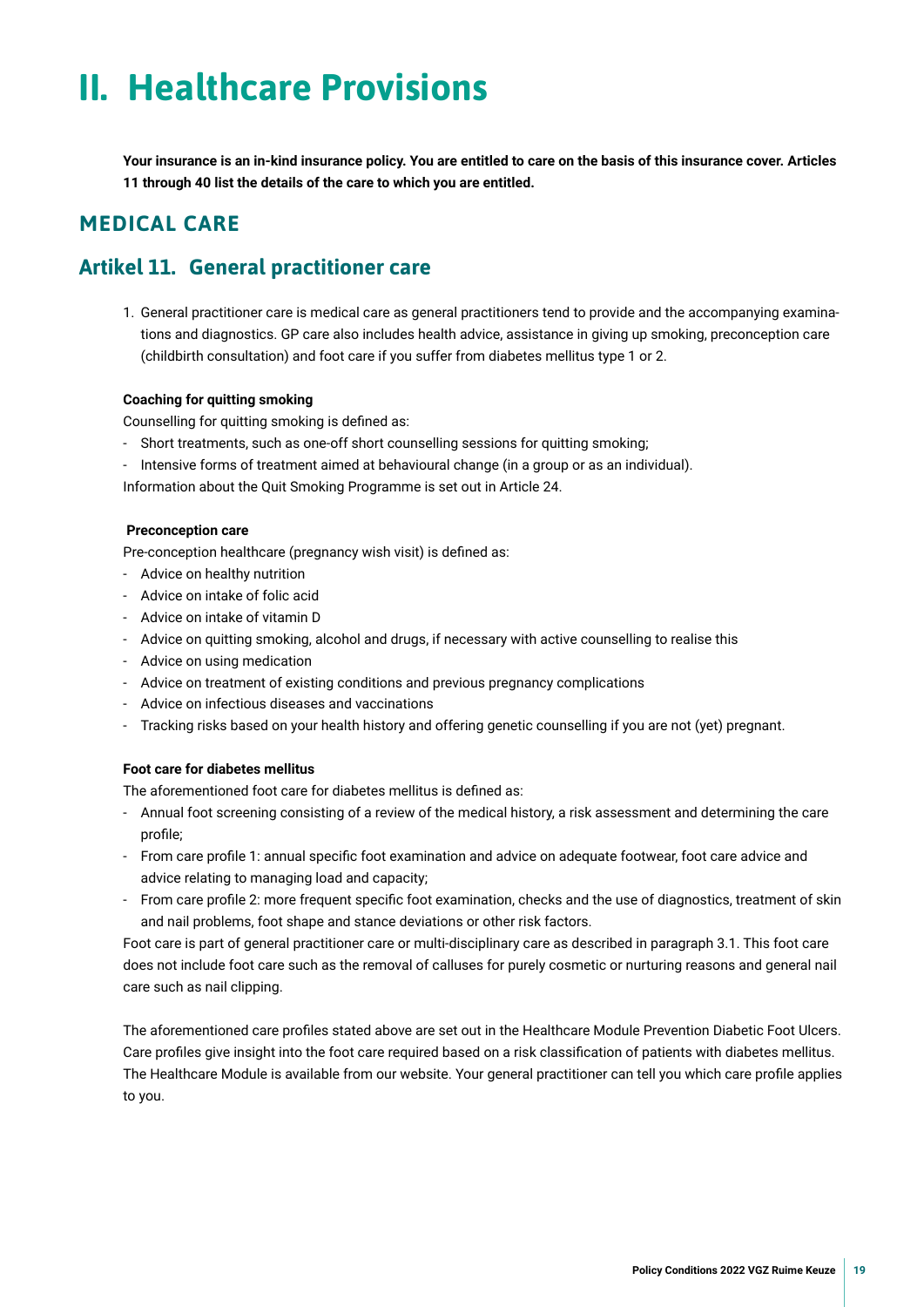## <span id="page-18-0"></span>**II. Healthcare Provisions**

**Your insurance is an in-kind insurance policy. You are entitled to care on the basis of this insurance cover. Articles 11 through 40 list the details of the care to which you are entitled.**

## **MEDICAL CARE**

## **Artikel 11. General practitioner care**

1. General practitioner care is medical care as general practitioners tend to provide and the accompanying examinations and diagnostics. GP care also includes health advice, assistance in giving up smoking, preconception care (childbirth consultation) and foot care if you suffer from diabetes mellitus type 1 or 2.

#### **Coaching for quitting smoking**

Counselling for quitting smoking is defned as:

- Short treatments, such as one-off short counselling sessions for quitting smoking;
- Intensive forms of treatment aimed at behavioural change (in a group or as an individual).

Information about the Quit Smoking Programme is set out in Article 24.

#### **Preconception care**

Pre-conception healthcare (pregnancy wish visit) is defned as:

- Advice on healthy nutrition
- Advice on intake of folic acid
- Advice on intake of vitamin D
- Advice on quitting smoking, alcohol and drugs, if necessary with active counselling to realise this
- Advice on using medication
- Advice on treatment of existing conditions and previous pregnancy complications
- Advice on infectious diseases and vaccinations
- Tracking risks based on your health history and offering genetic counselling if you are not (yet) pregnant.

#### **Foot care for diabetes mellitus**

The aforementioned foot care for diabetes mellitus is defned as:

- Annual foot screening consisting of a review of the medical history, a risk assessment and determining the care profle;
- From care profle 1: annual specifc foot examination and advice on adequate footwear, foot care advice and advice relating to managing load and capacity;
- From care profle 2: more frequent specifc foot examination, checks and the use of diagnostics, treatment of skin and nail problems, foot shape and stance deviations or other risk factors.

Foot care is part of general practitioner care or multi-disciplinary care as described in paragraph 3.1. This foot care does not include foot care such as the removal of calluses for purely cosmetic or nurturing reasons and general nail care such as nail clipping.

The aforementioned care profles stated above are set out in the Healthcare Module Prevention Diabetic Foot Ulcers. Care profles give insight into the foot care required based on a risk classifcation of patients with diabetes mellitus. The Healthcare Module is available from our website. Your general practitioner can tell you which care profle applies to you.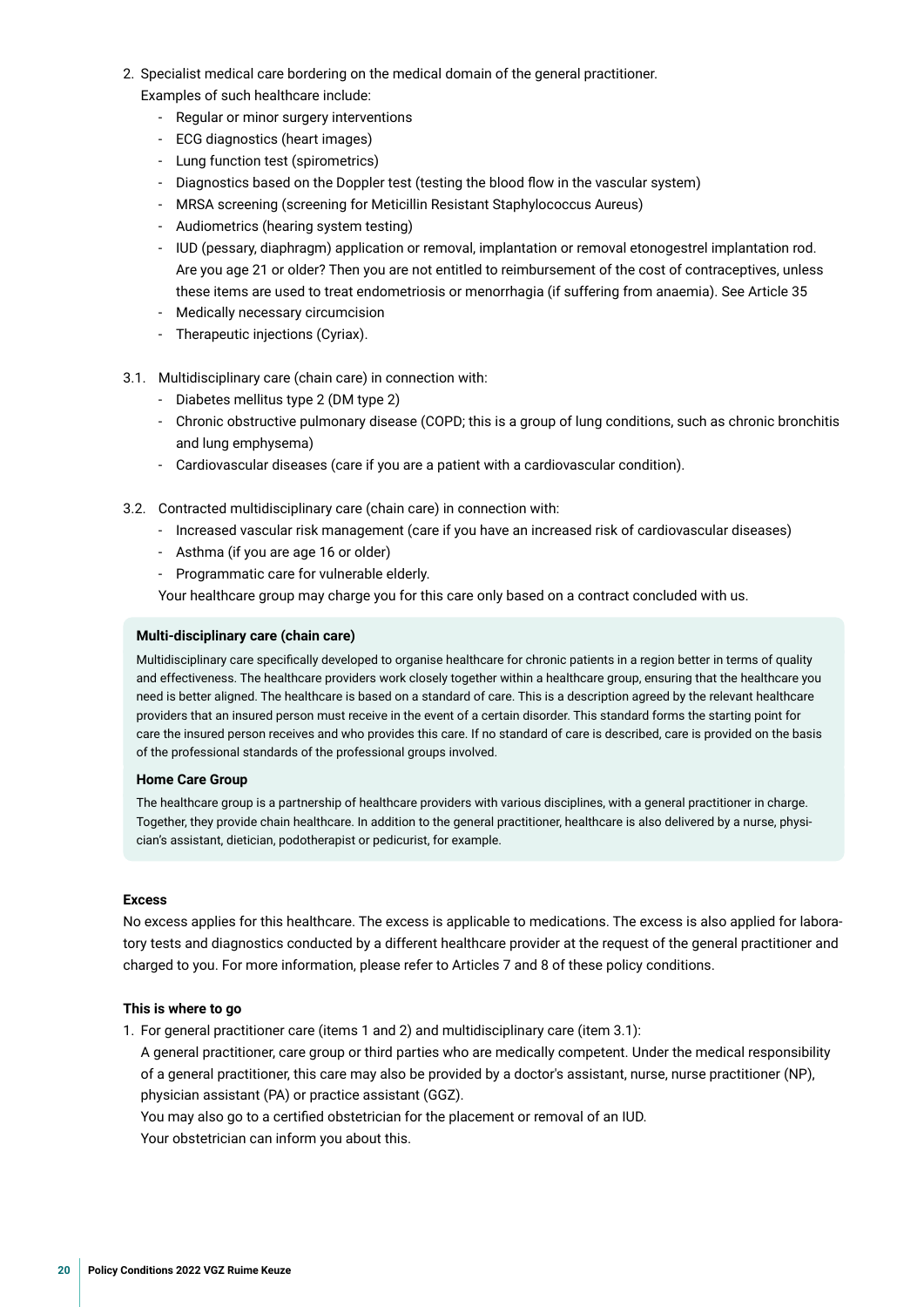- 2. Specialist medical care bordering on the medical domain of the general practitioner. Examples of such healthcare include:
	- Regular or minor surgery interventions
	- ECG diagnostics (heart images)
	- Lung function test (spirometrics)
	- Diagnostics based on the Doppler test (testing the blood fow in the vascular system)
	- MRSA screening (screening for Meticillin Resistant Staphylococcus Aureus)
	- Audiometrics (hearing system testing)
	- IUD (pessary, diaphragm) application or removal, implantation or removal etonogestrel implantation rod. Are you age 21 or older? Then you are not entitled to reimbursement of the cost of contraceptives, unless these items are used to treat endometriosis or menorrhagia (if suffering from anaemia). See Article 35
	- Medically necessary circumcision
	- Therapeutic injections (Cyriax).
- 3.1. Multidisciplinary care (chain care) in connection with:
	- Diabetes mellitus type 2 (DM type 2)
	- Chronic obstructive pulmonary disease (COPD; this is a group of lung conditions, such as chronic bronchitis and lung emphysema)
	- Cardiovascular diseases (care if you are a patient with a cardiovascular condition).
- 3.2. Contracted multidisciplinary care (chain care) in connection with:
	- Increased vascular risk management (care if you have an increased risk of cardiovascular diseases)
	- Asthma (if you are age 16 or older)
	- Programmatic care for vulnerable elderly.

Your healthcare group may charge you for this care only based on a contract concluded with us.

#### **Multi-disciplinary care (chain care)**

Multidisciplinary care specifcally developed to organise healthcare for chronic patients in a region better in terms of quality and effectiveness. The healthcare providers work closely together within a healthcare group, ensuring that the healthcare you need is better aligned. The healthcare is based on a standard of care. This is a description agreed by the relevant healthcare providers that an insured person must receive in the event of a certain disorder. This standard forms the starting point for care the insured person receives and who provides this care. If no standard of care is described, care is provided on the basis of the professional standards of the professional groups involved.

#### **Home Care Group**

The healthcare group is a partnership of healthcare providers with various disciplines, with a general practitioner in charge. Together, they provide chain healthcare. In addition to the general practitioner, healthcare is also delivered by a nurse, physician's assistant, dietician, podotherapist or pedicurist, for example.

#### **Excess**

No excess applies for this healthcare. The excess is applicable to medications. The excess is also applied for laboratory tests and diagnostics conducted by a different healthcare provider at the request of the general practitioner and charged to you. For more information, please refer to Articles 7 and 8 of these policy conditions.

#### **This is where to go**

1. For general practitioner care (items 1 and 2) and multidisciplinary care (item 3.1):

A general practitioner, care group or third parties who are medically competent. Under the medical responsibility of a general practitioner, this care may also be provided by a doctor's assistant, nurse, nurse practitioner (NP), physician assistant (PA) or practice assistant (GGZ).

You may also go to a certifed obstetrician for the placement or removal of an IUD.

Your obstetrician can inform you about this.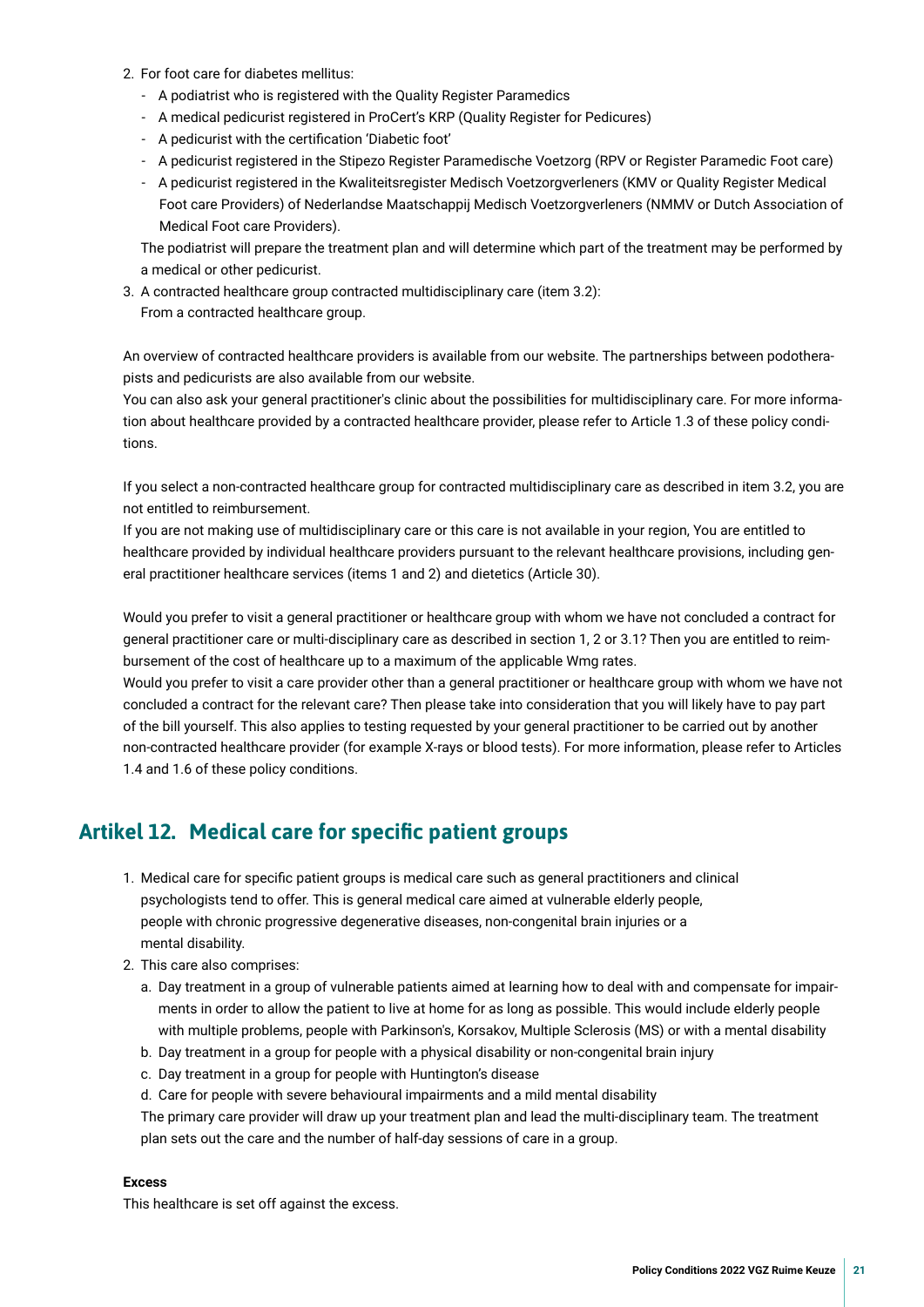- <span id="page-20-0"></span>2. For foot care for diabetes mellitus:
	- A podiatrist who is registered with the Quality Register Paramedics
	- A medical pedicurist registered in ProCert's KRP (Quality Register for Pedicures)
	- A pedicurist with the certifcation 'Diabetic foot'
	- A pedicurist registered in the Stipezo Register Paramedische Voetzorg (RPV or Register Paramedic Foot care)
	- A pedicurist registered in the Kwaliteitsregister Medisch Voetzorgverleners (KMV or Quality Register Medical Foot care Providers) of Nederlandse Maatschappij Medisch Voetzorgverleners (NMMV or Dutch Association of Medical Foot care Providers).

The podiatrist will prepare the treatment plan and will determine which part of the treatment may be performed by a medical or other pedicurist.

3. A contracted healthcare group contracted multidisciplinary care (item 3.2): From a contracted healthcare group.

An overview of contracted healthcare providers is available from our website. The partnerships between podotherapists and pedicurists are also available from our website.

You can also ask your general practitioner's clinic about the possibilities for multidisciplinary care. For more information about healthcare provided by a contracted healthcare provider, please refer to Article 1.3 of these policy conditions.

If you select a non-contracted healthcare group for contracted multidisciplinary care as described in item 3.2, you are not entitled to reimbursement.

If you are not making use of multidisciplinary care or this care is not available in your region, You are entitled to healthcare provided by individual healthcare providers pursuant to the relevant healthcare provisions, including general practitioner healthcare services (items 1 and 2) and dietetics (Article 30).

Would you prefer to visit a general practitioner or healthcare group with whom we have not concluded a contract for general practitioner care or multi-disciplinary care as described in section 1, 2 or 3.1? Then you are entitled to reimbursement of the cost of healthcare up to a maximum of the applicable Wmg rates.

Would you prefer to visit a care provider other than a general practitioner or healthcare group with whom we have not concluded a contract for the relevant care? Then please take into consideration that you will likely have to pay part of the bill yourself. This also applies to testing requested by your general practitioner to be carried out by another non-contracted healthcare provider (for example X-rays or blood tests). For more information, please refer to Articles 1.4 and 1.6 of these policy conditions.

## **Artikel 12. Medical care for specifc patient groups**

- 1. Medical care for specifc patient groups is medical care such as general practitioners and clinical psychologists tend to offer. This is general medical care aimed at vulnerable elderly people, people with chronic progressive degenerative diseases, non-congenital brain injuries or a mental disability.
- 2. This care also comprises:
	- a. Day treatment in a group of vulnerable patients aimed at learning how to deal with and compensate for impairments in order to allow the patient to live at home for as long as possible. This would include elderly people with multiple problems, people with Parkinson's, Korsakov, Multiple Sclerosis (MS) or with a mental disability
	- b. Day treatment in a group for people with a physical disability or non-congenital brain injury
	- c. Day treatment in a group for people with Huntington's disease
	- d. Care for people with severe behavioural impairments and a mild mental disability

The primary care provider will draw up your treatment plan and lead the multi-disciplinary team. The treatment plan sets out the care and the number of half-day sessions of care in a group.

#### **Excess**

This healthcare is set off against the excess.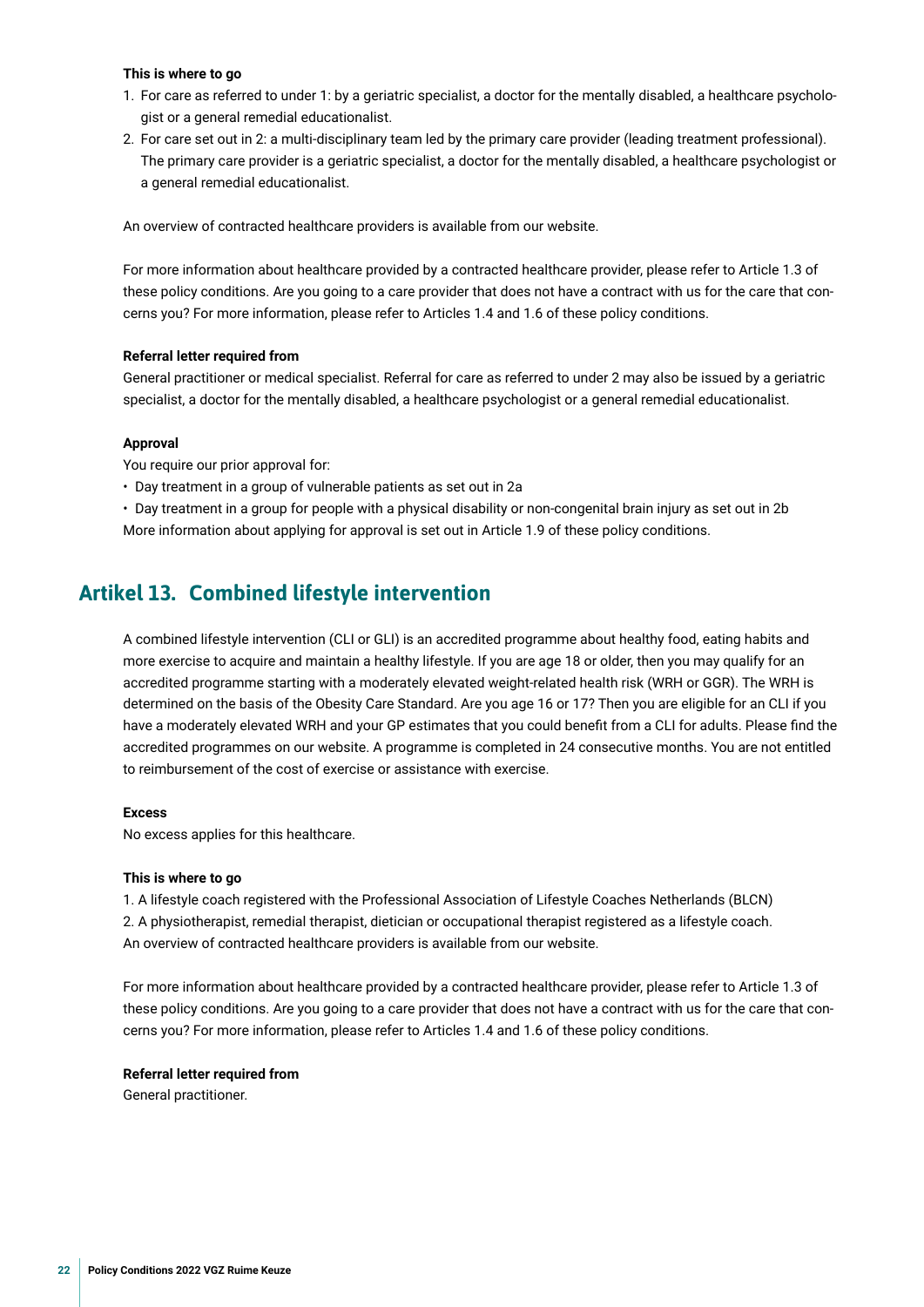#### <span id="page-21-0"></span>**This is where to go**

- 1. For care as referred to under 1: by a geriatric specialist, a doctor for the mentally disabled, a healthcare psychologist or a general remedial educationalist.
- 2. For care set out in 2: a multi-disciplinary team led by the primary care provider (leading treatment professional). The primary care provider is a geriatric specialist, a doctor for the mentally disabled, a healthcare psychologist or a general remedial educationalist.

An overview of contracted healthcare providers is available from our website.

For more information about healthcare provided by a contracted healthcare provider, please refer to Article 1.3 of these policy conditions. Are you going to a care provider that does not have a contract with us for the care that concerns you? For more information, please refer to Articles 1.4 and 1.6 of these policy conditions.

#### **Referral letter required from**

General practitioner or medical specialist. Referral for care as referred to under 2 may also be issued by a geriatric specialist, a doctor for the mentally disabled, a healthcare psychologist or a general remedial educationalist.

#### **Approval**

You require our prior approval for:

- Day treatment in a group of vulnerable patients as set out in 2a
- Day treatment in a group for people with a physical disability or non-congenital brain injury as set out in 2b More information about applying for approval is set out in Article 1.9 of these policy conditions.

## **Artikel 13. Combined lifestyle intervention**

A combined lifestyle intervention (CLI or GLI) is an accredited programme about healthy food, eating habits and more exercise to acquire and maintain a healthy lifestyle. If you are age 18 or older, then you may qualify for an accredited programme starting with a moderately elevated weight-related health risk (WRH or GGR). The WRH is determined on the basis of the Obesity Care Standard. Are you age 16 or 17? Then you are eligible for an CLI if you have a moderately elevated WRH and your GP estimates that you could beneft from a CLI for adults. Please fnd the accredited programmes on our website. A programme is completed in 24 consecutive months. You are not entitled to reimbursement of the cost of exercise or assistance with exercise.

#### **Excess**

No excess applies for this healthcare.

#### **This is where to go**

1. A lifestyle coach registered with the Professional Association of Lifestyle Coaches Netherlands (BLCN) 2. A physiotherapist, remedial therapist, dietician or occupational therapist registered as a lifestyle coach. An overview of contracted healthcare providers is available from our website.

For more information about healthcare provided by a contracted healthcare provider, please refer to Article 1.3 of these policy conditions. Are you going to a care provider that does not have a contract with us for the care that concerns you? For more information, please refer to Articles 1.4 and 1.6 of these policy conditions.

#### **Referral letter required from**

General practitioner.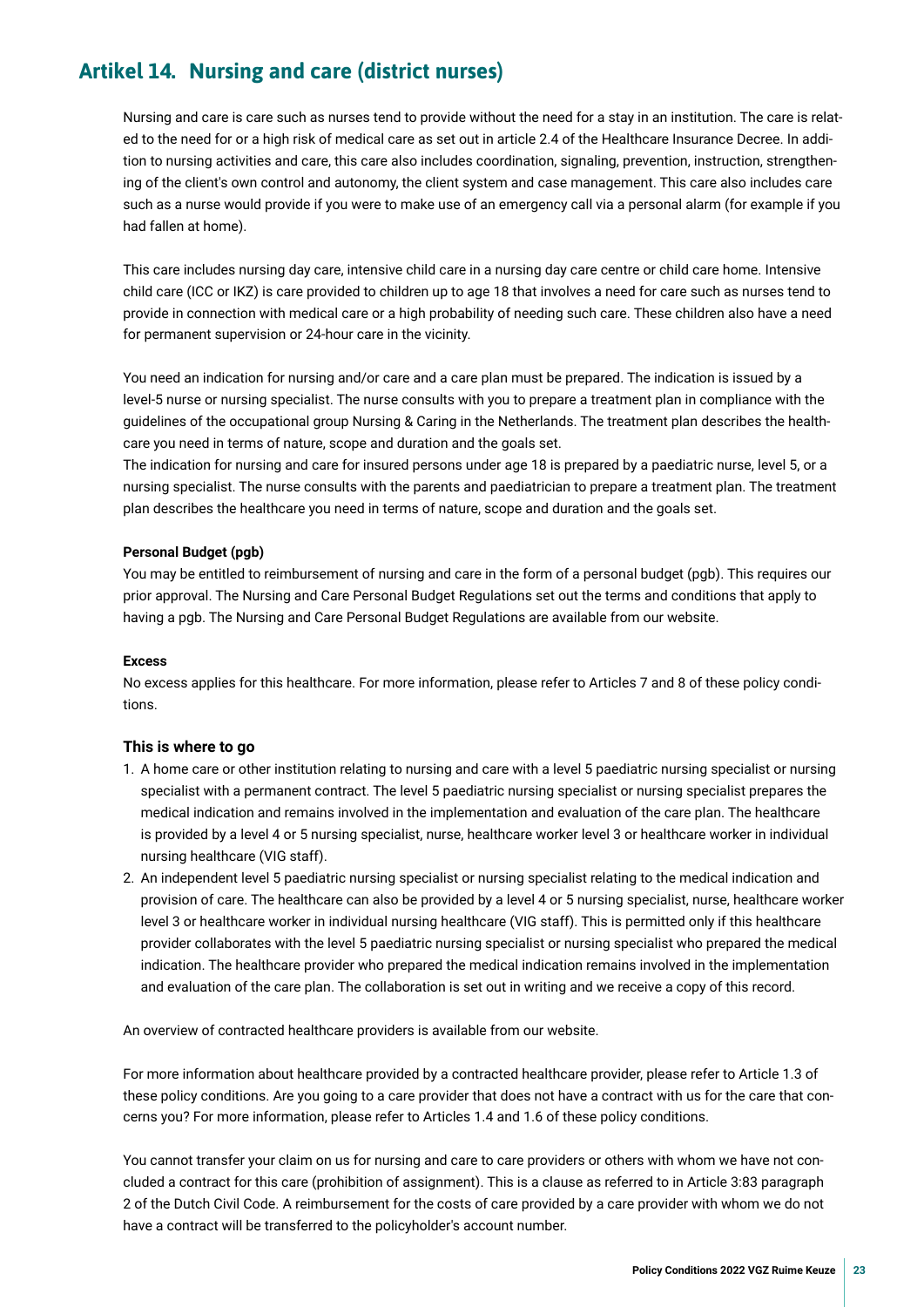## <span id="page-22-0"></span>**Artikel 14. Nursing and care (district nurses)**

Nursing and care is care such as nurses tend to provide without the need for a stay in an institution. The care is related to the need for or a high risk of medical care as set out in article 2.4 of the Healthcare Insurance Decree. In addition to nursing activities and care, this care also includes coordination, signaling, prevention, instruction, strengthening of the client's own control and autonomy, the client system and case management. This care also includes care such as a nurse would provide if you were to make use of an emergency call via a personal alarm (for example if you had fallen at home).

This care includes nursing day care, intensive child care in a nursing day care centre or child care home. Intensive child care (ICC or IKZ) is care provided to children up to age 18 that involves a need for care such as nurses tend to provide in connection with medical care or a high probability of needing such care. These children also have a need for permanent supervision or 24-hour care in the vicinity.

You need an indication for nursing and/or care and a care plan must be prepared. The indication is issued by a level-5 nurse or nursing specialist. The nurse consults with you to prepare a treatment plan in compliance with the guidelines of the occupational group Nursing & Caring in the Netherlands. The treatment plan describes the healthcare you need in terms of nature, scope and duration and the goals set.

The indication for nursing and care for insured persons under age 18 is prepared by a paediatric nurse, level 5, or a nursing specialist. The nurse consults with the parents and paediatrician to prepare a treatment plan. The treatment plan describes the healthcare you need in terms of nature, scope and duration and the goals set.

#### **Personal Budget (pgb)**

You may be entitled to reimbursement of nursing and care in the form of a personal budget (pgb). This requires our prior approval. The Nursing and Care Personal Budget Regulations set out the terms and conditions that apply to having a pgb. The Nursing and Care Personal Budget Regulations are available from our website.

#### **Excess**

No excess applies for this healthcare. For more information, please refer to Articles 7 and 8 of these policy conditions.

#### **This is where to go**

- 1. A home care or other institution relating to nursing and care with a level 5 paediatric nursing specialist or nursing specialist with a permanent contract. The level 5 paediatric nursing specialist or nursing specialist prepares the medical indication and remains involved in the implementation and evaluation of the care plan. The healthcare is provided by a level 4 or 5 nursing specialist, nurse, healthcare worker level 3 or healthcare worker in individual nursing healthcare (VIG staff).
- 2. An independent level 5 paediatric nursing specialist or nursing specialist relating to the medical indication and provision of care. The healthcare can also be provided by a level 4 or 5 nursing specialist, nurse, healthcare worker level 3 or healthcare worker in individual nursing healthcare (VIG staff). This is permitted only if this healthcare provider collaborates with the level 5 paediatric nursing specialist or nursing specialist who prepared the medical indication. The healthcare provider who prepared the medical indication remains involved in the implementation and evaluation of the care plan. The collaboration is set out in writing and we receive a copy of this record.

An overview of contracted healthcare providers is available from our website.

For more information about healthcare provided by a contracted healthcare provider, please refer to Article 1.3 of these policy conditions. Are you going to a care provider that does not have a contract with us for the care that concerns you? For more information, please refer to Articles 1.4 and 1.6 of these policy conditions.

You cannot transfer your claim on us for nursing and care to care providers or others with whom we have not concluded a contract for this care (prohibition of assignment). This is a clause as referred to in Article 3:83 paragraph 2 of the Dutch Civil Code. A reimbursement for the costs of care provided by a care provider with whom we do not have a contract will be transferred to the policyholder's account number.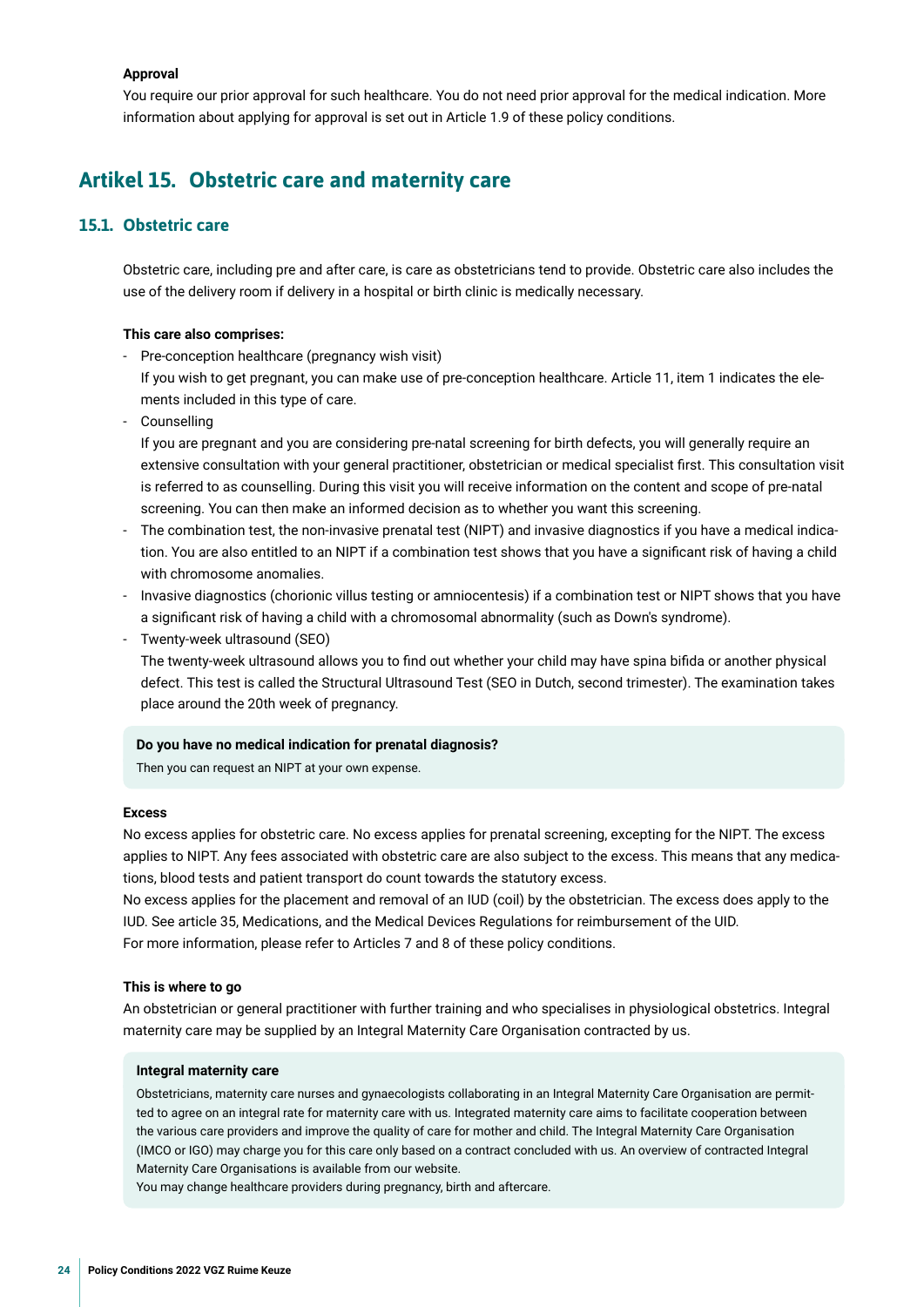#### <span id="page-23-0"></span>**Approval**

You require our prior approval for such healthcare. You do not need prior approval for the medical indication. More information about applying for approval is set out in Article 1.9 of these policy conditions.

## **Artikel 15. Obstetric care and maternity care**

#### **15.1. Obstetric care**

Obstetric care, including pre and after care, is care as obstetricians tend to provide. Obstetric care also includes the use of the delivery room if delivery in a hospital or birth clinic is medically necessary.

#### **This care also comprises:**

- Pre-conception healthcare (pregnancy wish visit)

If you wish to get pregnant, you can make use of pre-conception healthcare. Article 11, item 1 indicates the elements included in this type of care.

**Counselling** 

If you are pregnant and you are considering pre-natal screening for birth defects, you will generally require an extensive consultation with your general practitioner, obstetrician or medical specialist frst. This consultation visit is referred to as counselling. During this visit you will receive information on the content and scope of pre-natal screening. You can then make an informed decision as to whether you want this screening.

- The combination test, the non-invasive prenatal test (NIPT) and invasive diagnostics if you have a medical indication. You are also entitled to an NIPT if a combination test shows that you have a signifcant risk of having a child with chromosome anomalies.
- Invasive diagnostics (chorionic villus testing or amniocentesis) if a combination test or NIPT shows that you have a signifcant risk of having a child with a chromosomal abnormality (such as Down's syndrome).
- Twenty-week ultrasound (SEO)

The twenty-week ultrasound allows you to fnd out whether your child may have spina bifda or another physical defect. This test is called the Structural Ultrasound Test (SEO in Dutch, second trimester). The examination takes place around the 20th week of pregnancy.

#### **Do you have no medical indication for prenatal diagnosis?**

Then you can request an NIPT at your own expense.

#### **Excess**

No excess applies for obstetric care. No excess applies for prenatal screening, excepting for the NIPT. The excess applies to NIPT. Any fees associated with obstetric care are also subject to the excess. This means that any medications, blood tests and patient transport do count towards the statutory excess.

No excess applies for the placement and removal of an IUD (coil) by the obstetrician. The excess does apply to the IUD. See article 35, Medications, and the Medical Devices Regulations for reimbursement of the UID. For more information, please refer to Articles 7 and 8 of these policy conditions.

#### **This is where to go**

An obstetrician or general practitioner with further training and who specialises in physiological obstetrics. Integral maternity care may be supplied by an Integral Maternity Care Organisation contracted by us.

#### **Integral maternity care**

Obstetricians, maternity care nurses and gynaecologists collaborating in an Integral Maternity Care Organisation are permitted to agree on an integral rate for maternity care with us. Integrated maternity care aims to facilitate cooperation between the various care providers and improve the quality of care for mother and child. The Integral Maternity Care Organisation (IMCO or IGO) may charge you for this care only based on a contract concluded with us. An overview of contracted Integral Maternity Care Organisations is available from our website.

You may change healthcare providers during pregnancy, birth and aftercare.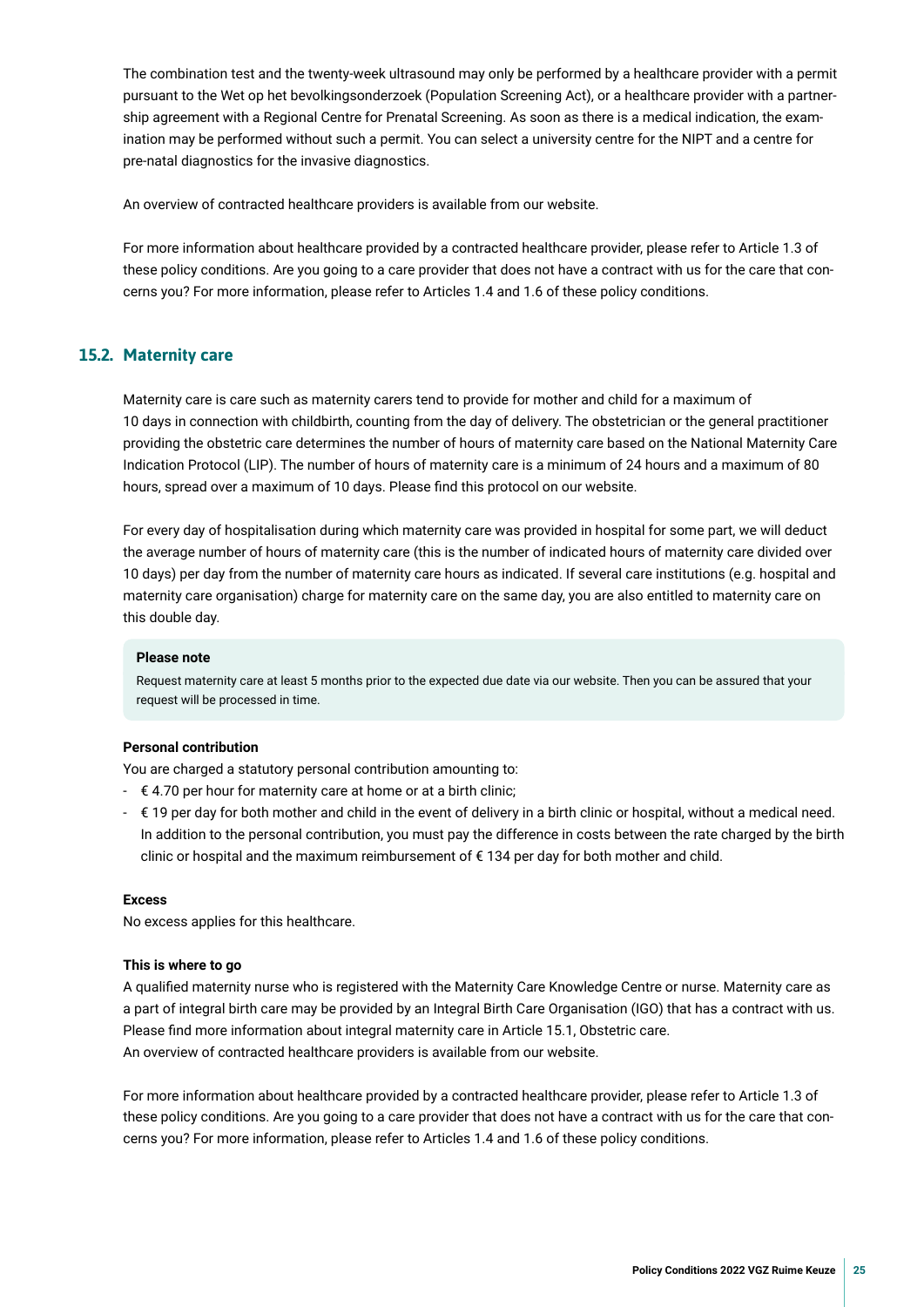The combination test and the twenty-week ultrasound may only be performed by a healthcare provider with a permit pursuant to the Wet op het bevolkingsonderzoek (Population Screening Act), or a healthcare provider with a partnership agreement with a Regional Centre for Prenatal Screening. As soon as there is a medical indication, the examination may be performed without such a permit. You can select a university centre for the NIPT and a centre for pre-natal diagnostics for the invasive diagnostics.

An overview of contracted healthcare providers is available from our website.

For more information about healthcare provided by a contracted healthcare provider, please refer to Article 1.3 of these policy conditions. Are you going to a care provider that does not have a contract with us for the care that concerns you? For more information, please refer to Articles 1.4 and 1.6 of these policy conditions.

#### **15.2. Maternity care**

Maternity care is care such as maternity carers tend to provide for mother and child for a maximum of 10 days in connection with childbirth, counting from the day of delivery. The obstetrician or the general practitioner providing the obstetric care determines the number of hours of maternity care based on the National Maternity Care Indication Protocol (LIP). The number of hours of maternity care is a minimum of 24 hours and a maximum of 80 hours, spread over a maximum of 10 days. Please fnd this protocol on our website.

For every day of hospitalisation during which maternity care was provided in hospital for some part, we will deduct the average number of hours of maternity care (this is the number of indicated hours of maternity care divided over 10 days) per day from the number of maternity care hours as indicated. If several care institutions (e.g. hospital and maternity care organisation) charge for maternity care on the same day, you are also entitled to maternity care on this double day.

#### **Please note**

Request maternity care at least 5 months prior to the expected due date via our website. Then you can be assured that your request will be processed in time.

#### **Personal contribution**

You are charged a statutory personal contribution amounting to:

- $\epsilon$  4.70 per hour for maternity care at home or at a birth clinic;
- $\epsilon$  19 per day for both mother and child in the event of delivery in a birth clinic or hospital, without a medical need. In addition to the personal contribution, you must pay the difference in costs between the rate charged by the birth clinic or hospital and the maximum reimbursement of € 134 per day for both mother and child.

#### **Excess**

No excess applies for this healthcare.

#### **This is where to go**

A qualifed maternity nurse who is registered with the Maternity Care Knowledge Centre or nurse. Maternity care as a part of integral birth care may be provided by an Integral Birth Care Organisation (IGO) that has a contract with us. Please fnd more information about integral maternity care in Article 15.1, Obstetric care. An overview of contracted healthcare providers is available from our website.

For more information about healthcare provided by a contracted healthcare provider, please refer to Article 1.3 of these policy conditions. Are you going to a care provider that does not have a contract with us for the care that concerns you? For more information, please refer to Articles 1.4 and 1.6 of these policy conditions.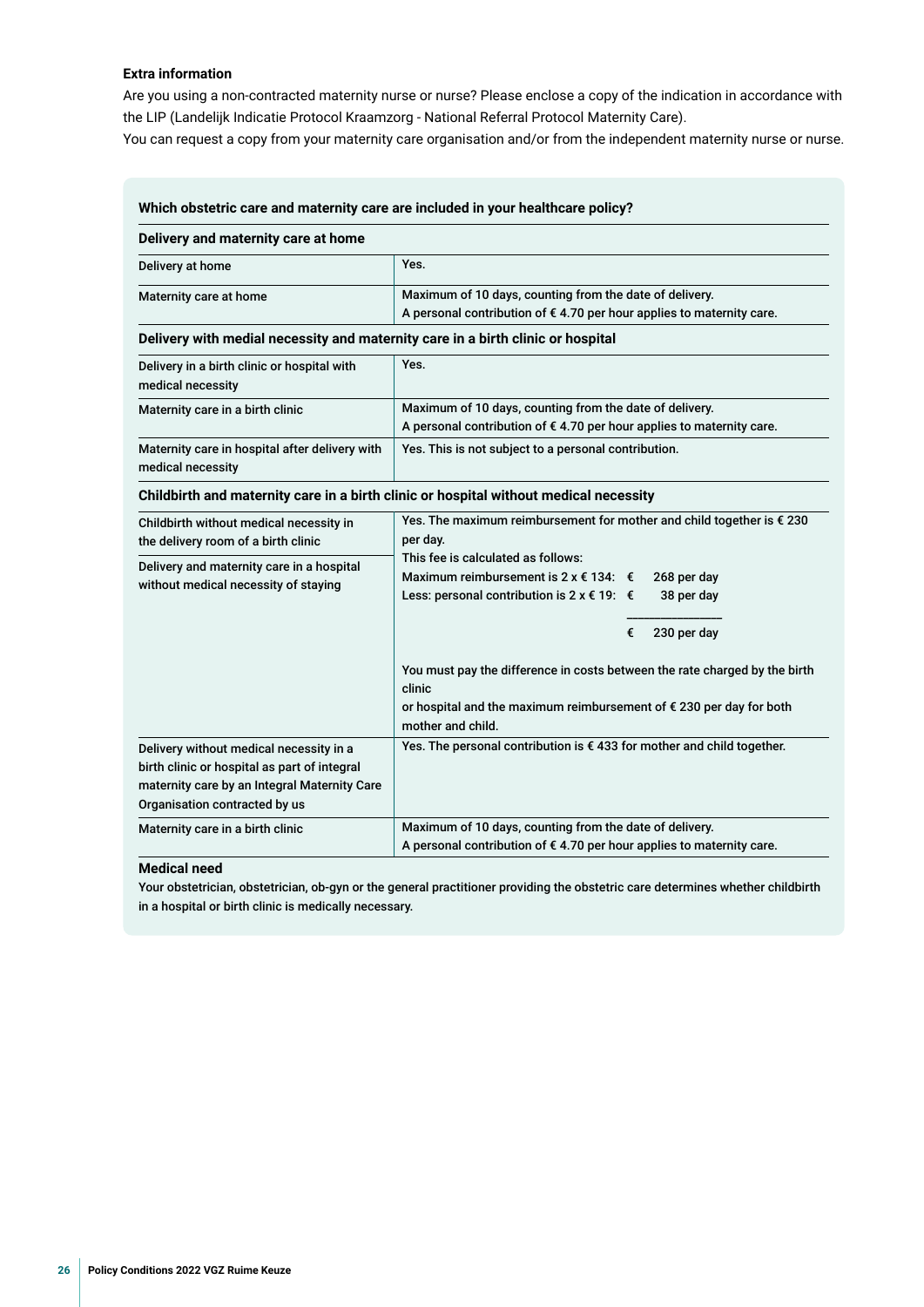#### **Extra information**

Are you using a non-contracted maternity nurse or nurse? Please enclose a copy of the indication in accordance with the LIP (Landelijk Indicatie Protocol Kraamzorg - National Referral Protocol Maternity Care).

You can request a copy from your maternity care organisation and/or from the independent maternity nurse or nurse.

| Delivery and maternity care at home                                                                                                                                      |                                                                                                                                                                                                      |  |  |
|--------------------------------------------------------------------------------------------------------------------------------------------------------------------------|------------------------------------------------------------------------------------------------------------------------------------------------------------------------------------------------------|--|--|
| Delivery at home                                                                                                                                                         | Yes.                                                                                                                                                                                                 |  |  |
| Maternity care at home                                                                                                                                                   | Maximum of 10 days, counting from the date of delivery.<br>A personal contribution of $\epsilon$ 4.70 per hour applies to maternity care.                                                            |  |  |
| Delivery with medial necessity and maternity care in a birth clinic or hospital                                                                                          |                                                                                                                                                                                                      |  |  |
| Delivery in a birth clinic or hospital with<br>medical necessity                                                                                                         | Yes.                                                                                                                                                                                                 |  |  |
| Maternity care in a birth clinic                                                                                                                                         | Maximum of 10 days, counting from the date of delivery.<br>A personal contribution of €4.70 per hour applies to maternity care.                                                                      |  |  |
| Maternity care in hospital after delivery with<br>medical necessity                                                                                                      | Yes. This is not subject to a personal contribution.                                                                                                                                                 |  |  |
|                                                                                                                                                                          | Childbirth and maternity care in a birth clinic or hospital without medical necessity                                                                                                                |  |  |
| Childbirth without medical necessity in<br>the delivery room of a birth clinic                                                                                           | Yes. The maximum reimbursement for mother and child together is $\epsilon$ 230<br>per day.                                                                                                           |  |  |
| Delivery and maternity care in a hospital<br>without medical necessity of staying                                                                                        | This fee is calculated as follows:<br>Maximum reimbursement is 2 x $\epsilon$ 134: $\epsilon$<br>268 per day<br>Less: personal contribution is $2 \times \text{\textsterling} 19$ : €<br>38 per day  |  |  |
|                                                                                                                                                                          | €<br>230 per day<br>You must pay the difference in costs between the rate charged by the birth<br>clinic<br>or hospital and the maximum reimbursement of € 230 per day for both<br>mother and child. |  |  |
| Delivery without medical necessity in a<br>birth clinic or hospital as part of integral<br>maternity care by an Integral Maternity Care<br>Organisation contracted by us | Yes. The personal contribution is $\epsilon$ 433 for mother and child together.                                                                                                                      |  |  |
| Maximum of 10 days, counting from the date of delivery.<br>Maternity care in a birth clinic<br>A personal contribution of €4.70 per hour applies to maternity care.      |                                                                                                                                                                                                      |  |  |

#### **Medical need**

Your obstetrician, obstetrician, ob-gyn or the general practitioner providing the obstetric care determines whether childbirth in a hospital or birth clinic is medically necessary.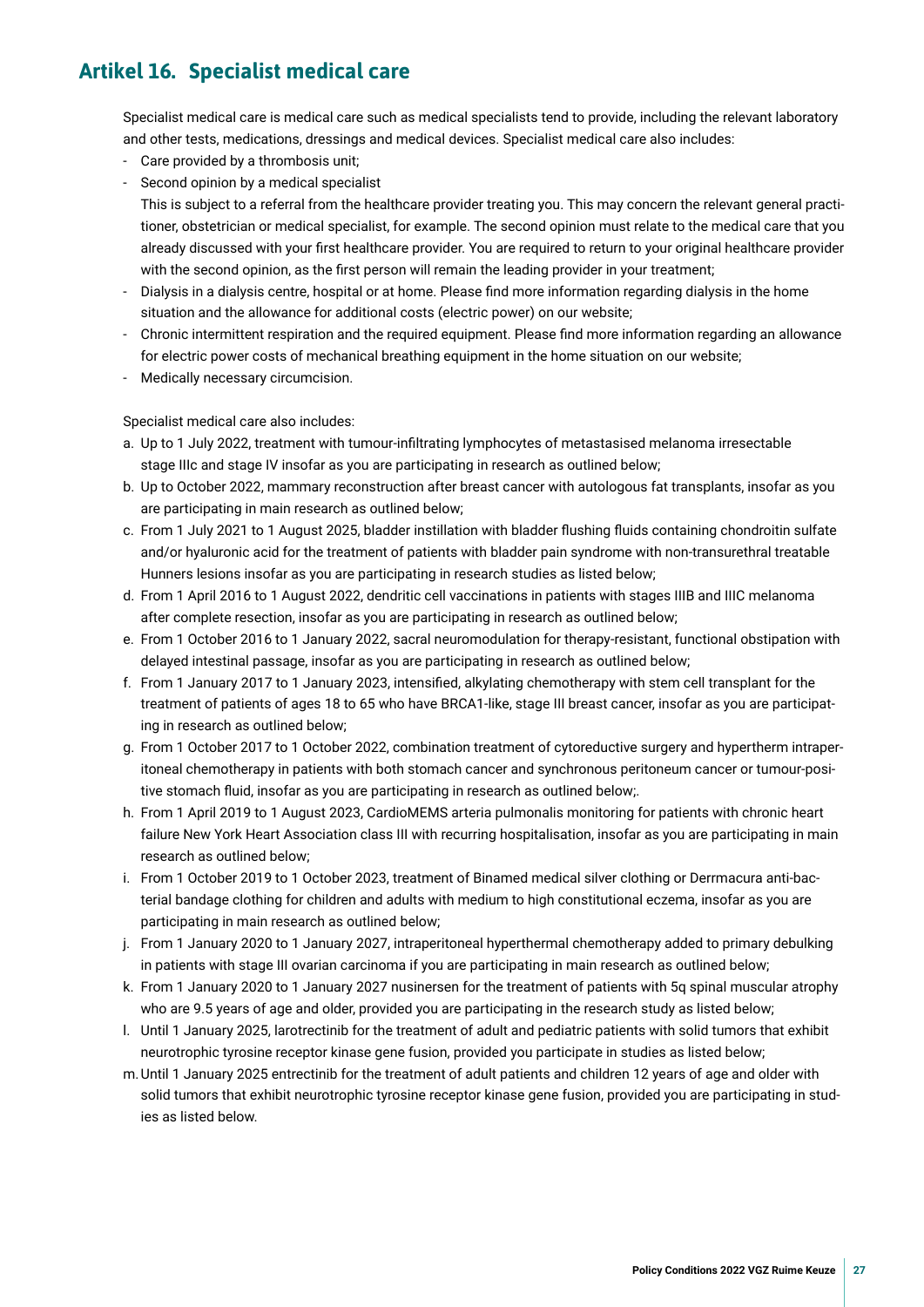## <span id="page-26-0"></span>**Artikel 16. Specialist medical care**

Specialist medical care is medical care such as medical specialists tend to provide, including the relevant laboratory and other tests, medications, dressings and medical devices. Specialist medical care also includes:

- Care provided by a thrombosis unit;
- Second opinion by a medical specialist

This is subject to a referral from the healthcare provider treating you. This may concern the relevant general practitioner, obstetrician or medical specialist, for example. The second opinion must relate to the medical care that you already discussed with your frst healthcare provider. You are required to return to your original healthcare provider with the second opinion, as the frst person will remain the leading provider in your treatment;

- Dialysis in a dialysis centre, hospital or at home. Please fnd more information regarding dialysis in the home situation and the allowance for additional costs (electric power) on our website;
- Chronic intermittent respiration and the required equipment. Please fnd more information regarding an allowance for electric power costs of mechanical breathing equipment in the home situation on our website;
- Medically necessary circumcision.

Specialist medical care also includes:

- a. Up to 1 July 2022, treatment with tumour-infltrating lymphocytes of metastasised melanoma irresectable stage IIIc and stage IV insofar as you are participating in research as outlined below;
- b. Up to October 2022, mammary reconstruction after breast cancer with autologous fat transplants, insofar as you are participating in main research as outlined below;
- c. From 1 July 2021 to 1 August 2025, bladder instillation with bladder fushing fuids containing chondroitin sulfate and/or hyaluronic acid for the treatment of patients with bladder pain syndrome with non-transurethral treatable Hunners lesions insofar as you are participating in research studies as listed below;
- d. From 1 April 2016 to 1 August 2022, dendritic cell vaccinations in patients with stages IIIB and IIIC melanoma after complete resection, insofar as you are participating in research as outlined below;
- e. From 1 October 2016 to 1 January 2022, sacral neuromodulation for therapy-resistant, functional obstipation with delayed intestinal passage, insofar as you are participating in research as outlined below;
- f. From 1 January 2017 to 1 January 2023, intensifed, alkylating chemotherapy with stem cell transplant for the treatment of patients of ages 18 to 65 who have BRCA1-like, stage III breast cancer, insofar as you are participating in research as outlined below;
- g. From 1 October 2017 to 1 October 2022, combination treatment of cytoreductive surgery and hypertherm intraperitoneal chemotherapy in patients with both stomach cancer and synchronous peritoneum cancer or tumour-positive stomach fuid, insofar as you are participating in research as outlined below;.
- h. From 1 April 2019 to 1 August 2023, CardioMEMS arteria pulmonalis monitoring for patients with chronic heart failure New York Heart Association class III with recurring hospitalisation, insofar as you are participating in main research as outlined below;
- i. From 1 October 2019 to 1 October 2023, treatment of Binamed medical silver clothing or Derrmacura anti-bacterial bandage clothing for children and adults with medium to high constitutional eczema, insofar as you are participating in main research as outlined below;
- j. From 1 January 2020 to 1 January 2027, intraperitoneal hyperthermal chemotherapy added to primary debulking in patients with stage III ovarian carcinoma if you are participating in main research as outlined below;
- k. From 1 January 2020 to 1 January 2027 nusinersen for the treatment of patients with 5q spinal muscular atrophy who are 9.5 years of age and older, provided you are participating in the research study as listed below;
- l. Until 1 January 2025, larotrectinib for the treatment of adult and pediatric patients with solid tumors that exhibit neurotrophic tyrosine receptor kinase gene fusion, provided you participate in studies as listed below;
- m.Until 1 January 2025 entrectinib for the treatment of adult patients and children 12 years of age and older with solid tumors that exhibit neurotrophic tyrosine receptor kinase gene fusion, provided you are participating in studies as listed below.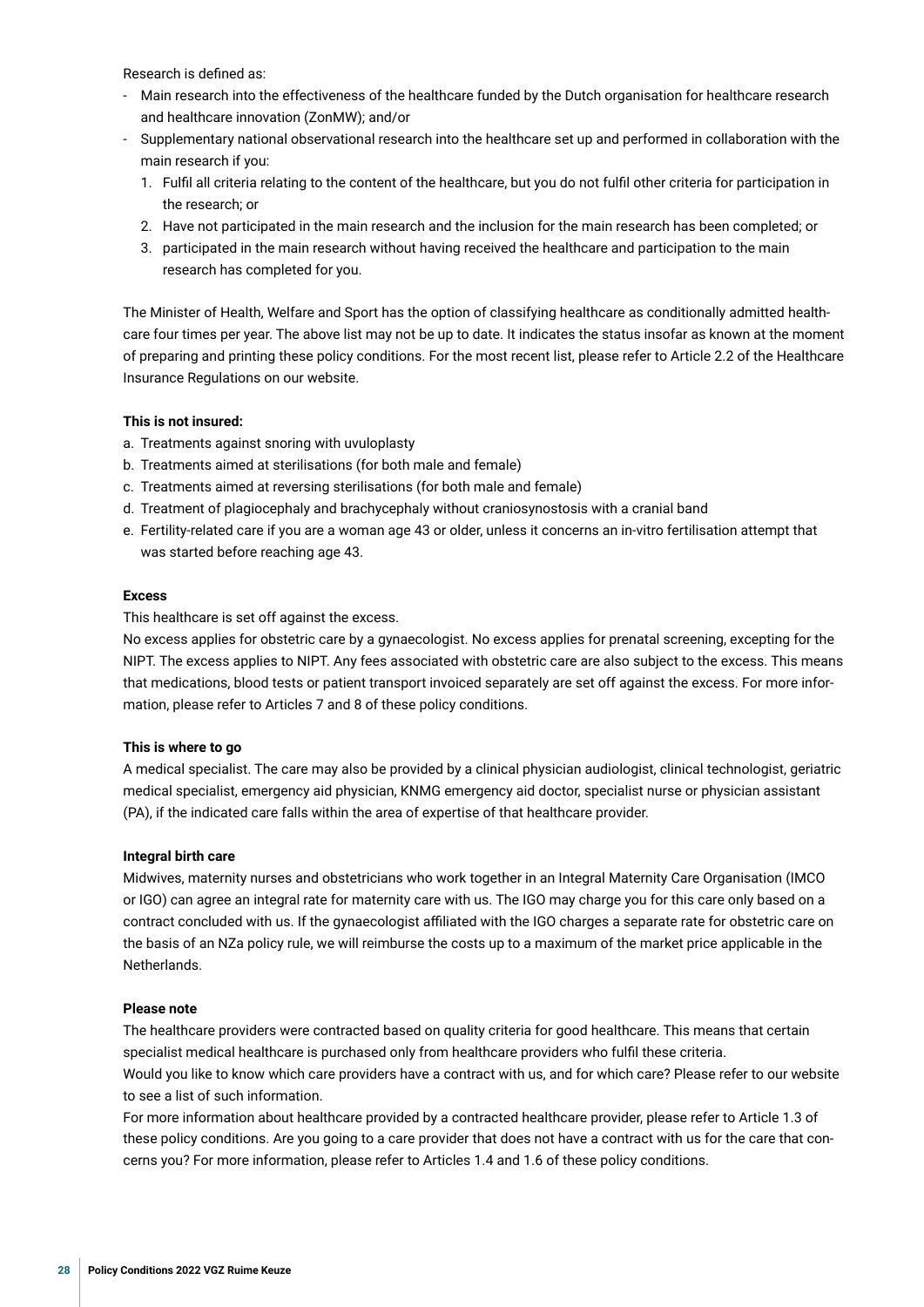Research is defned as:

- Main research into the effectiveness of the healthcare funded by the Dutch organisation for healthcare research and healthcare innovation (ZonMW); and/or
- Supplementary national observational research into the healthcare set up and performed in collaboration with the main research if you:
	- 1. Fulfl all criteria relating to the content of the healthcare, but you do not fulfl other criteria for participation in the research; or
	- 2. Have not participated in the main research and the inclusion for the main research has been completed; or
	- 3. participated in the main research without having received the healthcare and participation to the main research has completed for you.

The Minister of Health, Welfare and Sport has the option of classifying healthcare as conditionally admitted healthcare four times per year. The above list may not be up to date. It indicates the status insofar as known at the moment of preparing and printing these policy conditions. For the most recent list, please refer to Article 2.2 of the Healthcare Insurance Regulations on our website.

#### **This is not insured:**

- a. Treatments against snoring with uvuloplasty
- b. Treatments aimed at sterilisations (for both male and female)
- c. Treatments aimed at reversing sterilisations (for both male and female)
- d. Treatment of plagiocephaly and brachycephaly without craniosynostosis with a cranial band
- e. Fertility-related care if you are a woman age 43 or older, unless it concerns an in-vitro fertilisation attempt that was started before reaching age 43.

#### **Excess**

This healthcare is set off against the excess.

No excess applies for obstetric care by a gynaecologist. No excess applies for prenatal screening, excepting for the NIPT. The excess applies to NIPT. Any fees associated with obstetric care are also subject to the excess. This means that medications, blood tests or patient transport invoiced separately are set off against the excess. For more information, please refer to Articles 7 and 8 of these policy conditions.

#### **This is where to go**

A medical specialist. The care may also be provided by a clinical physician audiologist, clinical technologist, geriatric medical specialist, emergency aid physician, KNMG emergency aid doctor, specialist nurse or physician assistant (PA), if the indicated care falls within the area of expertise of that healthcare provider.

#### **Integral birth care**

Midwives, maternity nurses and obstetricians who work together in an Integral Maternity Care Organisation (IMCO or IGO) can agree an integral rate for maternity care with us. The IGO may charge you for this care only based on a contract concluded with us. If the gynaecologist afliated with the IGO charges a separate rate for obstetric care on the basis of an NZa policy rule, we will reimburse the costs up to a maximum of the market price applicable in the Netherlands.

#### **Please note**

The healthcare providers were contracted based on quality criteria for good healthcare. This means that certain specialist medical healthcare is purchased only from healthcare providers who fulfl these criteria. Would you like to know which care providers have a contract with us, and for which care? Please refer to our website to see a list of such information.

For more information about healthcare provided by a contracted healthcare provider, please refer to Article 1.3 of these policy conditions. Are you going to a care provider that does not have a contract with us for the care that concerns you? For more information, please refer to Articles 1.4 and 1.6 of these policy conditions.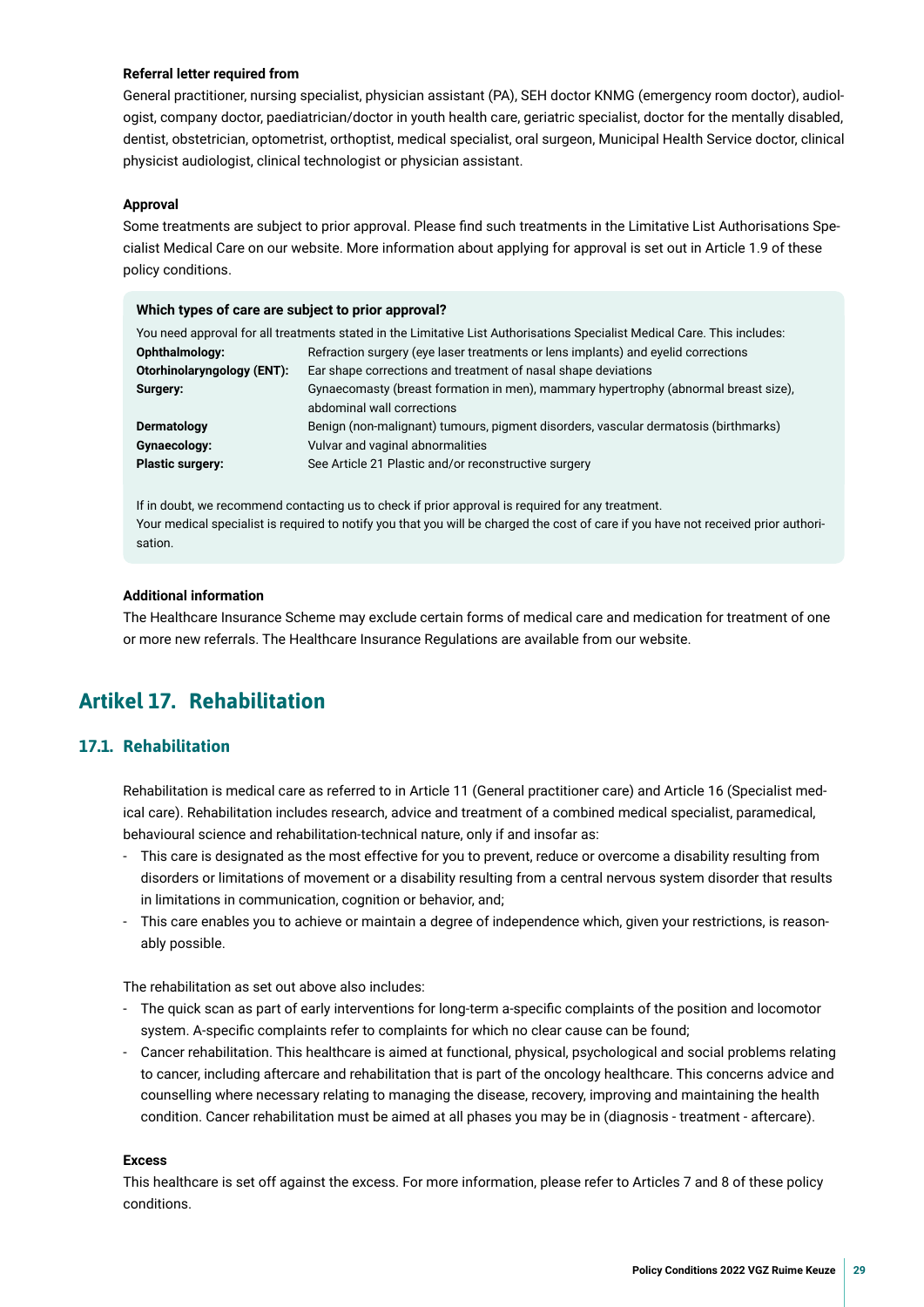#### <span id="page-28-0"></span>**Referral letter required from**

General practitioner, nursing specialist, physician assistant (PA), SEH doctor KNMG (emergency room doctor), audiologist, company doctor, paediatrician/doctor in youth health care, geriatric specialist, doctor for the mentally disabled, dentist, obstetrician, optometrist, orthoptist, medical specialist, oral surgeon, Municipal Health Service doctor, clinical physicist audiologist, clinical technologist or physician assistant.

#### **Approval**

Some treatments are subject to prior approval. Please fnd such treatments in the Limitative List Authorisations Specialist Medical Care on our website. More information about applying for approval is set out in Article 1.9 of these policy conditions.

#### **Which types of care are subject to prior approval?**

| You need approval for all treatments stated in the Limitative List Authorisations Specialist Medical Care. This includes: |                                                                                     |  |  |  |
|---------------------------------------------------------------------------------------------------------------------------|-------------------------------------------------------------------------------------|--|--|--|
| Refraction surgery (eye laser treatments or lens implants) and eyelid corrections<br>Ophthalmology:                       |                                                                                     |  |  |  |
| Otorhinolaryngology (ENT):                                                                                                | Ear shape corrections and treatment of nasal shape deviations                       |  |  |  |
| Gynaecomasty (breast formation in men), mammary hypertrophy (abnormal breast size),<br>Surgery:                           |                                                                                     |  |  |  |
|                                                                                                                           | abdominal wall corrections                                                          |  |  |  |
| Dermatology                                                                                                               | Benign (non-malignant) tumours, pigment disorders, vascular dermatosis (birthmarks) |  |  |  |
| Gynaecology:                                                                                                              | Vulvar and vaginal abnormalities                                                    |  |  |  |
| <b>Plastic surgery:</b>                                                                                                   | See Article 21 Plastic and/or reconstructive surgery                                |  |  |  |

If in doubt, we recommend contacting us to check if prior approval is required for any treatment. Your medical specialist is required to notify you that you will be charged the cost of care if you have not received prior authorisation.

#### **Additional information**

The Healthcare Insurance Scheme may exclude certain forms of medical care and medication for treatment of one or more new referrals. The Healthcare Insurance Regulations are available from our website.

## **Artikel 17. Rehabilitation**

#### **17.1. Rehabilitation**

Rehabilitation is medical care as referred to in Article 11 (General practitioner care) and Article 16 (Specialist medical care). Rehabilitation includes research, advice and treatment of a combined medical specialist, paramedical, behavioural science and rehabilitation-technical nature, only if and insofar as:

- This care is designated as the most effective for you to prevent, reduce or overcome a disability resulting from disorders or limitations of movement or a disability resulting from a central nervous system disorder that results in limitations in communication, cognition or behavior, and;
- This care enables you to achieve or maintain a degree of independence which, given your restrictions, is reasonably possible.

The rehabilitation as set out above also includes:

- The quick scan as part of early interventions for long-term a-specifc complaints of the position and locomotor system. A-specifc complaints refer to complaints for which no clear cause can be found;
- Cancer rehabilitation. This healthcare is aimed at functional, physical, psychological and social problems relating to cancer, including aftercare and rehabilitation that is part of the oncology healthcare. This concerns advice and counselling where necessary relating to managing the disease, recovery, improving and maintaining the health condition. Cancer rehabilitation must be aimed at all phases you may be in (diagnosis - treatment - aftercare).

#### **Excess**

This healthcare is set off against the excess. For more information, please refer to Articles 7 and 8 of these policy conditions.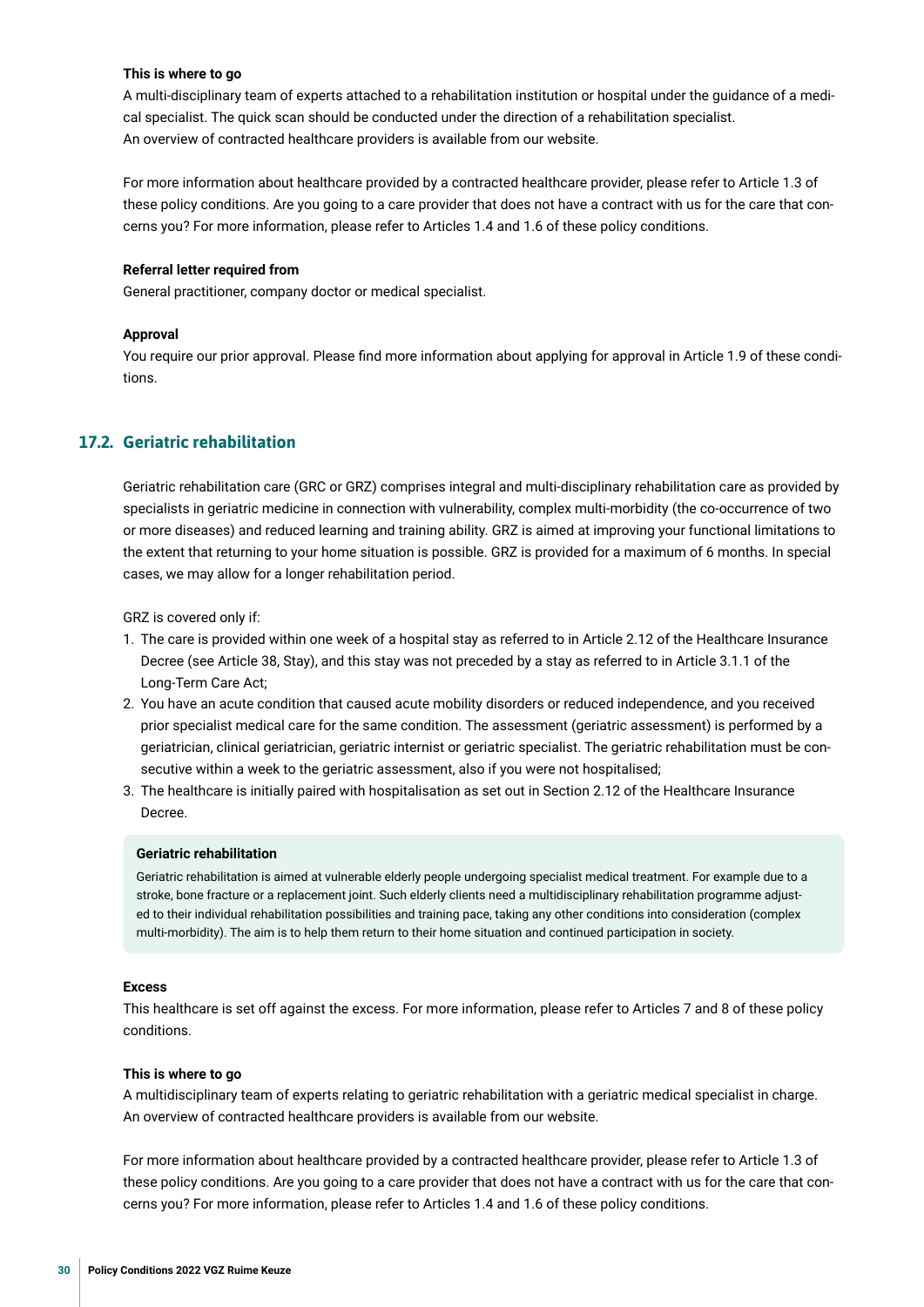#### **This is where to go**

A multi-disciplinary team of experts attached to a rehabilitation institution or hospital under the guidance of a medical specialist. The quick scan should be conducted under the direction of a rehabilitation specialist. An overview of contracted healthcare providers is available from our website.

For more information about healthcare provided by a contracted healthcare provider, please refer to Article 1.3 of these policy conditions. Are you going to a care provider that does not have a contract with us for the care that concerns you? For more information, please refer to Articles 1.4 and 1.6 of these policy conditions.

#### **Referral letter required from**

General practitioner, company doctor or medical specialist.

#### **Approval**

You require our prior approval. Please fnd more information about applying for approval in Article 1.9 of these conditions.

#### **17.2. Geriatric rehabilitation**

Geriatric rehabilitation care (GRC or GRZ) comprises integral and multi-disciplinary rehabilitation care as provided by specialists in geriatric medicine in connection with vulnerability, complex multi-morbidity (the co-occurrence of two or more diseases) and reduced learning and training ability. GRZ is aimed at improving your functional limitations to the extent that returning to your home situation is possible. GRZ is provided for a maximum of 6 months. In special cases, we may allow for a longer rehabilitation period.

GRZ is covered only if:

- 1. The care is provided within one week of a hospital stay as referred to in Article 2.12 of the Healthcare Insurance Decree (see Article 38, Stay), and this stay was not preceded by a stay as referred to in Article 3.1.1 of the Long-Term Care Act;
- 2. You have an acute condition that caused acute mobility disorders or reduced independence, and you received prior specialist medical care for the same condition. The assessment (geriatric assessment) is performed by a geriatrician, clinical geriatrician, geriatric internist or geriatric specialist. The geriatric rehabilitation must be consecutive within a week to the geriatric assessment, also if you were not hospitalised;
- 3. The healthcare is initially paired with hospitalisation as set out in Section 2.12 of the Healthcare Insurance Decree.

#### **Geriatric rehabilitation**

Geriatric rehabilitation is aimed at vulnerable elderly people undergoing specialist medical treatment. For example due to a stroke, bone fracture or a replacement joint. Such elderly clients need a multidisciplinary rehabilitation programme adjusted to their individual rehabilitation possibilities and training pace, taking any other conditions into consideration (complex multi-morbidity). The aim is to help them return to their home situation and continued participation in society.

#### **Excess**

This healthcare is set off against the excess. For more information, please refer to Articles 7 and 8 of these policy conditions.

#### **This is where to go**

A multidisciplinary team of experts relating to geriatric rehabilitation with a geriatric medical specialist in charge. An overview of contracted healthcare providers is available from our website.

For more information about healthcare provided by a contracted healthcare provider, please refer to Article 1.3 of these policy conditions. Are you going to a care provider that does not have a contract with us for the care that concerns you? For more information, please refer to Articles 1.4 and 1.6 of these policy conditions.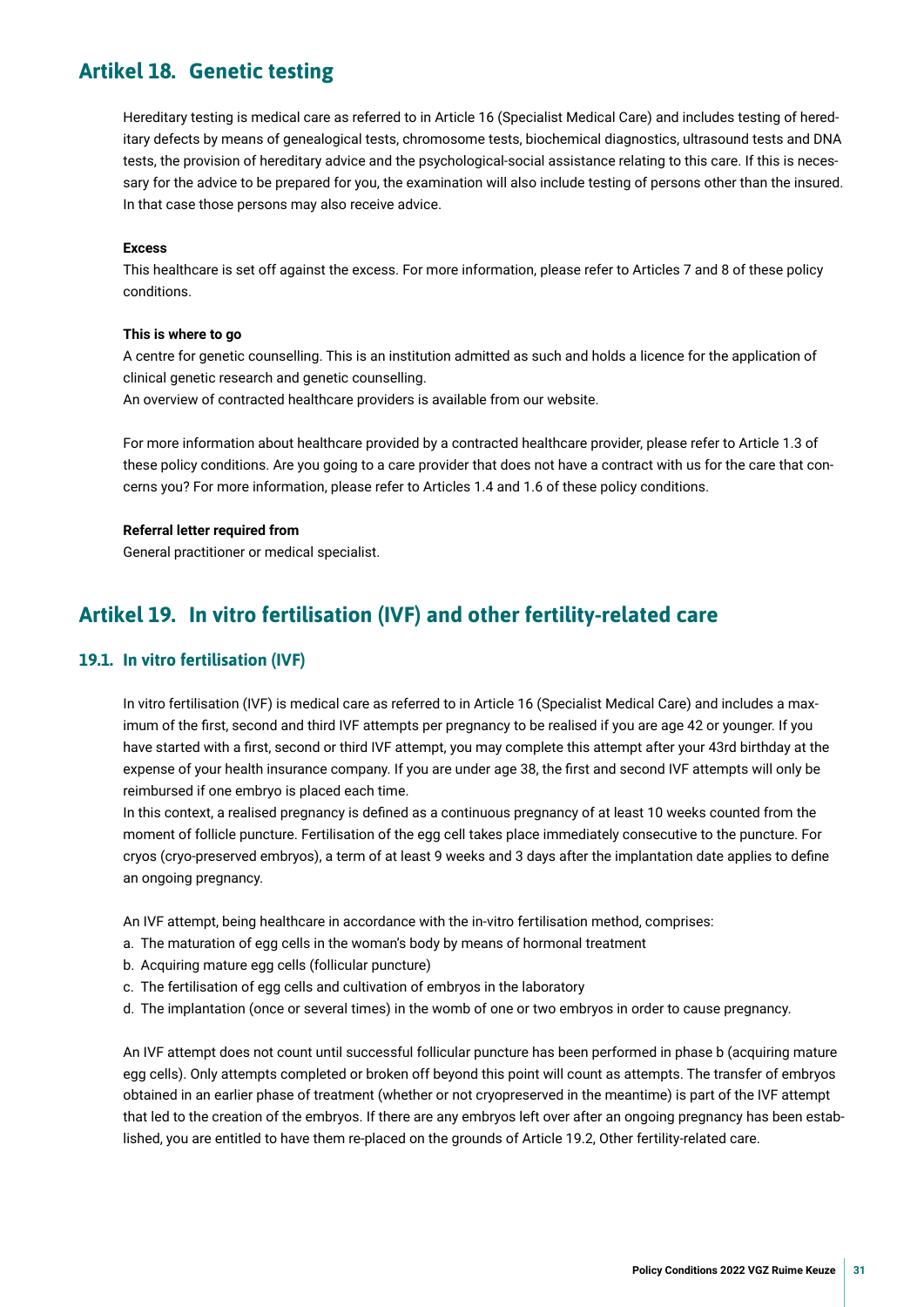## <span id="page-30-0"></span>**Artikel 18. Genetic testing**

Hereditary testing is medical care as referred to in Article 16 (Specialist Medical Care) and includes testing of hereditary defects by means of genealogical tests, chromosome tests, biochemical diagnostics, ultrasound tests and DNA tests, the provision of hereditary advice and the psychological-social assistance relating to this care. If this is necessary for the advice to be prepared for you, the examination will also include testing of persons other than the insured. In that case those persons may also receive advice.

#### **Excess**

This healthcare is set off against the excess. For more information, please refer to Articles 7 and 8 of these policy conditions.

#### **This is where to go**

A centre for genetic counselling. This is an institution admitted as such and holds a licence for the application of clinical genetic research and genetic counselling.

An overview of contracted healthcare providers is available from our website.

For more information about healthcare provided by a contracted healthcare provider, please refer to Article 1.3 of these policy conditions. Are you going to a care provider that does not have a contract with us for the care that concerns you? For more information, please refer to Articles 1.4 and 1.6 of these policy conditions.

#### **Referral letter required from**

General practitioner or medical specialist.

## **Artikel 19. In vitro fertilisation (IVF) and other fertility-related care**

#### **19.1. In vitro fertilisation (IVF)**

In vitro fertilisation (IVF) is medical care as referred to in Article 16 (Specialist Medical Care) and includes a maximum of the frst, second and third IVF attempts per pregnancy to be realised if you are age 42 or younger. If you have started with a frst, second or third IVF attempt, you may complete this attempt after your 43rd birthday at the expense of your health insurance company. If you are under age 38, the frst and second IVF attempts will only be reimbursed if one embryo is placed each time.

In this context, a realised pregnancy is defned as a continuous pregnancy of at least 10 weeks counted from the moment of follicle puncture. Fertilisation of the egg cell takes place immediately consecutive to the puncture. For cryos (cryo-preserved embryos), a term of at least 9 weeks and 3 days after the implantation date applies to defne an ongoing pregnancy.

An IVF attempt, being healthcare in accordance with the in-vitro fertilisation method, comprises:

- a. The maturation of egg cells in the woman's body by means of hormonal treatment
- b. Acquiring mature egg cells (follicular puncture)
- c. The fertilisation of egg cells and cultivation of embryos in the laboratory
- d. The implantation (once or several times) in the womb of one or two embryos in order to cause pregnancy.

An IVF attempt does not count until successful follicular puncture has been performed in phase b (acquiring mature egg cells). Only attempts completed or broken off beyond this point will count as attempts. The transfer of embryos obtained in an earlier phase of treatment (whether or not cryopreserved in the meantime) is part of the IVF attempt that led to the creation of the embryos. If there are any embryos left over after an ongoing pregnancy has been established, you are entitled to have them re-placed on the grounds of Article 19.2, Other fertility-related care.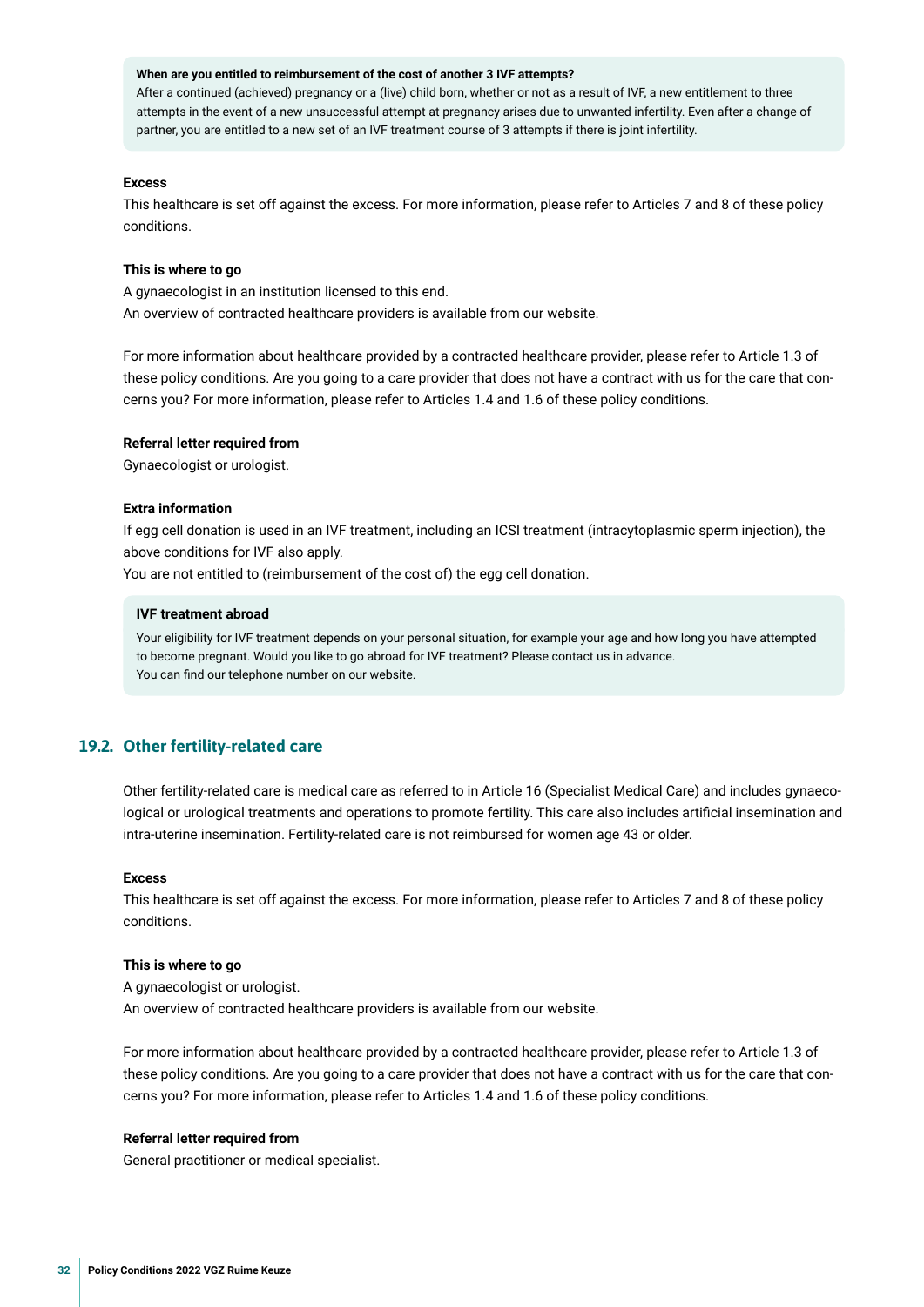#### **When are you entitled to reimbursement of the cost of another 3 IVF attempts?**

After a continued (achieved) pregnancy or a (live) child born, whether or not as a result of IVF, a new entitlement to three attempts in the event of a new unsuccessful attempt at pregnancy arises due to unwanted infertility. Even after a change of partner, you are entitled to a new set of an IVF treatment course of 3 attempts if there is joint infertility.

#### **Excess**

This healthcare is set off against the excess. For more information, please refer to Articles 7 and 8 of these policy conditions.

#### **This is where to go**

A gynaecologist in an institution licensed to this end. An overview of contracted healthcare providers is available from our website.

For more information about healthcare provided by a contracted healthcare provider, please refer to Article 1.3 of these policy conditions. Are you going to a care provider that does not have a contract with us for the care that concerns you? For more information, please refer to Articles 1.4 and 1.6 of these policy conditions.

#### **Referral letter required from**

Gynaecologist or urologist.

#### **Extra information**

If egg cell donation is used in an IVF treatment, including an ICSI treatment (intracytoplasmic sperm injection), the above conditions for IVF also apply.

You are not entitled to (reimbursement of the cost of) the egg cell donation.

#### **IVF treatment abroad**

Your eligibility for IVF treatment depends on your personal situation, for example your age and how long you have attempted to become pregnant. Would you like to go abroad for IVF treatment? Please contact us in advance. You can fnd our telephone number on our website.

#### **19.2. Other fertility-related care**

Other fertility-related care is medical care as referred to in Article 16 (Specialist Medical Care) and includes gynaecological or urological treatments and operations to promote fertility. This care also includes artifcial insemination and intra-uterine insemination. Fertility-related care is not reimbursed for women age 43 or older.

#### **Excess**

This healthcare is set off against the excess. For more information, please refer to Articles 7 and 8 of these policy conditions.

#### **This is where to go**

A gynaecologist or urologist. An overview of contracted healthcare providers is available from our website.

For more information about healthcare provided by a contracted healthcare provider, please refer to Article 1.3 of these policy conditions. Are you going to a care provider that does not have a contract with us for the care that concerns you? For more information, please refer to Articles 1.4 and 1.6 of these policy conditions.

#### **Referral letter required from**

General practitioner or medical specialist.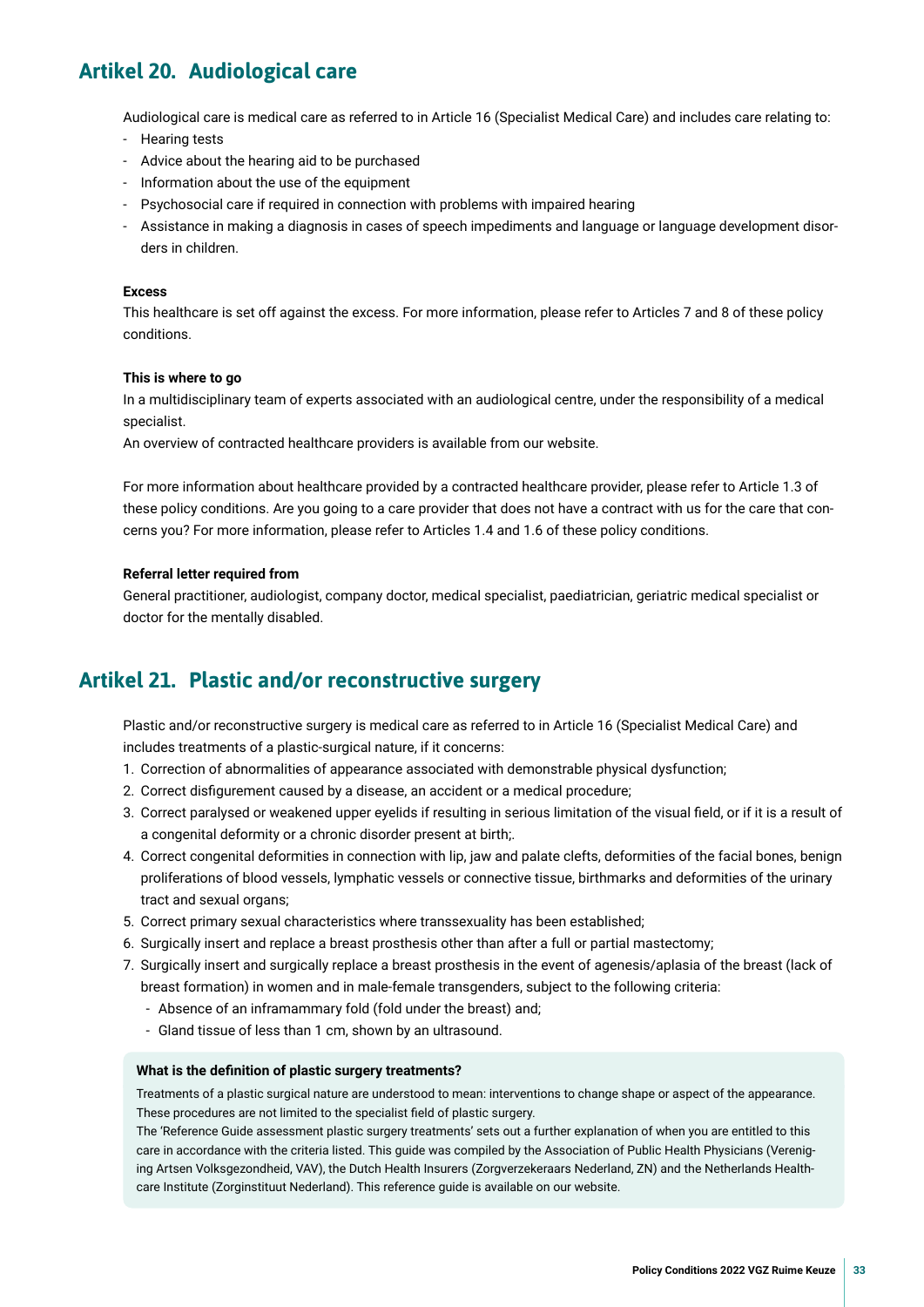## <span id="page-32-0"></span>**Artikel 20. Audiological care**

Audiological care is medical care as referred to in Article 16 (Specialist Medical Care) and includes care relating to:

- Hearing tests
- Advice about the hearing aid to be purchased
- Information about the use of the equipment
- Psychosocial care if required in connection with problems with impaired hearing
- Assistance in making a diagnosis in cases of speech impediments and language or language development disorders in children.

#### **Excess**

This healthcare is set off against the excess. For more information, please refer to Articles 7 and 8 of these policy conditions.

#### **This is where to go**

In a multidisciplinary team of experts associated with an audiological centre, under the responsibility of a medical specialist.

An overview of contracted healthcare providers is available from our website.

For more information about healthcare provided by a contracted healthcare provider, please refer to Article 1.3 of these policy conditions. Are you going to a care provider that does not have a contract with us for the care that concerns you? For more information, please refer to Articles 1.4 and 1.6 of these policy conditions.

#### **Referral letter required from**

General practitioner, audiologist, company doctor, medical specialist, paediatrician, geriatric medical specialist or doctor for the mentally disabled.

## **Artikel 21. Plastic and/or reconstructive surgery**

Plastic and/or reconstructive surgery is medical care as referred to in Article 16 (Specialist Medical Care) and includes treatments of a plastic-surgical nature, if it concerns:

- 1. Correction of abnormalities of appearance associated with demonstrable physical dysfunction;
- 2. Correct disfgurement caused by a disease, an accident or a medical procedure;
- 3. Correct paralysed or weakened upper eyelids if resulting in serious limitation of the visual feld, or if it is a result of a congenital deformity or a chronic disorder present at birth;.
- 4. Correct congenital deformities in connection with lip, jaw and palate clefts, deformities of the facial bones, benign proliferations of blood vessels, lymphatic vessels or connective tissue, birthmarks and deformities of the urinary tract and sexual organs;
- 5. Correct primary sexual characteristics where transsexuality has been established;
- 6. Surgically insert and replace a breast prosthesis other than after a full or partial mastectomy;
- 7. Surgically insert and surgically replace a breast prosthesis in the event of agenesis/aplasia of the breast (lack of breast formation) in women and in male-female transgenders, subject to the following criteria:
	- Absence of an inframammary fold (fold under the breast) and;
	- Gland tissue of less than 1 cm, shown by an ultrasound.

#### **What is the defnition of plastic surgery treatments?**

Treatments of a plastic surgical nature are understood to mean: interventions to change shape or aspect of the appearance. These procedures are not limited to the specialist feld of plastic surgery.

The 'Reference Guide assessment plastic surgery treatments' sets out a further explanation of when you are entitled to this care in accordance with the criteria listed. This guide was compiled by the Association of Public Health Physicians (Vereniging Artsen Volksgezondheid, VAV), the Dutch Health Insurers (Zorgverzekeraars Nederland, ZN) and the Netherlands Healthcare Institute (Zorginstituut Nederland). This reference guide is available on our website.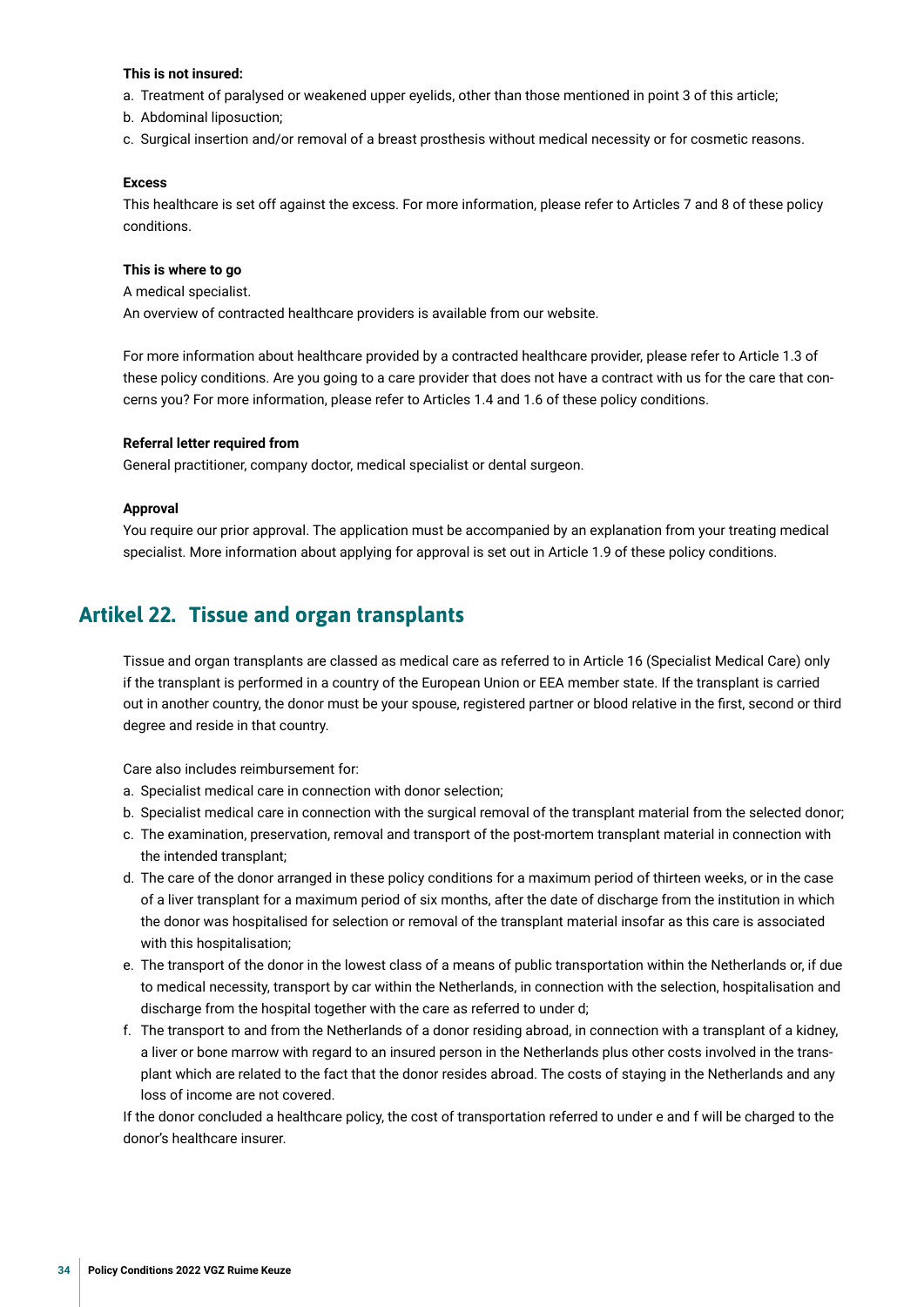#### <span id="page-33-0"></span>**This is not insured:**

- a. Treatment of paralysed or weakened upper eyelids, other than those mentioned in point 3 of this article;
- b. Abdominal liposuction;
- c. Surgical insertion and/or removal of a breast prosthesis without medical necessity or for cosmetic reasons.

#### **Excess**

This healthcare is set off against the excess. For more information, please refer to Articles 7 and 8 of these policy conditions.

#### **This is where to go**

A medical specialist. An overview of contracted healthcare providers is available from our website.

For more information about healthcare provided by a contracted healthcare provider, please refer to Article 1.3 of these policy conditions. Are you going to a care provider that does not have a contract with us for the care that concerns you? For more information, please refer to Articles 1.4 and 1.6 of these policy conditions.

#### **Referral letter required from**

General practitioner, company doctor, medical specialist or dental surgeon.

#### **Approval**

You require our prior approval. The application must be accompanied by an explanation from your treating medical specialist. More information about applying for approval is set out in Article 1.9 of these policy conditions.

## **Artikel 22. Tissue and organ transplants**

Tissue and organ transplants are classed as medical care as referred to in Article 16 (Specialist Medical Care) only if the transplant is performed in a country of the European Union or EEA member state. If the transplant is carried out in another country, the donor must be your spouse, registered partner or blood relative in the frst, second or third degree and reside in that country.

Care also includes reimbursement for:

- a. Specialist medical care in connection with donor selection;
- b. Specialist medical care in connection with the surgical removal of the transplant material from the selected donor;
- c. The examination, preservation, removal and transport of the post-mortem transplant material in connection with the intended transplant;
- d. The care of the donor arranged in these policy conditions for a maximum period of thirteen weeks, or in the case of a liver transplant for a maximum period of six months, after the date of discharge from the institution in which the donor was hospitalised for selection or removal of the transplant material insofar as this care is associated with this hospitalisation;
- e. The transport of the donor in the lowest class of a means of public transportation within the Netherlands or, if due to medical necessity, transport by car within the Netherlands, in connection with the selection, hospitalisation and discharge from the hospital together with the care as referred to under d;
- f. The transport to and from the Netherlands of a donor residing abroad, in connection with a transplant of a kidney, a liver or bone marrow with regard to an insured person in the Netherlands plus other costs involved in the transplant which are related to the fact that the donor resides abroad. The costs of staying in the Netherlands and any loss of income are not covered.

If the donor concluded a healthcare policy, the cost of transportation referred to under e and f will be charged to the donor's healthcare insurer.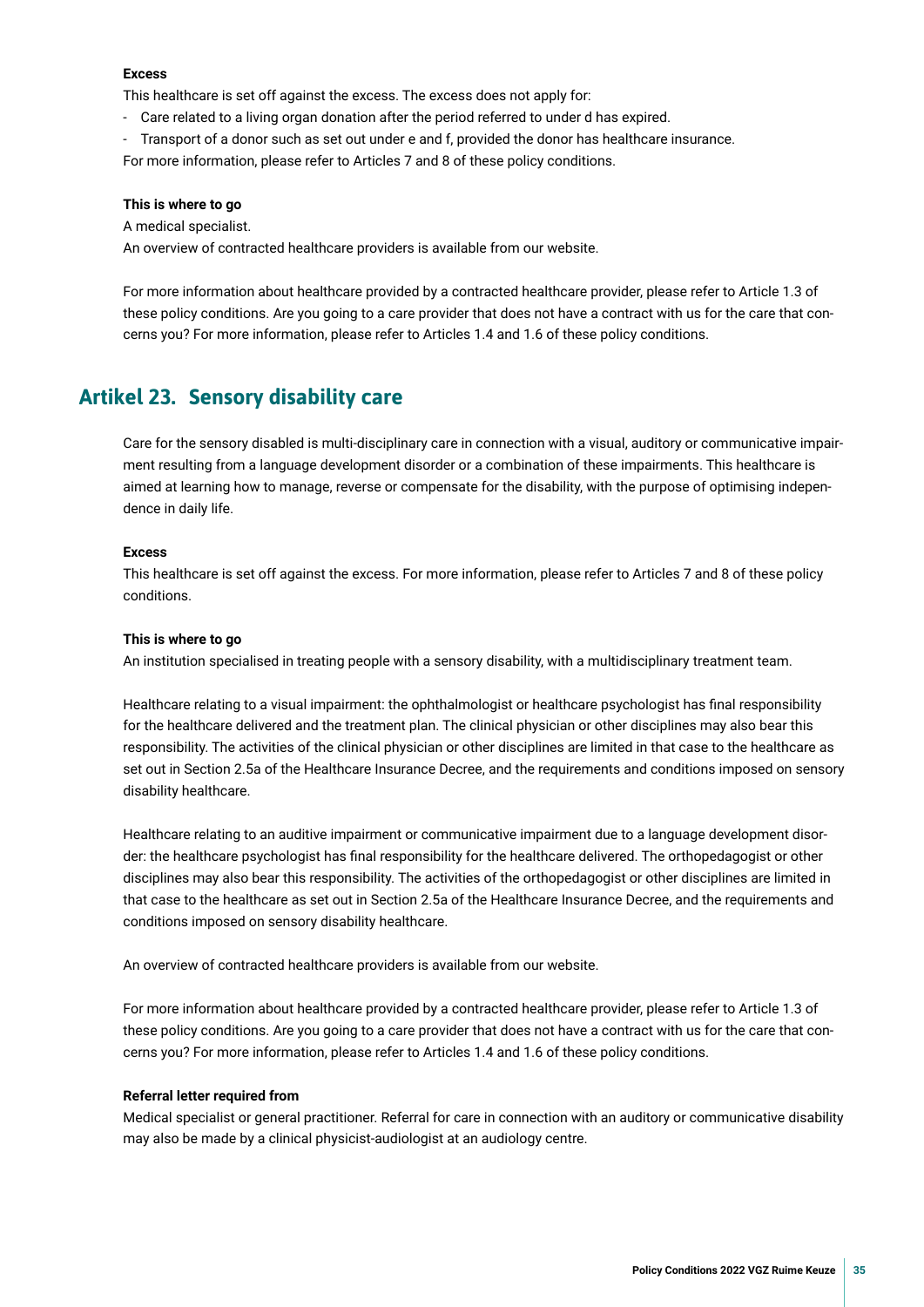#### <span id="page-34-0"></span>**Excess**

This healthcare is set off against the excess. The excess does not apply for:

- Care related to a living organ donation after the period referred to under d has expired.
- Transport of a donor such as set out under e and f, provided the donor has healthcare insurance.

For more information, please refer to Articles 7 and 8 of these policy conditions.

#### **This is where to go**

A medical specialist.

An overview of contracted healthcare providers is available from our website.

For more information about healthcare provided by a contracted healthcare provider, please refer to Article 1.3 of these policy conditions. Are you going to a care provider that does not have a contract with us for the care that concerns you? For more information, please refer to Articles 1.4 and 1.6 of these policy conditions.

## **Artikel 23. Sensory disability care**

Care for the sensory disabled is multi-disciplinary care in connection with a visual, auditory or communicative impairment resulting from a language development disorder or a combination of these impairments. This healthcare is aimed at learning how to manage, reverse or compensate for the disability, with the purpose of optimising independence in daily life.

#### **Excess**

This healthcare is set off against the excess. For more information, please refer to Articles 7 and 8 of these policy conditions.

#### **This is where to go**

An institution specialised in treating people with a sensory disability, with a multidisciplinary treatment team.

Healthcare relating to a visual impairment: the ophthalmologist or healthcare psychologist has fnal responsibility for the healthcare delivered and the treatment plan. The clinical physician or other disciplines may also bear this responsibility. The activities of the clinical physician or other disciplines are limited in that case to the healthcare as set out in Section 2.5a of the Healthcare Insurance Decree, and the requirements and conditions imposed on sensory disability healthcare.

Healthcare relating to an auditive impairment or communicative impairment due to a language development disorder: the healthcare psychologist has fnal responsibility for the healthcare delivered. The orthopedagogist or other disciplines may also bear this responsibility. The activities of the orthopedagogist or other disciplines are limited in that case to the healthcare as set out in Section 2.5a of the Healthcare Insurance Decree, and the requirements and conditions imposed on sensory disability healthcare.

An overview of contracted healthcare providers is available from our website.

For more information about healthcare provided by a contracted healthcare provider, please refer to Article 1.3 of these policy conditions. Are you going to a care provider that does not have a contract with us for the care that concerns you? For more information, please refer to Articles 1.4 and 1.6 of these policy conditions.

#### **Referral letter required from**

Medical specialist or general practitioner. Referral for care in connection with an auditory or communicative disability may also be made by a clinical physicist-audiologist at an audiology centre.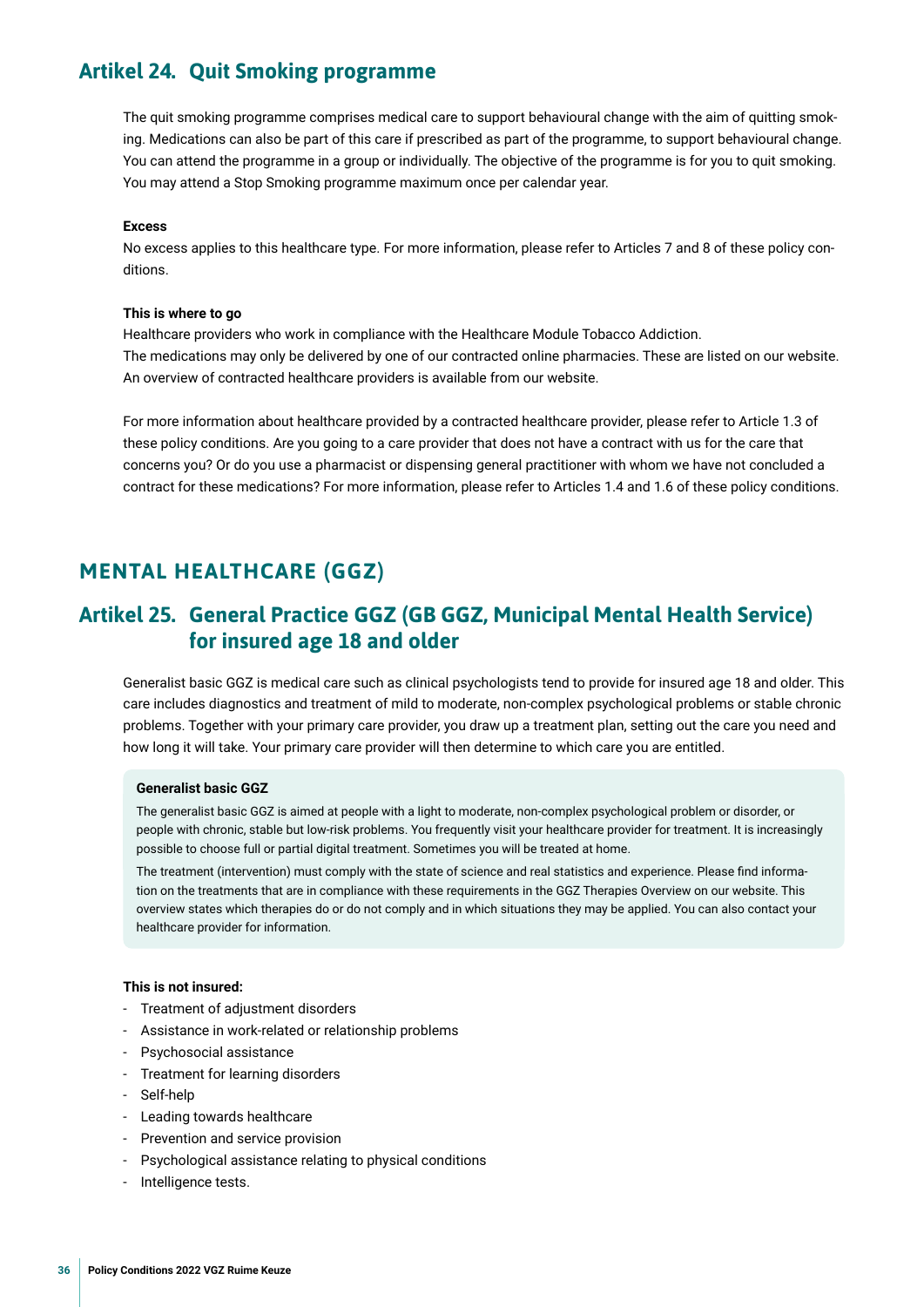## <span id="page-35-0"></span>**Artikel 24. Quit Smoking programme**

The quit smoking programme comprises medical care to support behavioural change with the aim of quitting smoking. Medications can also be part of this care if prescribed as part of the programme, to support behavioural change. You can attend the programme in a group or individually. The objective of the programme is for you to quit smoking. You may attend a Stop Smoking programme maximum once per calendar year.

#### **Excess**

No excess applies to this healthcare type. For more information, please refer to Articles 7 and 8 of these policy conditions.

#### **This is where to go**

Healthcare providers who work in compliance with the Healthcare Module Tobacco Addiction. The medications may only be delivered by one of our contracted online pharmacies. These are listed on our website. An overview of contracted healthcare providers is available from our website.

For more information about healthcare provided by a contracted healthcare provider, please refer to Article 1.3 of these policy conditions. Are you going to a care provider that does not have a contract with us for the care that concerns you? Or do you use a pharmacist or dispensing general practitioner with whom we have not concluded a contract for these medications? For more information, please refer to Articles 1.4 and 1.6 of these policy conditions.

## **MENTAL HEALTHCARE (GGZ)**

## **Artikel 25. General Practice GGZ (GB GGZ, Municipal Mental Health Service) for insured age 18 and older**

Generalist basic GGZ is medical care such as clinical psychologists tend to provide for insured age 18 and older. This care includes diagnostics and treatment of mild to moderate, non-complex psychological problems or stable chronic problems. Together with your primary care provider, you draw up a treatment plan, setting out the care you need and how long it will take. Your primary care provider will then determine to which care you are entitled.

#### **Generalist basic GGZ**

The generalist basic GGZ is aimed at people with a light to moderate, non-complex psychological problem or disorder, or people with chronic, stable but low-risk problems. You frequently visit your healthcare provider for treatment. It is increasingly possible to choose full or partial digital treatment. Sometimes you will be treated at home.

The treatment (intervention) must comply with the state of science and real statistics and experience. Please fnd information on the treatments that are in compliance with these requirements in the GGZ Therapies Overview on our website. This overview states which therapies do or do not comply and in which situations they may be applied. You can also contact your healthcare provider for information.

#### **This is not insured:**

- Treatment of adjustment disorders
- Assistance in work-related or relationship problems
- Psychosocial assistance
- Treatment for learning disorders
- Self-help
- Leading towards healthcare
- Prevention and service provision
- Psychological assistance relating to physical conditions
- Intelligence tests.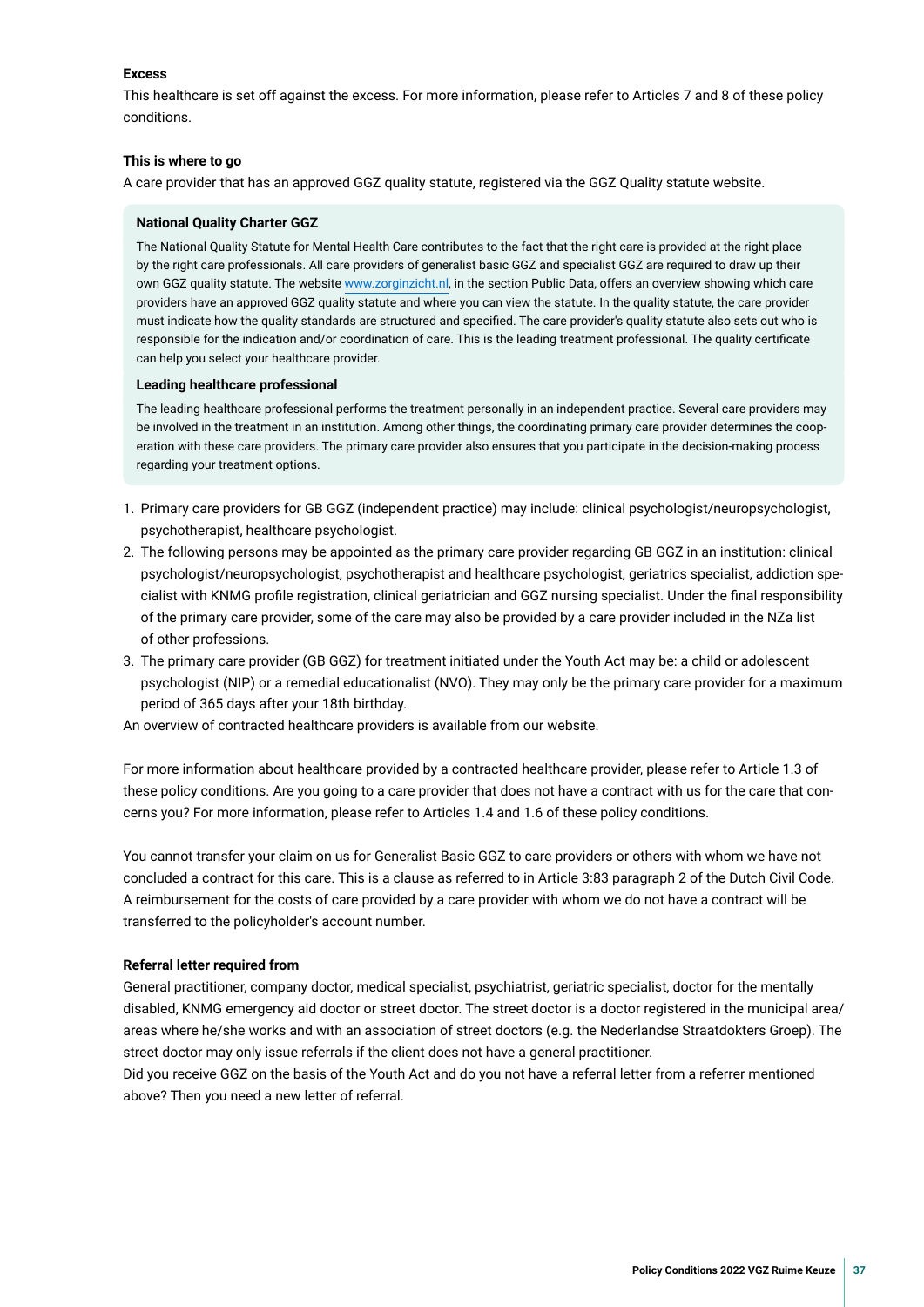#### **Excess**

This healthcare is set off against the excess. For more information, please refer to Articles 7 and 8 of these policy conditions.

#### **This is where to go**

A care provider that has an approved GGZ quality statute, registered via the GGZ Quality statute website.

#### **National Quality Charter GGZ**

The National Quality Statute for Mental Health Care contributes to the fact that the right care is provided at the right place by the right care professionals. All care providers of generalist basic GGZ and specialist GGZ are required to draw up their own GGZ quality statute. The website [www.zorginzicht.nl](http://www.zorginzicht.nl), in the section Public Data, offers an overview showing which care providers have an approved GGZ quality statute and where you can view the statute. In the quality statute, the care provider must indicate how the quality standards are structured and specifed. The care provider's quality statute also sets out who is responsible for the indication and/or coordination of care. This is the leading treatment professional. The quality certifcate can help you select your healthcare provider.

#### **Leading healthcare professional**

The leading healthcare professional performs the treatment personally in an independent practice. Several care providers may be involved in the treatment in an institution. Among other things, the coordinating primary care provider determines the cooperation with these care providers. The primary care provider also ensures that you participate in the decision-making process regarding your treatment options.

- 1. Primary care providers for GB GGZ (independent practice) may include: clinical psychologist/neuropsychologist, psychotherapist, healthcare psychologist.
- 2. The following persons may be appointed as the primary care provider regarding GB GGZ in an institution: clinical psychologist/neuropsychologist, psychotherapist and healthcare psychologist, geriatrics specialist, addiction specialist with KNMG profle registration, clinical geriatrician and GGZ nursing specialist. Under the fnal responsibility of the primary care provider, some of the care may also be provided by a care provider included in the NZa list of other professions.
- 3. The primary care provider (GB GGZ) for treatment initiated under the Youth Act may be: a child or adolescent psychologist (NIP) or a remedial educationalist (NVO). They may only be the primary care provider for a maximum period of 365 days after your 18th birthday.

An overview of contracted healthcare providers is available from our website.

For more information about healthcare provided by a contracted healthcare provider, please refer to Article 1.3 of these policy conditions. Are you going to a care provider that does not have a contract with us for the care that concerns you? For more information, please refer to Articles 1.4 and 1.6 of these policy conditions.

You cannot transfer your claim on us for Generalist Basic GGZ to care providers or others with whom we have not concluded a contract for this care. This is a clause as referred to in Article 3:83 paragraph 2 of the Dutch Civil Code. A reimbursement for the costs of care provided by a care provider with whom we do not have a contract will be transferred to the policyholder's account number.

#### **Referral letter required from**

General practitioner, company doctor, medical specialist, psychiatrist, geriatric specialist, doctor for the mentally disabled, KNMG emergency aid doctor or street doctor. The street doctor is a doctor registered in the municipal area/ areas where he/she works and with an association of street doctors (e.g. the Nederlandse Straatdokters Groep). The street doctor may only issue referrals if the client does not have a general practitioner.

Did you receive GGZ on the basis of the Youth Act and do you not have a referral letter from a referrer mentioned above? Then you need a new letter of referral.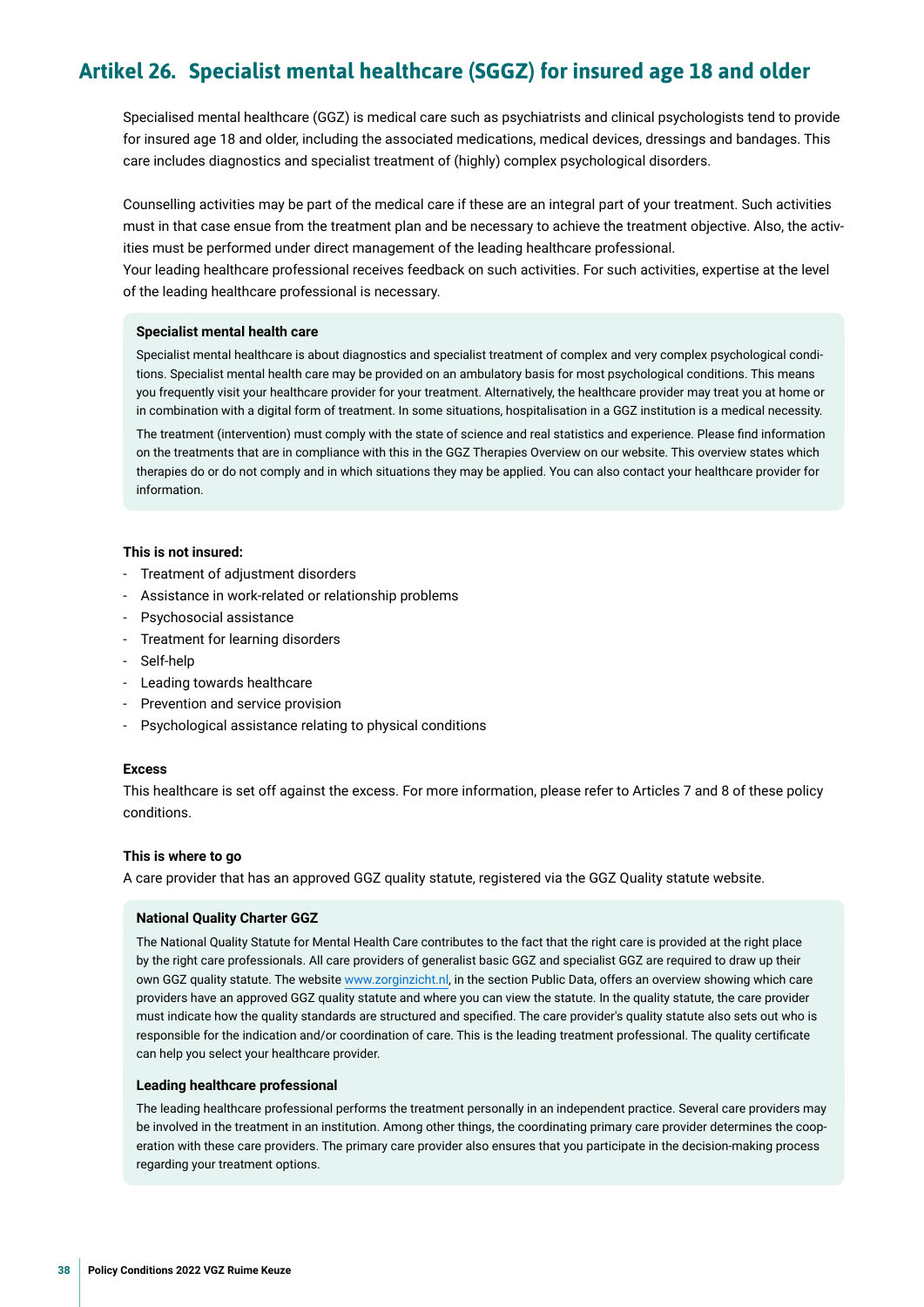## <span id="page-37-0"></span>**Artikel 26. Specialist mental healthcare (SGGZ) for insured age 18 and older**

Specialised mental healthcare (GGZ) is medical care such as psychiatrists and clinical psychologists tend to provide for insured age 18 and older, including the associated medications, medical devices, dressings and bandages. This care includes diagnostics and specialist treatment of (highly) complex psychological disorders.

Counselling activities may be part of the medical care if these are an integral part of your treatment. Such activities must in that case ensue from the treatment plan and be necessary to achieve the treatment objective. Also, the activities must be performed under direct management of the leading healthcare professional.

Your leading healthcare professional receives feedback on such activities. For such activities, expertise at the level of the leading healthcare professional is necessary.

#### **Specialist mental health care**

Specialist mental healthcare is about diagnostics and specialist treatment of complex and very complex psychological conditions. Specialist mental health care may be provided on an ambulatory basis for most psychological conditions. This means you frequently visit your healthcare provider for your treatment. Alternatively, the healthcare provider may treat you at home or in combination with a digital form of treatment. In some situations, hospitalisation in a GGZ institution is a medical necessity.

The treatment (intervention) must comply with the state of science and real statistics and experience. Please fnd information on the treatments that are in compliance with this in the GGZ Therapies Overview on our website. This overview states which therapies do or do not comply and in which situations they may be applied. You can also contact your healthcare provider for information.

#### **This is not insured:**

- Treatment of adjustment disorders
- Assistance in work-related or relationship problems
- Psychosocial assistance
- Treatment for learning disorders
- Self-help
- Leading towards healthcare
- Prevention and service provision
- Psychological assistance relating to physical conditions

#### **Excess**

This healthcare is set off against the excess. For more information, please refer to Articles 7 and 8 of these policy conditions.

#### **This is where to go**

A care provider that has an approved GGZ quality statute, registered via the GGZ Quality statute website.

#### **National Quality Charter GGZ**

The National Quality Statute for Mental Health Care contributes to the fact that the right care is provided at the right place by the right care professionals. All care providers of generalist basic GGZ and specialist GGZ are required to draw up their own GGZ quality statute. The website [www.zorginzicht.nl](http://www.zorginzicht.nl), in the section Public Data, offers an overview showing which care providers have an approved GGZ quality statute and where you can view the statute. In the quality statute, the care provider must indicate how the quality standards are structured and specifed. The care provider's quality statute also sets out who is responsible for the indication and/or coordination of care. This is the leading treatment professional. The quality certifcate can help you select your healthcare provider.

#### **Leading healthcare professional**

The leading healthcare professional performs the treatment personally in an independent practice. Several care providers may be involved in the treatment in an institution. Among other things, the coordinating primary care provider determines the cooperation with these care providers. The primary care provider also ensures that you participate in the decision-making process regarding your treatment options.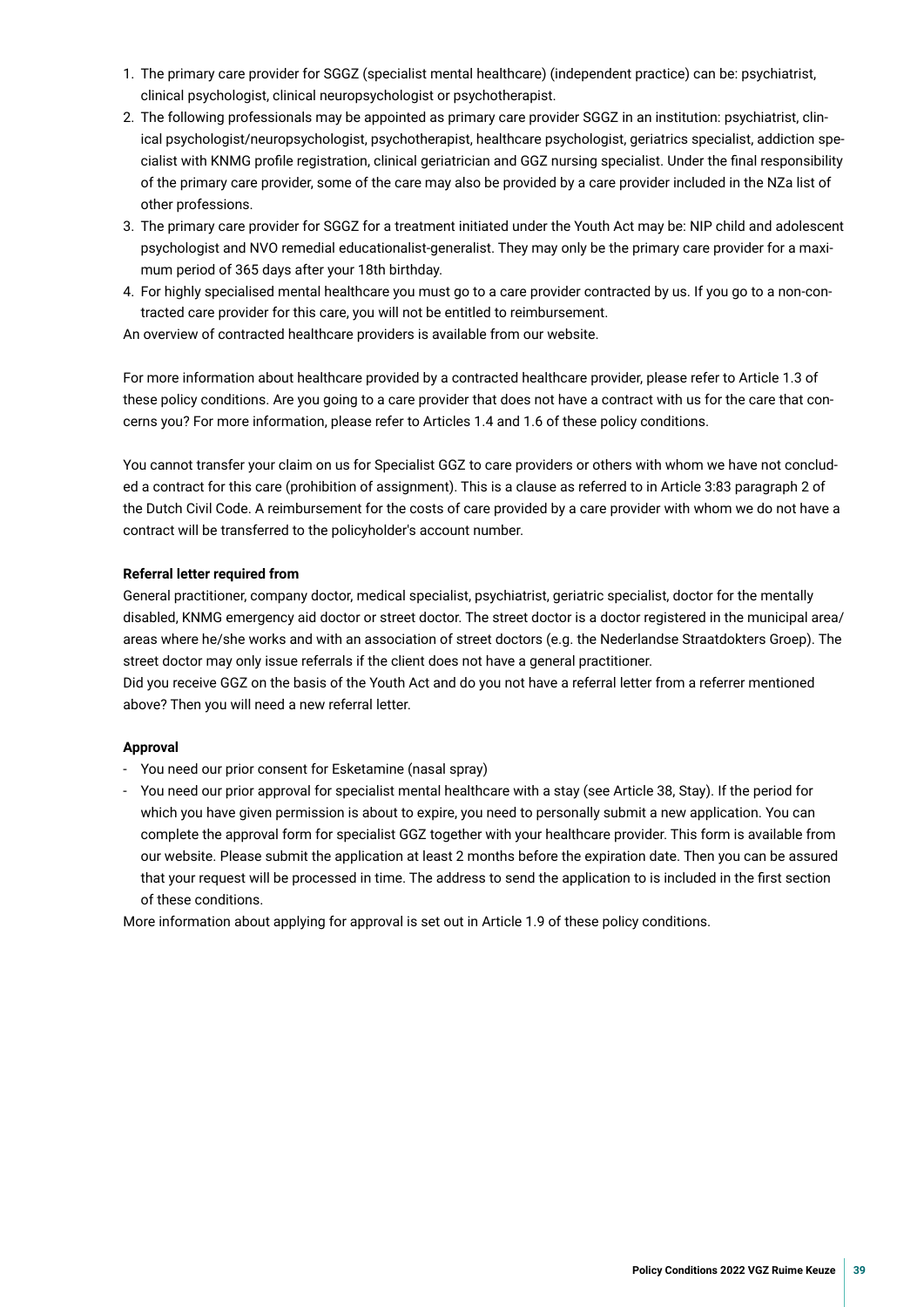- 1. The primary care provider for SGGZ (specialist mental healthcare) (independent practice) can be: psychiatrist, clinical psychologist, clinical neuropsychologist or psychotherapist.
- 2. The following professionals may be appointed as primary care provider SGGZ in an institution: psychiatrist, clinical psychologist/neuropsychologist, psychotherapist, healthcare psychologist, geriatrics specialist, addiction specialist with KNMG profle registration, clinical geriatrician and GGZ nursing specialist. Under the fnal responsibility of the primary care provider, some of the care may also be provided by a care provider included in the NZa list of other professions.
- 3. The primary care provider for SGGZ for a treatment initiated under the Youth Act may be: NIP child and adolescent psychologist and NVO remedial educationalist-generalist. They may only be the primary care provider for a maximum period of 365 days after your 18th birthday.
- 4. For highly specialised mental healthcare you must go to a care provider contracted by us. If you go to a non-contracted care provider for this care, you will not be entitled to reimbursement.

An overview of contracted healthcare providers is available from our website.

For more information about healthcare provided by a contracted healthcare provider, please refer to Article 1.3 of these policy conditions. Are you going to a care provider that does not have a contract with us for the care that concerns you? For more information, please refer to Articles 1.4 and 1.6 of these policy conditions.

You cannot transfer your claim on us for Specialist GGZ to care providers or others with whom we have not concluded a contract for this care (prohibition of assignment). This is a clause as referred to in Article 3:83 paragraph 2 of the Dutch Civil Code. A reimbursement for the costs of care provided by a care provider with whom we do not have a contract will be transferred to the policyholder's account number.

#### **Referral letter required from**

General practitioner, company doctor, medical specialist, psychiatrist, geriatric specialist, doctor for the mentally disabled, KNMG emergency aid doctor or street doctor. The street doctor is a doctor registered in the municipal area/ areas where he/she works and with an association of street doctors (e.g. the Nederlandse Straatdokters Groep). The street doctor may only issue referrals if the client does not have a general practitioner.

Did you receive GGZ on the basis of the Youth Act and do you not have a referral letter from a referrer mentioned above? Then you will need a new referral letter.

#### **Approval**

- You need our prior consent for Esketamine (nasal spray)
- You need our prior approval for specialist mental healthcare with a stay (see Article 38, Stay). If the period for which you have given permission is about to expire, you need to personally submit a new application. You can complete the approval form for specialist GGZ together with your healthcare provider. This form is available from our website. Please submit the application at least 2 months before the expiration date. Then you can be assured that your request will be processed in time. The address to send the application to is included in the frst section of these conditions.

More information about applying for approval is set out in Article 1.9 of these policy conditions.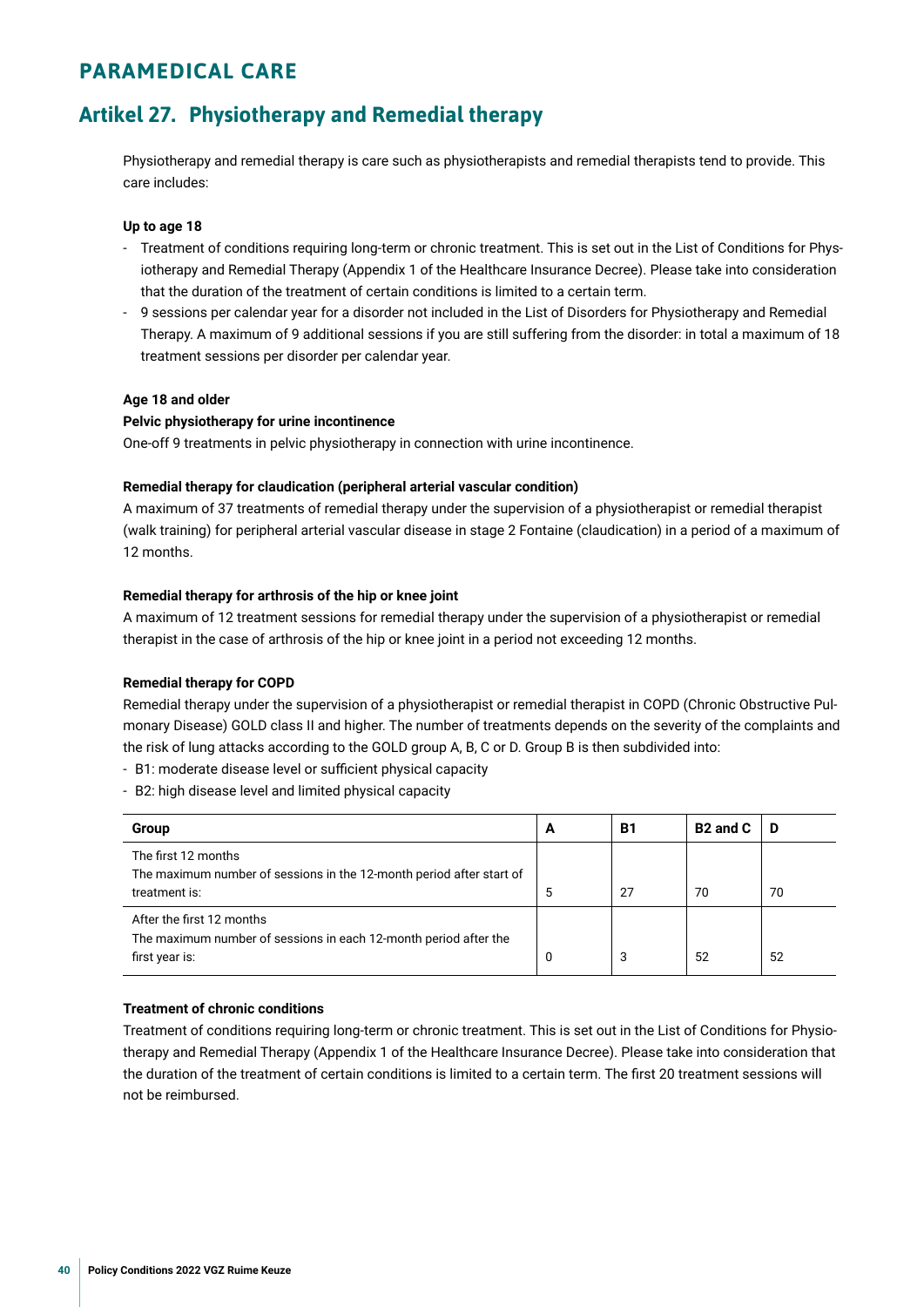## <span id="page-39-0"></span>**PARAMEDICAL CARE**

## **Artikel 27. Physiotherapy and Remedial therapy**

Physiotherapy and remedial therapy is care such as physiotherapists and remedial therapists tend to provide. This care includes:

#### **Up to age 18**

- Treatment of conditions requiring long-term or chronic treatment. This is set out in the List of Conditions for Physiotherapy and Remedial Therapy (Appendix 1 of the Healthcare Insurance Decree). Please take into consideration that the duration of the treatment of certain conditions is limited to a certain term.
- 9 sessions per calendar year for a disorder not included in the List of Disorders for Physiotherapy and Remedial Therapy. A maximum of 9 additional sessions if you are still suffering from the disorder: in total a maximum of 18 treatment sessions per disorder per calendar year.

#### **Age 18 and older**

#### **Pelvic physiotherapy for urine incontinence**

One-off 9 treatments in pelvic physiotherapy in connection with urine incontinence.

#### **Remedial therapy for claudication (peripheral arterial vascular condition)**

A maximum of 37 treatments of remedial therapy under the supervision of a physiotherapist or remedial therapist (walk training) for peripheral arterial vascular disease in stage 2 Fontaine (claudication) in a period of a maximum of 12 months.

#### **Remedial therapy for arthrosis of the hip or knee joint**

A maximum of 12 treatment sessions for remedial therapy under the supervision of a physiotherapist or remedial therapist in the case of arthrosis of the hip or knee joint in a period not exceeding 12 months.

#### **Remedial therapy for COPD**

Remedial therapy under the supervision of a physiotherapist or remedial therapist in COPD (Chronic Obstructive Pulmonary Disease) GOLD class II and higher. The number of treatments depends on the severity of the complaints and the risk of lung attacks according to the GOLD group A, B, C or D. Group B is then subdivided into:

- B1: moderate disease level or sufficient physical capacity
- B2: high disease level and limited physical capacity

| Group                                                                                         | A | <b>B1</b> | B <sub>2</sub> and C | Ð  |
|-----------------------------------------------------------------------------------------------|---|-----------|----------------------|----|
| The first 12 months<br>The maximum number of sessions in the 12-month period after start of   |   |           |                      |    |
| treatment is:                                                                                 | 5 | 27        | 70                   | 70 |
| After the first 12 months<br>The maximum number of sessions in each 12-month period after the |   |           |                      |    |
| first year is:                                                                                | 0 | 3         | 52                   | 52 |

#### **Treatment of chronic conditions**

Treatment of conditions requiring long-term or chronic treatment. This is set out in the List of Conditions for Physiotherapy and Remedial Therapy (Appendix 1 of the Healthcare Insurance Decree). Please take into consideration that the duration of the treatment of certain conditions is limited to a certain term. The frst 20 treatment sessions will not be reimbursed.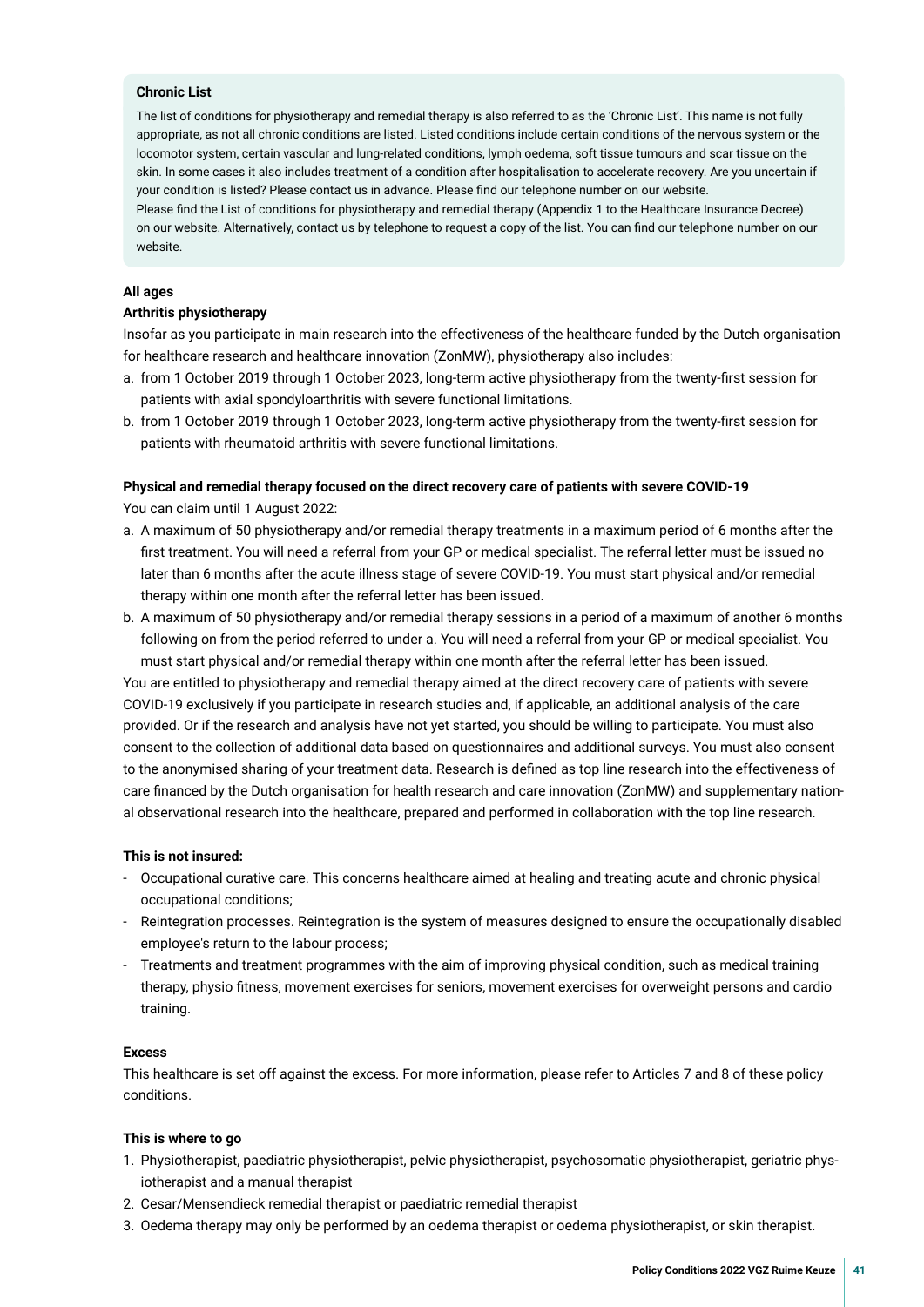#### **Chronic List**

The list of conditions for physiotherapy and remedial therapy is also referred to as the 'Chronic List'. This name is not fully appropriate, as not all chronic conditions are listed. Listed conditions include certain conditions of the nervous system or the locomotor system, certain vascular and lung-related conditions, lymph oedema, soft tissue tumours and scar tissue on the skin. In some cases it also includes treatment of a condition after hospitalisation to accelerate recovery. Are you uncertain if your condition is listed? Please contact us in advance. Please fnd our telephone number on our website.

Please fnd the List of conditions for physiotherapy and remedial therapy (Appendix 1 to the Healthcare Insurance Decree) on our website. Alternatively, contact us by telephone to request a copy of the list. You can fnd our telephone number on our website.

#### **All ages**

#### **Arthritis physiotherapy**

Insofar as you participate in main research into the effectiveness of the healthcare funded by the Dutch organisation for healthcare research and healthcare innovation (ZonMW), physiotherapy also includes:

- a. from 1 October 2019 through 1 October 2023, long-term active physiotherapy from the twenty-frst session for patients with axial spondyloarthritis with severe functional limitations.
- b. from 1 October 2019 through 1 October 2023, long-term active physiotherapy from the twenty-frst session for patients with rheumatoid arthritis with severe functional limitations.

#### **Physical and remedial therapy focused on the direct recovery care of patients with severe COVID-19**

You can claim until 1 August 2022:

- a. A maximum of 50 physiotherapy and/or remedial therapy treatments in a maximum period of 6 months after the frst treatment. You will need a referral from your GP or medical specialist. The referral letter must be issued no later than 6 months after the acute illness stage of severe COVID-19. You must start physical and/or remedial therapy within one month after the referral letter has been issued.
- b. A maximum of 50 physiotherapy and/or remedial therapy sessions in a period of a maximum of another 6 months following on from the period referred to under a. You will need a referral from your GP or medical specialist. You must start physical and/or remedial therapy within one month after the referral letter has been issued.

You are entitled to physiotherapy and remedial therapy aimed at the direct recovery care of patients with severe COVID-19 exclusively if you participate in research studies and, if applicable, an additional analysis of the care provided. Or if the research and analysis have not yet started, you should be willing to participate. You must also consent to the collection of additional data based on questionnaires and additional surveys. You must also consent to the anonymised sharing of your treatment data. Research is defned as top line research into the effectiveness of care fnanced by the Dutch organisation for health research and care innovation (ZonMW) and supplementary national observational research into the healthcare, prepared and performed in collaboration with the top line research.

#### **This is not insured:**

- Occupational curative care. This concerns healthcare aimed at healing and treating acute and chronic physical occupational conditions;
- Reintegration processes. Reintegration is the system of measures designed to ensure the occupationally disabled employee's return to the labour process;
- Treatments and treatment programmes with the aim of improving physical condition, such as medical training therapy, physio ftness, movement exercises for seniors, movement exercises for overweight persons and cardio training.

#### **Excess**

This healthcare is set off against the excess. For more information, please refer to Articles 7 and 8 of these policy conditions.

#### **This is where to go**

- 1. Physiotherapist, paediatric physiotherapist, pelvic physiotherapist, psychosomatic physiotherapist, geriatric physiotherapist and a manual therapist
- 2. Cesar/Mensendieck remedial therapist or paediatric remedial therapist
- 3. Oedema therapy may only be performed by an oedema therapist or oedema physiotherapist, or skin therapist.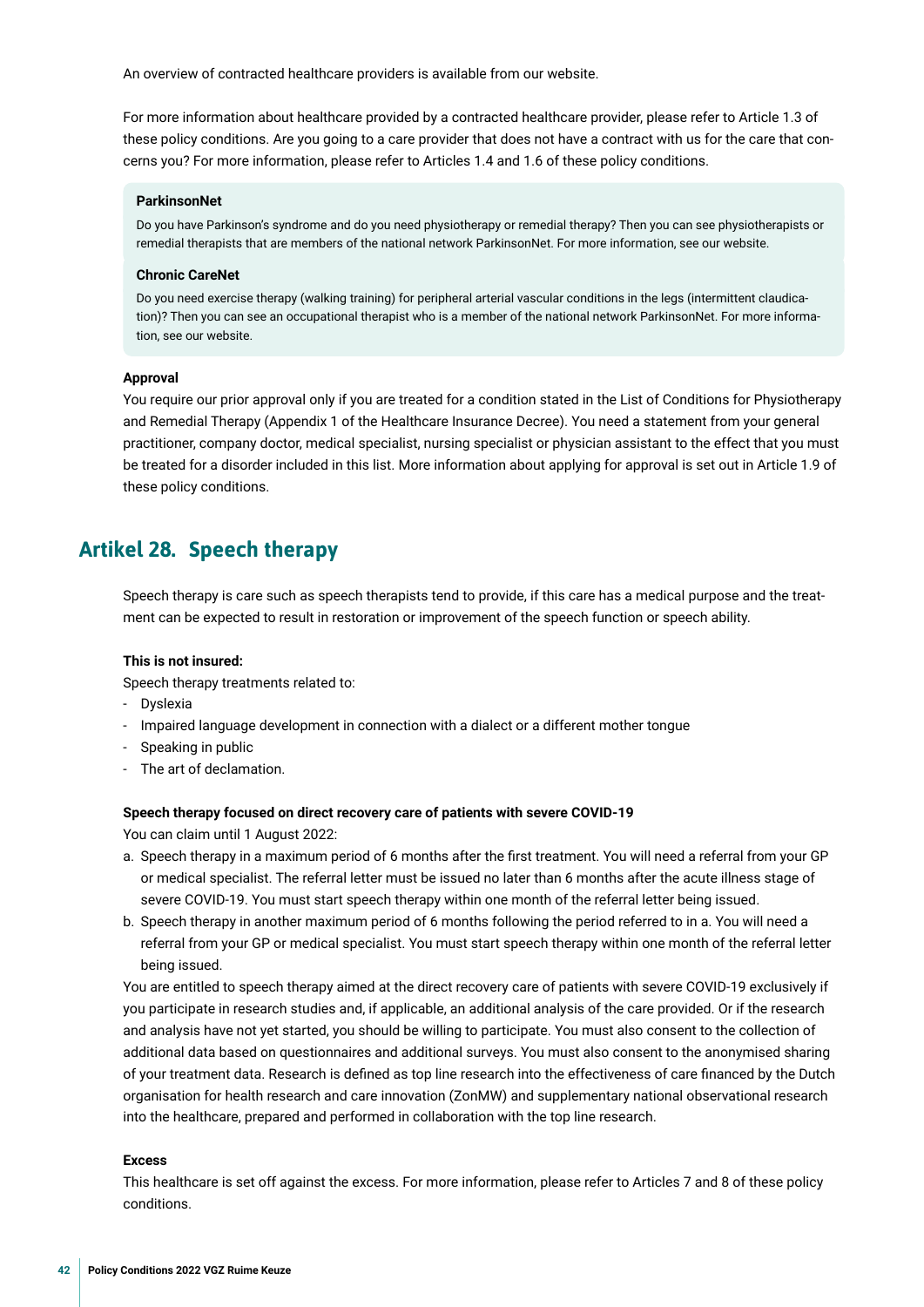<span id="page-41-0"></span>An overview of contracted healthcare providers is available from our website.

For more information about healthcare provided by a contracted healthcare provider, please refer to Article 1.3 of these policy conditions. Are you going to a care provider that does not have a contract with us for the care that concerns you? For more information, please refer to Articles 1.4 and 1.6 of these policy conditions.

#### **ParkinsonNet**

Do you have Parkinson's syndrome and do you need physiotherapy or remedial therapy? Then you can see physiotherapists or remedial therapists that are members of the national network ParkinsonNet. For more information, see our website.

#### **Chronic CareNet**

Do you need exercise therapy (walking training) for peripheral arterial vascular conditions in the legs (intermittent claudication)? Then you can see an occupational therapist who is a member of the national network ParkinsonNet. For more information, see our website.

#### **Approval**

You require our prior approval only if you are treated for a condition stated in the List of Conditions for Physiotherapy and Remedial Therapy (Appendix 1 of the Healthcare Insurance Decree). You need a statement from your general practitioner, company doctor, medical specialist, nursing specialist or physician assistant to the effect that you must be treated for a disorder included in this list. More information about applying for approval is set out in Article 1.9 of these policy conditions.

## **Artikel 28. Speech therapy**

Speech therapy is care such as speech therapists tend to provide, if this care has a medical purpose and the treatment can be expected to result in restoration or improvement of the speech function or speech ability.

#### **This is not insured:**

Speech therapy treatments related to:

- Dyslexia
- Impaired language development in connection with a dialect or a different mother tongue
- Speaking in public
- The art of declamation.

#### **Speech therapy focused on direct recovery care of patients with severe COVID-19**

You can claim until 1 August 2022:

- a. Speech therapy in a maximum period of 6 months after the frst treatment. You will need a referral from your GP or medical specialist. The referral letter must be issued no later than 6 months after the acute illness stage of severe COVID-19. You must start speech therapy within one month of the referral letter being issued.
- b. Speech therapy in another maximum period of 6 months following the period referred to in a. You will need a referral from your GP or medical specialist. You must start speech therapy within one month of the referral letter being issued.

You are entitled to speech therapy aimed at the direct recovery care of patients with severe COVID-19 exclusively if you participate in research studies and, if applicable, an additional analysis of the care provided. Or if the research and analysis have not yet started, you should be willing to participate. You must also consent to the collection of additional data based on questionnaires and additional surveys. You must also consent to the anonymised sharing of your treatment data. Research is defned as top line research into the effectiveness of care fnanced by the Dutch organisation for health research and care innovation (ZonMW) and supplementary national observational research into the healthcare, prepared and performed in collaboration with the top line research.

#### **Excess**

This healthcare is set off against the excess. For more information, please refer to Articles 7 and 8 of these policy conditions.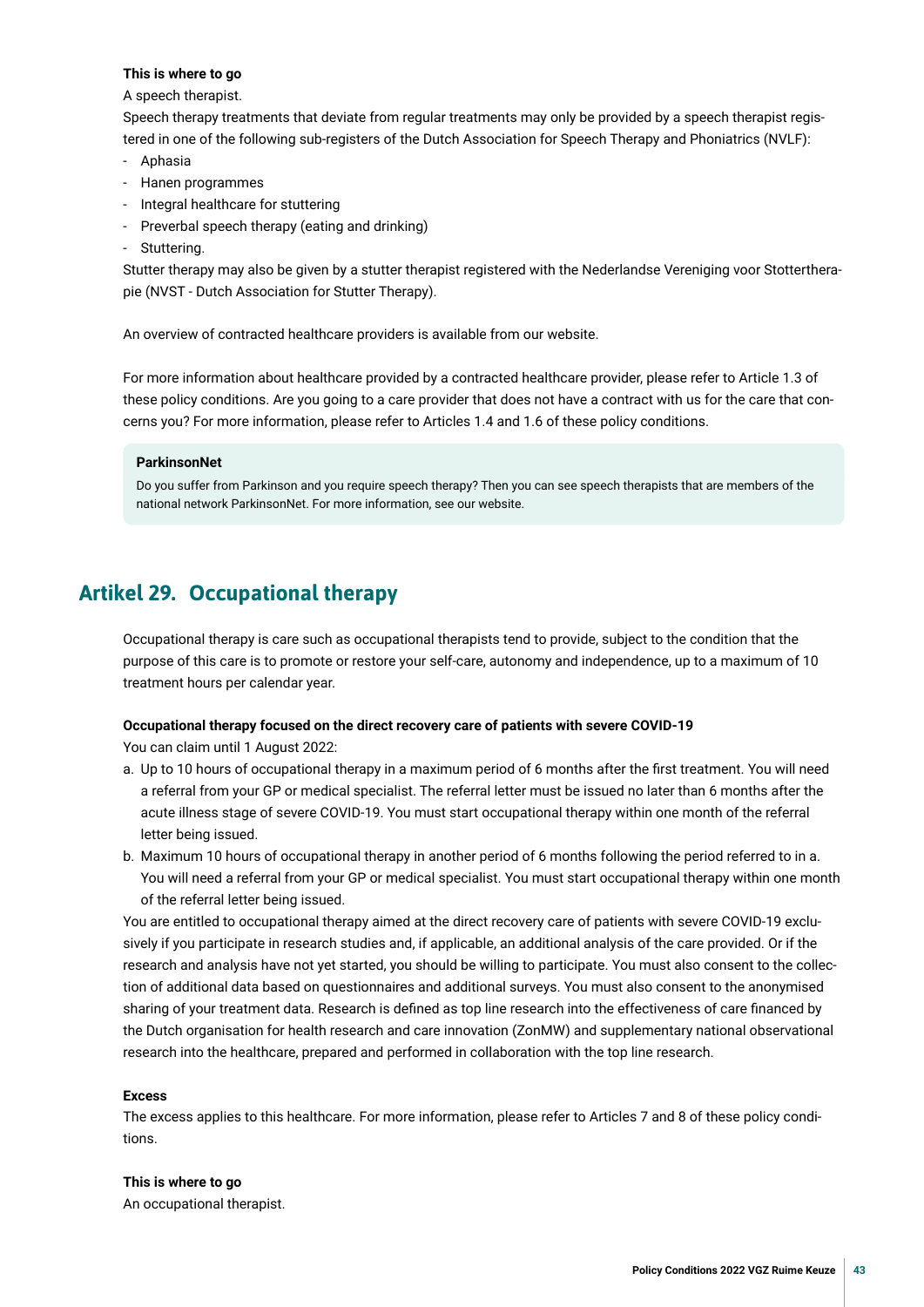#### <span id="page-42-0"></span>**This is where to go**

#### A speech therapist.

Speech therapy treatments that deviate from regular treatments may only be provided by a speech therapist registered in one of the following sub-registers of the Dutch Association for Speech Therapy and Phoniatrics (NVLF):

- Aphasia
- Hanen programmes
- Integral healthcare for stuttering
- Preverbal speech therapy (eating and drinking)
- Stuttering.

Stutter therapy may also be given by a stutter therapist registered with the Nederlandse Vereniging voor Stottertherapie (NVST - Dutch Association for Stutter Therapy).

An overview of contracted healthcare providers is available from our website.

For more information about healthcare provided by a contracted healthcare provider, please refer to Article 1.3 of these policy conditions. Are you going to a care provider that does not have a contract with us for the care that concerns you? For more information, please refer to Articles 1.4 and 1.6 of these policy conditions.

#### **ParkinsonNet**

Do you suffer from Parkinson and you require speech therapy? Then you can see speech therapists that are members of the national network ParkinsonNet. For more information, see our website.

## **Artikel 29. Occupational therapy**

Occupational therapy is care such as occupational therapists tend to provide, subject to the condition that the purpose of this care is to promote or restore your self-care, autonomy and independence, up to a maximum of 10 treatment hours per calendar year.

#### **Occupational therapy focused on the direct recovery care of patients with severe COVID-19**

You can claim until 1 August 2022:

- a. Up to 10 hours of occupational therapy in a maximum period of 6 months after the frst treatment. You will need a referral from your GP or medical specialist. The referral letter must be issued no later than 6 months after the acute illness stage of severe COVID-19. You must start occupational therapy within one month of the referral letter being issued.
- b. Maximum 10 hours of occupational therapy in another period of 6 months following the period referred to in a. You will need a referral from your GP or medical specialist. You must start occupational therapy within one month of the referral letter being issued.

You are entitled to occupational therapy aimed at the direct recovery care of patients with severe COVID-19 exclusively if you participate in research studies and, if applicable, an additional analysis of the care provided. Or if the research and analysis have not yet started, you should be willing to participate. You must also consent to the collection of additional data based on questionnaires and additional surveys. You must also consent to the anonymised sharing of your treatment data. Research is defned as top line research into the effectiveness of care fnanced by the Dutch organisation for health research and care innovation (ZonMW) and supplementary national observational research into the healthcare, prepared and performed in collaboration with the top line research.

#### **Excess**

The excess applies to this healthcare. For more information, please refer to Articles 7 and 8 of these policy conditions.

#### **This is where to go**

An occupational therapist.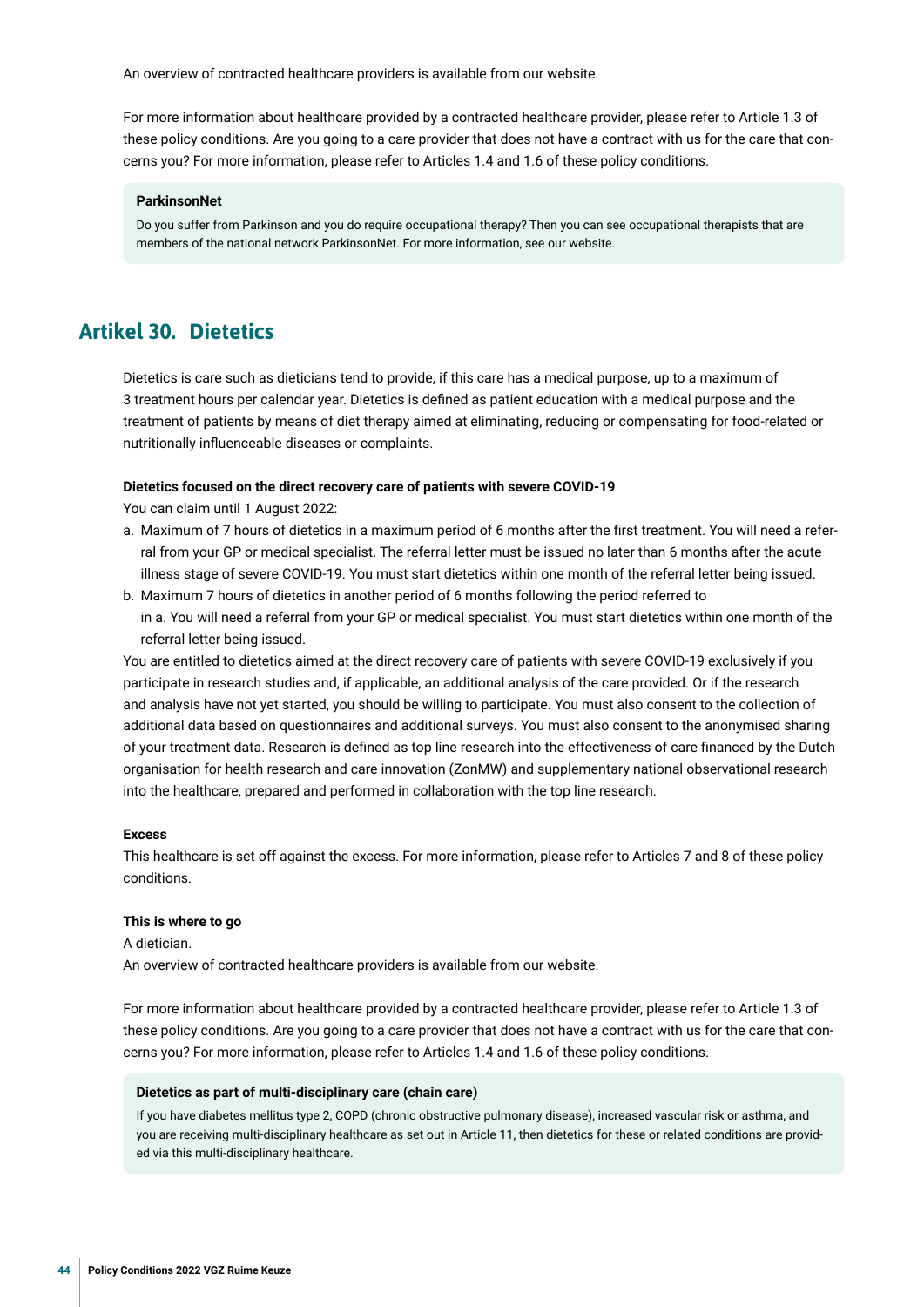<span id="page-43-0"></span>An overview of contracted healthcare providers is available from our website.

For more information about healthcare provided by a contracted healthcare provider, please refer to Article 1.3 of these policy conditions. Are you going to a care provider that does not have a contract with us for the care that concerns you? For more information, please refer to Articles 1.4 and 1.6 of these policy conditions.

#### **ParkinsonNet**

Do you suffer from Parkinson and you do require occupational therapy? Then you can see occupational therapists that are members of the national network ParkinsonNet. For more information, see our website.

## **Artikel 30. Dietetics**

Dietetics is care such as dieticians tend to provide, if this care has a medical purpose, up to a maximum of 3 treatment hours per calendar year. Dietetics is defned as patient education with a medical purpose and the treatment of patients by means of diet therapy aimed at eliminating, reducing or compensating for food-related or nutritionally infuenceable diseases or complaints.

#### **Dietetics focused on the direct recovery care of patients with severe COVID-19**

You can claim until 1 August 2022:

- a. Maximum of 7 hours of dietetics in a maximum period of 6 months after the frst treatment. You will need a referral from your GP or medical specialist. The referral letter must be issued no later than 6 months after the acute illness stage of severe COVID-19. You must start dietetics within one month of the referral letter being issued.
- b. Maximum 7 hours of dietetics in another period of 6 months following the period referred to in a. You will need a referral from your GP or medical specialist. You must start dietetics within one month of the referral letter being issued.

You are entitled to dietetics aimed at the direct recovery care of patients with severe COVID-19 exclusively if you participate in research studies and, if applicable, an additional analysis of the care provided. Or if the research and analysis have not yet started, you should be willing to participate. You must also consent to the collection of additional data based on questionnaires and additional surveys. You must also consent to the anonymised sharing of your treatment data. Research is defned as top line research into the effectiveness of care fnanced by the Dutch organisation for health research and care innovation (ZonMW) and supplementary national observational research into the healthcare, prepared and performed in collaboration with the top line research.

#### **Excess**

This healthcare is set off against the excess. For more information, please refer to Articles 7 and 8 of these policy conditions.

#### **This is where to go**

A dietician. An overview of contracted healthcare providers is available from our website.

For more information about healthcare provided by a contracted healthcare provider, please refer to Article 1.3 of these policy conditions. Are you going to a care provider that does not have a contract with us for the care that concerns you? For more information, please refer to Articles 1.4 and 1.6 of these policy conditions.

#### **Dietetics as part of multi-disciplinary care (chain care)**

If you have diabetes mellitus type 2, COPD (chronic obstructive pulmonary disease), increased vascular risk or asthma, and you are receiving multi-disciplinary healthcare as set out in Article 11, then dietetics for these or related conditions are provided via this multi-disciplinary healthcare.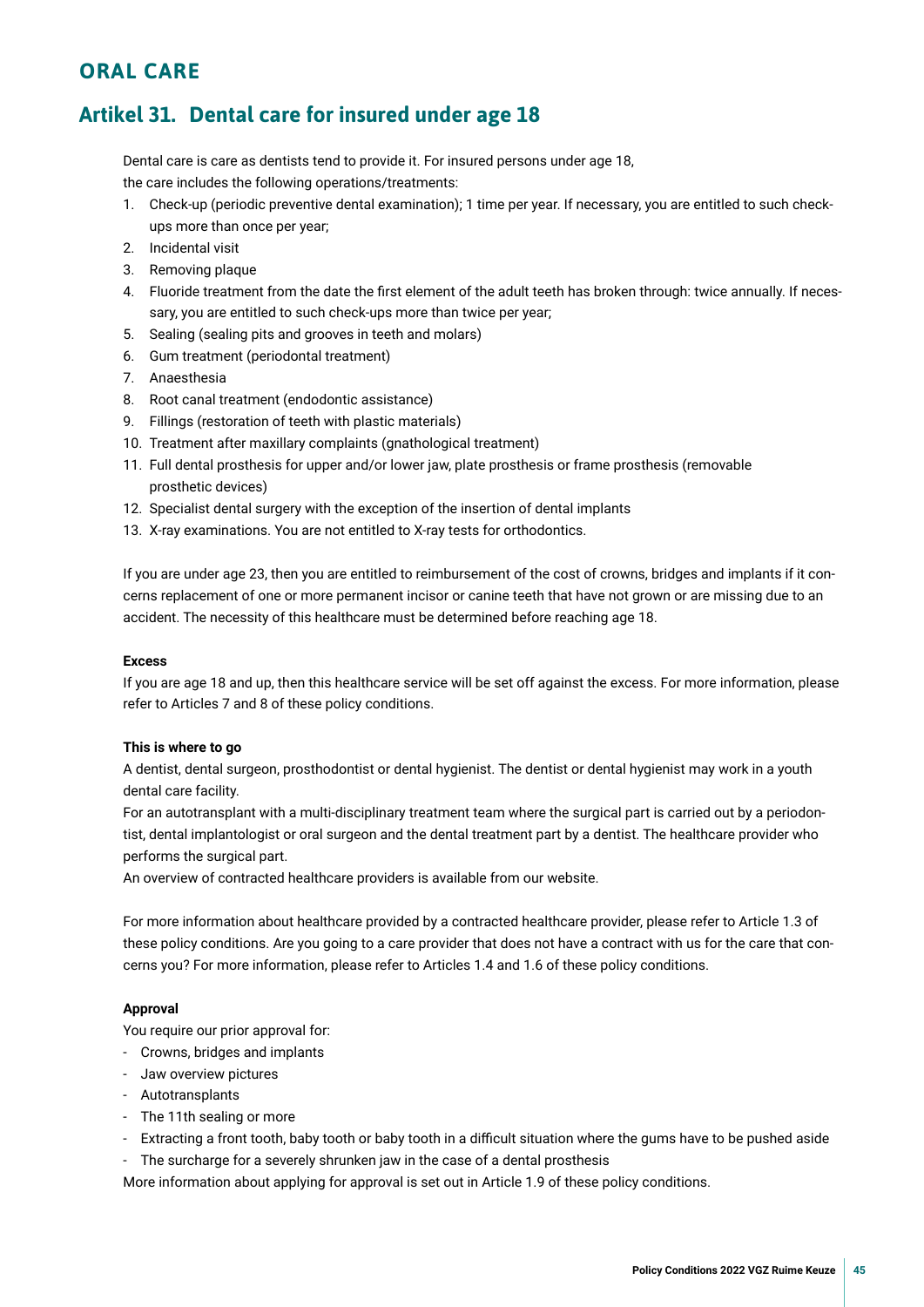## <span id="page-44-0"></span>**ORAL CARE**

## **Artikel 31. Dental care for insured under age 18**

Dental care is care as dentists tend to provide it. For insured persons under age 18, the care includes the following operations/treatments:

- 1. Check-up (periodic preventive dental examination); 1 time per year. If necessary, you are entitled to such checkups more than once per year;
- 2. Incidental visit
- 3. Removing plaque
- 4. Fluoride treatment from the date the frst element of the adult teeth has broken through: twice annually. If necessary, you are entitled to such check-ups more than twice per year;
- 5. Sealing (sealing pits and grooves in teeth and molars)
- 6. Gum treatment (periodontal treatment)
- 7. Anaesthesia
- 8. Root canal treatment (endodontic assistance)
- 9. Fillings (restoration of teeth with plastic materials)
- 10. Treatment after maxillary complaints (gnathological treatment)
- 11. Full dental prosthesis for upper and/or lower jaw, plate prosthesis or frame prosthesis (removable prosthetic devices)
- 12. Specialist dental surgery with the exception of the insertion of dental implants
- 13. X-ray examinations. You are not entitled to X-ray tests for orthodontics.

If you are under age 23, then you are entitled to reimbursement of the cost of crowns, bridges and implants if it concerns replacement of one or more permanent incisor or canine teeth that have not grown or are missing due to an accident. The necessity of this healthcare must be determined before reaching age 18.

#### **Excess**

If you are age 18 and up, then this healthcare service will be set off against the excess. For more information, please refer to Articles 7 and 8 of these policy conditions.

#### **This is where to go**

A dentist, dental surgeon, prosthodontist or dental hygienist. The dentist or dental hygienist may work in a youth dental care facility.

For an autotransplant with a multi-disciplinary treatment team where the surgical part is carried out by a periodontist, dental implantologist or oral surgeon and the dental treatment part by a dentist. The healthcare provider who performs the surgical part.

An overview of contracted healthcare providers is available from our website.

For more information about healthcare provided by a contracted healthcare provider, please refer to Article 1.3 of these policy conditions. Are you going to a care provider that does not have a contract with us for the care that concerns you? For more information, please refer to Articles 1.4 and 1.6 of these policy conditions.

#### **Approval**

You require our prior approval for:

- Crowns, bridges and implants
- Jaw overview pictures
- Autotransplants
- The 11th sealing or more
- Extracting a front tooth, baby tooth or baby tooth in a difcult situation where the gums have to be pushed aside
- The surcharge for a severely shrunken jaw in the case of a dental prosthesis

More information about applying for approval is set out in Article 1.9 of these policy conditions.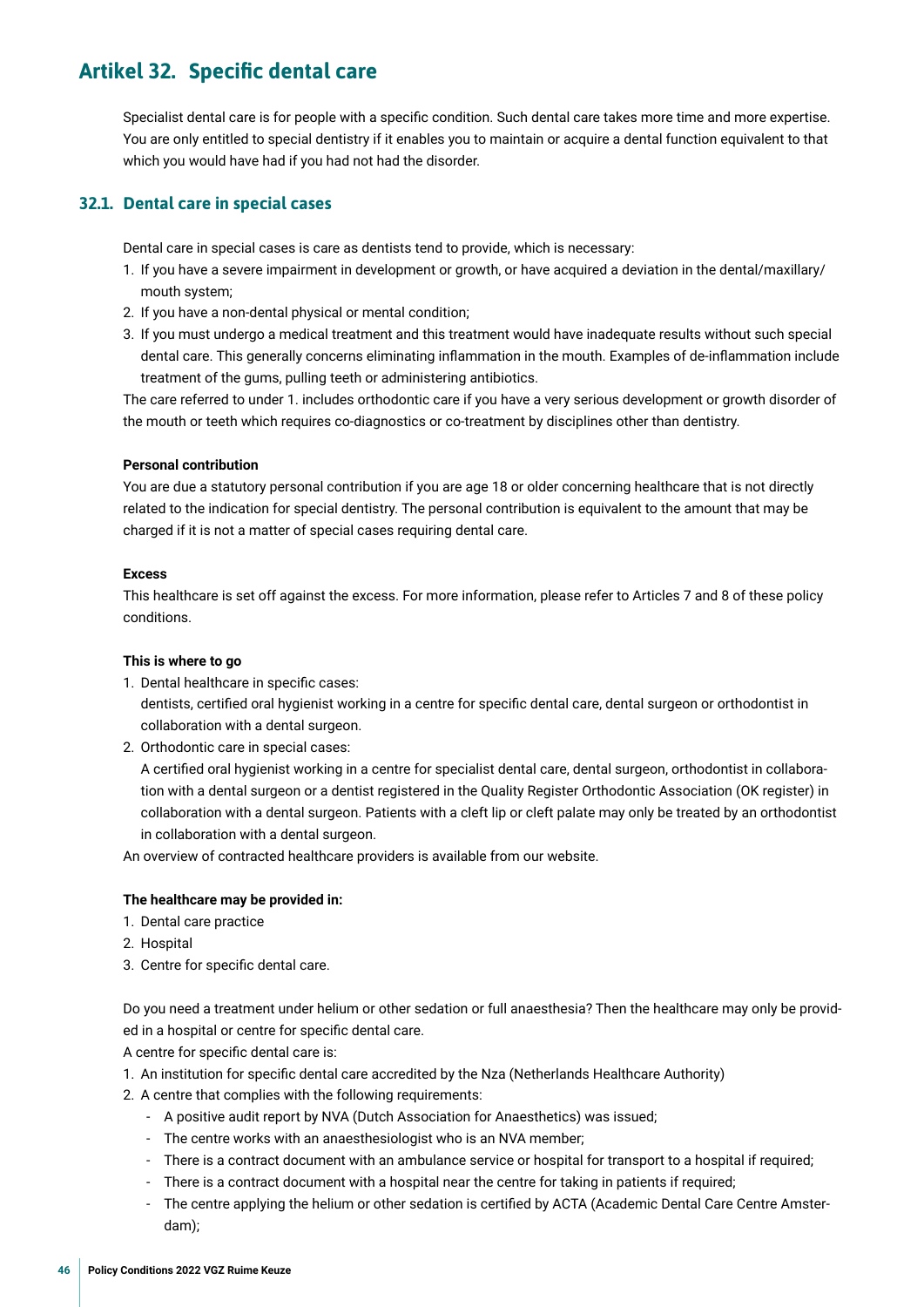## <span id="page-45-0"></span>**Artikel 32. Specifc dental care**

Specialist dental care is for people with a specifc condition. Such dental care takes more time and more expertise. You are only entitled to special dentistry if it enables you to maintain or acquire a dental function equivalent to that which you would have had if you had not had the disorder.

#### **32.1. Dental care in special cases**

Dental care in special cases is care as dentists tend to provide, which is necessary:

- 1. If you have a severe impairment in development or growth, or have acquired a deviation in the dental/maxillary/ mouth system;
- 2. If you have a non-dental physical or mental condition;
- 3. If you must undergo a medical treatment and this treatment would have inadequate results without such special dental care. This generally concerns eliminating infammation in the mouth. Examples of de-infammation include treatment of the gums, pulling teeth or administering antibiotics.

The care referred to under 1. includes orthodontic care if you have a very serious development or growth disorder of the mouth or teeth which requires co-diagnostics or co-treatment by disciplines other than dentistry.

#### **Personal contribution**

You are due a statutory personal contribution if you are age 18 or older concerning healthcare that is not directly related to the indication for special dentistry. The personal contribution is equivalent to the amount that may be charged if it is not a matter of special cases requiring dental care.

#### **Excess**

This healthcare is set off against the excess. For more information, please refer to Articles 7 and 8 of these policy conditions.

#### **This is where to go**

- 1. Dental healthcare in specifc cases: dentists, certifed oral hygienist working in a centre for specifc dental care, dental surgeon or orthodontist in collaboration with a dental surgeon.
- 2. Orthodontic care in special cases:

A certifed oral hygienist working in a centre for specialist dental care, dental surgeon, orthodontist in collaboration with a dental surgeon or a dentist registered in the Quality Register Orthodontic Association (OK register) in collaboration with a dental surgeon. Patients with a cleft lip or cleft palate may only be treated by an orthodontist in collaboration with a dental surgeon.

An overview of contracted healthcare providers is available from our website.

#### **The healthcare may be provided in:**

- 1. Dental care practice
- 2. Hospital
- 3. Centre for specifc dental care.

Do you need a treatment under helium or other sedation or full anaesthesia? Then the healthcare may only be provided in a hospital or centre for specifc dental care.

A centre for specifc dental care is:

- 1. An institution for specifc dental care accredited by the Nza (Netherlands Healthcare Authority)
- 2. A centre that complies with the following requirements:
	- A positive audit report by NVA (Dutch Association for Anaesthetics) was issued;
	- The centre works with an anaesthesiologist who is an NVA member;
	- There is a contract document with an ambulance service or hospital for transport to a hospital if required;
	- There is a contract document with a hospital near the centre for taking in patients if required;
	- The centre applying the helium or other sedation is certifed by ACTA (Academic Dental Care Centre Amsterdam);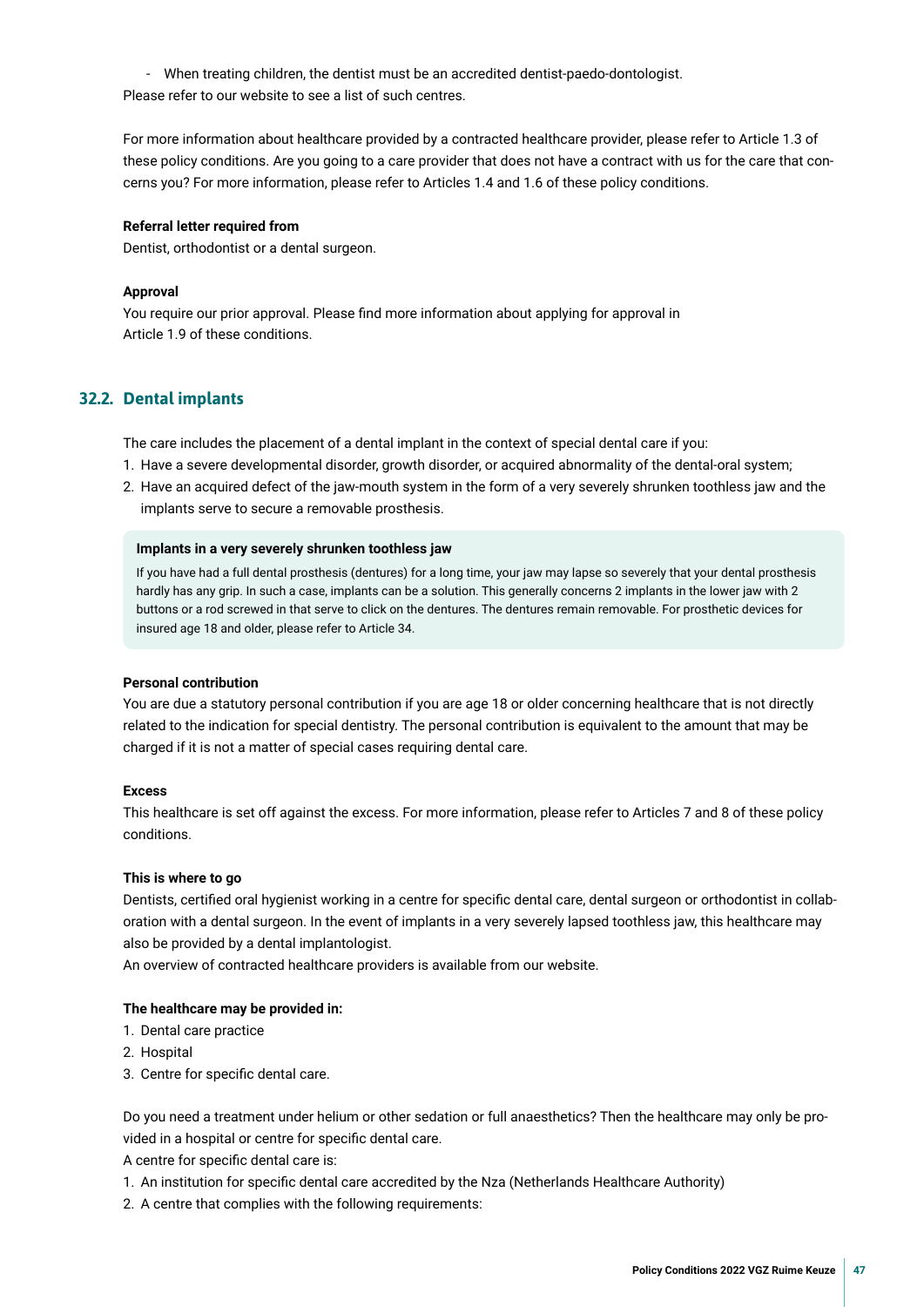- When treating children, the dentist must be an accredited dentist-paedo-dontologist. Please refer to our website to see a list of such centres.

For more information about healthcare provided by a contracted healthcare provider, please refer to Article 1.3 of these policy conditions. Are you going to a care provider that does not have a contract with us for the care that concerns you? For more information, please refer to Articles 1.4 and 1.6 of these policy conditions.

#### **Referral letter required from**

Dentist, orthodontist or a dental surgeon.

#### **Approval**

You require our prior approval. Please fnd more information about applying for approval in Article 1.9 of these conditions.

#### **32.2. Dental implants**

The care includes the placement of a dental implant in the context of special dental care if you:

- 1. Have a severe developmental disorder, growth disorder, or acquired abnormality of the dental-oral system;
- 2. Have an acquired defect of the jaw-mouth system in the form of a very severely shrunken toothless jaw and the implants serve to secure a removable prosthesis.

#### **Implants in a very severely shrunken toothless jaw**

If you have had a full dental prosthesis (dentures) for a long time, your jaw may lapse so severely that your dental prosthesis hardly has any grip. In such a case, implants can be a solution. This generally concerns 2 implants in the lower jaw with 2 buttons or a rod screwed in that serve to click on the dentures. The dentures remain removable. For prosthetic devices for insured age 18 and older, please refer to Article 34.

#### **Personal contribution**

You are due a statutory personal contribution if you are age 18 or older concerning healthcare that is not directly related to the indication for special dentistry. The personal contribution is equivalent to the amount that may be charged if it is not a matter of special cases requiring dental care.

#### **Excess**

This healthcare is set off against the excess. For more information, please refer to Articles 7 and 8 of these policy conditions.

#### **This is where to go**

Dentists, certifed oral hygienist working in a centre for specifc dental care, dental surgeon or orthodontist in collaboration with a dental surgeon. In the event of implants in a very severely lapsed toothless jaw, this healthcare may also be provided by a dental implantologist.

An overview of contracted healthcare providers is available from our website.

#### **The healthcare may be provided in:**

- 1. Dental care practice
- 2. Hospital
- 3. Centre for specifc dental care.

Do you need a treatment under helium or other sedation or full anaesthetics? Then the healthcare may only be provided in a hospital or centre for specifc dental care.

A centre for specific dental care is:

- 1. An institution for specifc dental care accredited by the Nza (Netherlands Healthcare Authority)
- 2. A centre that complies with the following requirements: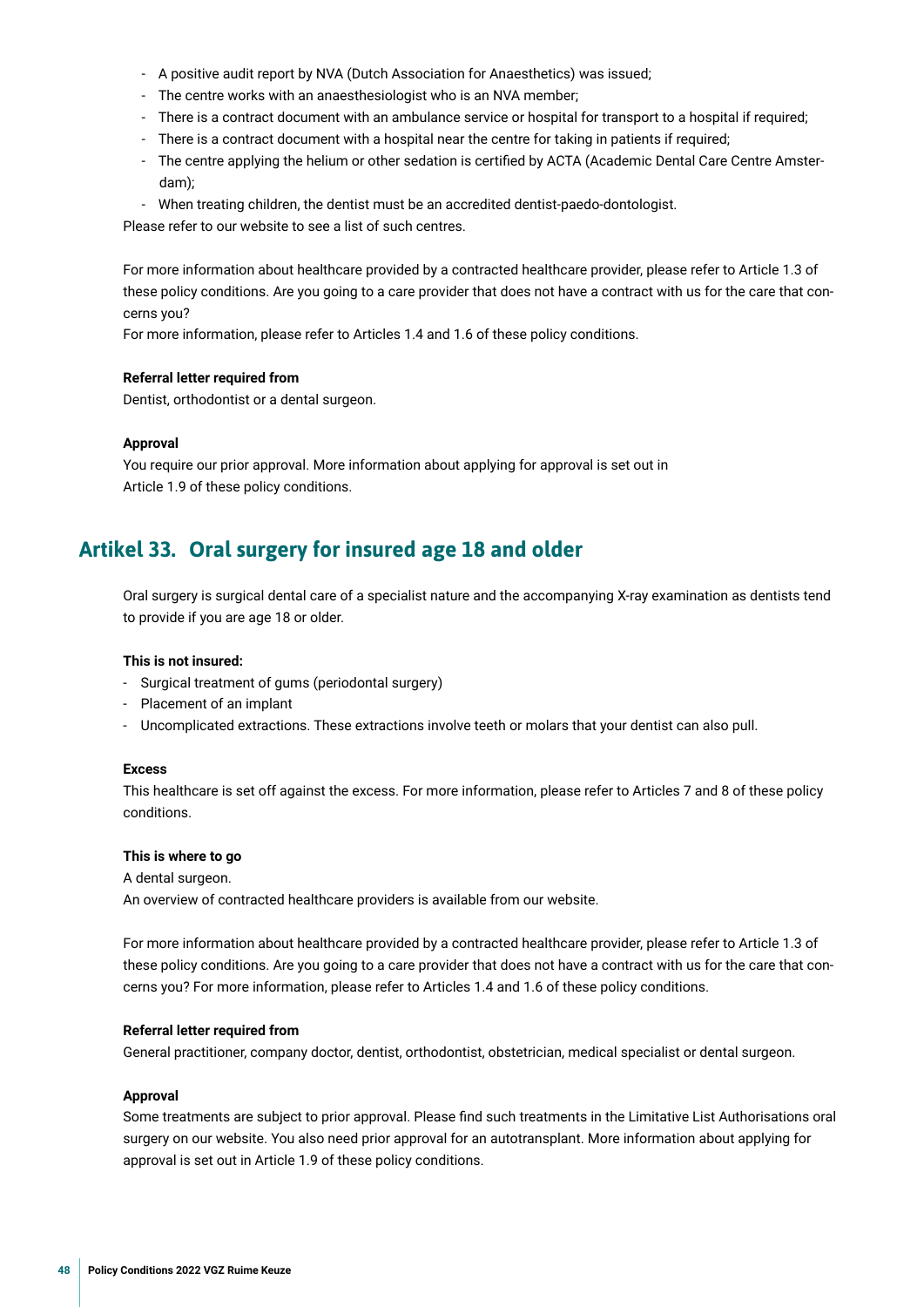- <span id="page-47-0"></span>- A positive audit report by NVA (Dutch Association for Anaesthetics) was issued;
- The centre works with an anaesthesiologist who is an NVA member;
- There is a contract document with an ambulance service or hospital for transport to a hospital if required;
- There is a contract document with a hospital near the centre for taking in patients if required;
- The centre applying the helium or other sedation is certifed by ACTA (Academic Dental Care Centre Amsterdam);
- When treating children, the dentist must be an accredited dentist-paedo-dontologist.

Please refer to our website to see a list of such centres.

For more information about healthcare provided by a contracted healthcare provider, please refer to Article 1.3 of these policy conditions. Are you going to a care provider that does not have a contract with us for the care that concerns you?

For more information, please refer to Articles 1.4 and 1.6 of these policy conditions.

#### **Referral letter required from**

Dentist, orthodontist or a dental surgeon.

#### **Approval**

You require our prior approval. More information about applying for approval is set out in Article 1.9 of these policy conditions.

## **Artikel 33. Oral surgery for insured age 18 and older**

Oral surgery is surgical dental care of a specialist nature and the accompanying X-ray examination as dentists tend to provide if you are age 18 or older.

#### **This is not insured:**

- Surgical treatment of gums (periodontal surgery)
- Placement of an implant
- Uncomplicated extractions. These extractions involve teeth or molars that your dentist can also pull.

#### **Excess**

This healthcare is set off against the excess. For more information, please refer to Articles 7 and 8 of these policy conditions.

#### **This is where to go**

A dental surgeon.

An overview of contracted healthcare providers is available from our website.

For more information about healthcare provided by a contracted healthcare provider, please refer to Article 1.3 of these policy conditions. Are you going to a care provider that does not have a contract with us for the care that concerns you? For more information, please refer to Articles 1.4 and 1.6 of these policy conditions.

#### **Referral letter required from**

General practitioner, company doctor, dentist, orthodontist, obstetrician, medical specialist or dental surgeon.

#### **Approval**

Some treatments are subject to prior approval. Please fnd such treatments in the Limitative List Authorisations oral surgery on our website. You also need prior approval for an autotransplant. More information about applying for approval is set out in Article 1.9 of these policy conditions.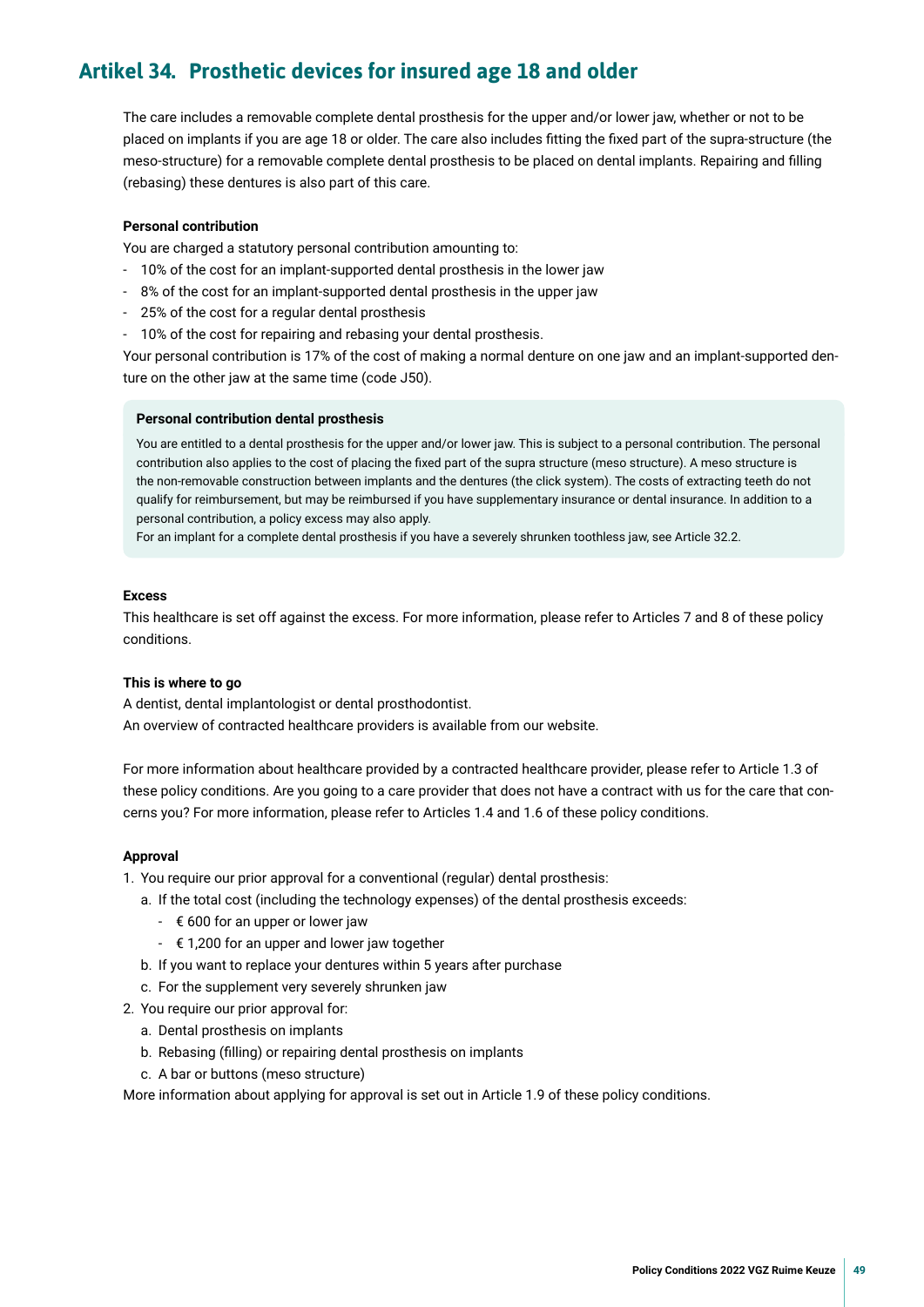## <span id="page-48-0"></span>**Artikel 34. Prosthetic devices for insured age 18 and older**

The care includes a removable complete dental prosthesis for the upper and/or lower jaw, whether or not to be placed on implants if you are age 18 or older. The care also includes ftting the fxed part of the supra-structure (the meso-structure) for a removable complete dental prosthesis to be placed on dental implants. Repairing and flling (rebasing) these dentures is also part of this care.

#### **Personal contribution**

You are charged a statutory personal contribution amounting to:

- 10% of the cost for an implant-supported dental prosthesis in the lower jaw
- 8% of the cost for an implant-supported dental prosthesis in the upper jaw
- 25% of the cost for a regular dental prosthesis
- 10% of the cost for repairing and rebasing your dental prosthesis.

Your personal contribution is 17% of the cost of making a normal denture on one jaw and an implant-supported denture on the other jaw at the same time (code J50).

#### **Personal contribution dental prosthesis**

You are entitled to a dental prosthesis for the upper and/or lower jaw. This is subject to a personal contribution. The personal contribution also applies to the cost of placing the fxed part of the supra structure (meso structure). A meso structure is the non-removable construction between implants and the dentures (the click system). The costs of extracting teeth do not qualify for reimbursement, but may be reimbursed if you have supplementary insurance or dental insurance. In addition to a personal contribution, a policy excess may also apply.

For an implant for a complete dental prosthesis if you have a severely shrunken toothless jaw, see Article 32.2.

#### **Excess**

This healthcare is set off against the excess. For more information, please refer to Articles 7 and 8 of these policy conditions.

#### **This is where to go**

A dentist, dental implantologist or dental prosthodontist. An overview of contracted healthcare providers is available from our website.

For more information about healthcare provided by a contracted healthcare provider, please refer to Article 1.3 of these policy conditions. Are you going to a care provider that does not have a contract with us for the care that concerns you? For more information, please refer to Articles 1.4 and 1.6 of these policy conditions.

#### **Approval**

- 1. You require our prior approval for a conventional (regular) dental prosthesis:
	- a. If the total cost (including the technology expenses) of the dental prosthesis exceeds:
		- $\epsilon$  600 for an upper or lower jaw
		- $\epsilon$  1,200 for an upper and lower jaw together
	- b. If you want to replace your dentures within 5 years after purchase
	- c. For the supplement very severely shrunken jaw
- 2. You require our prior approval for:
	- a. Dental prosthesis on implants
	- b. Rebasing (flling) or repairing dental prosthesis on implants
	- c. A bar or buttons (meso structure)

More information about applying for approval is set out in Article 1.9 of these policy conditions.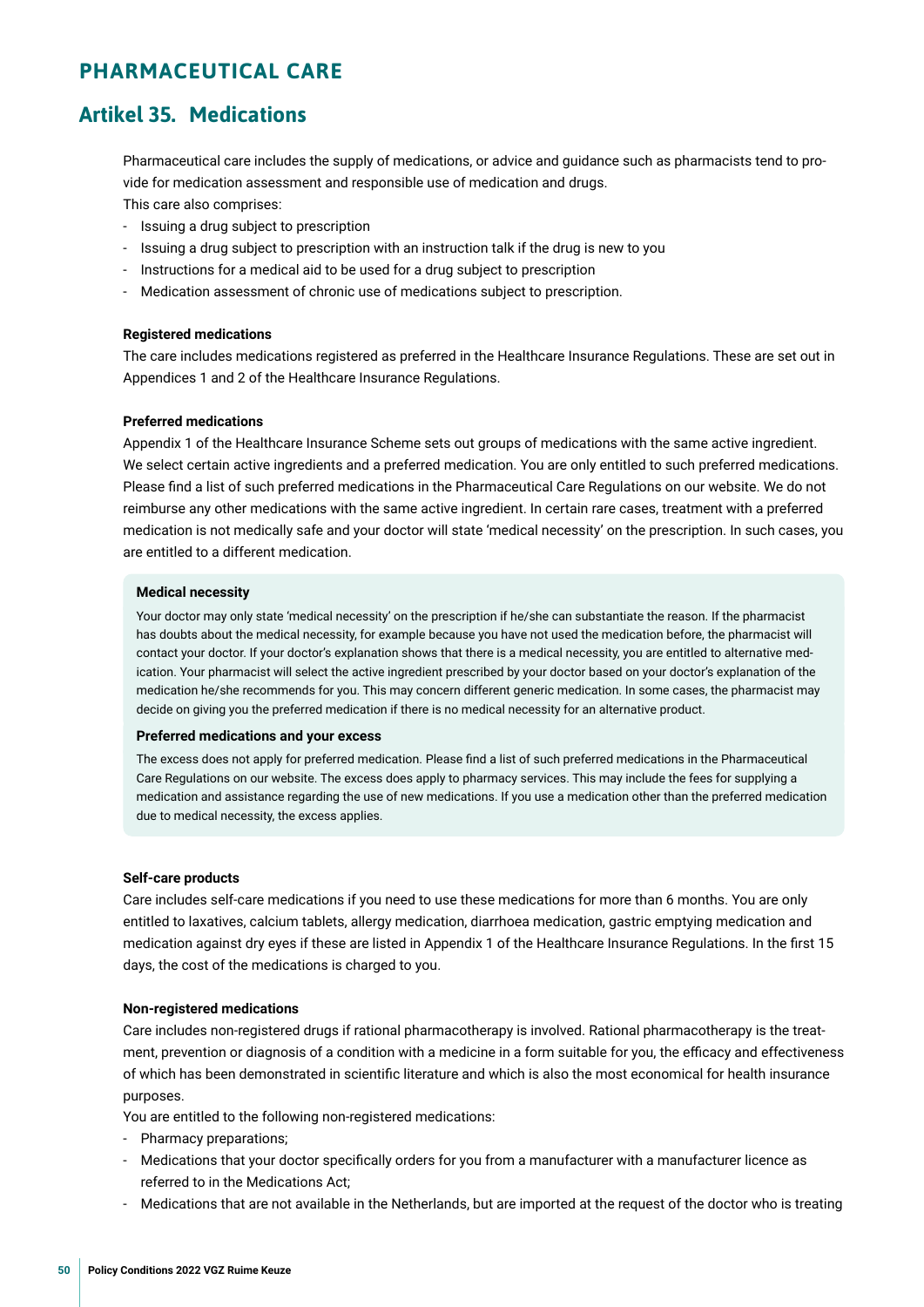## <span id="page-49-0"></span>**PHARMACEUTICAL CARE**

## **Artikel 35. Medications**

Pharmaceutical care includes the supply of medications, or advice and guidance such as pharmacists tend to provide for medication assessment and responsible use of medication and drugs.

This care also comprises:

- Issuing a drug subject to prescription
- Issuing a drug subject to prescription with an instruction talk if the drug is new to you
- Instructions for a medical aid to be used for a drug subject to prescription
- Medication assessment of chronic use of medications subject to prescription.

#### **Registered medications**

The care includes medications registered as preferred in the Healthcare Insurance Regulations. These are set out in Appendices 1 and 2 of the Healthcare Insurance Regulations.

#### **Preferred medications**

Appendix 1 of the Healthcare Insurance Scheme sets out groups of medications with the same active ingredient. We select certain active ingredients and a preferred medication. You are only entitled to such preferred medications. Please fnd a list of such preferred medications in the Pharmaceutical Care Regulations on our website. We do not reimburse any other medications with the same active ingredient. In certain rare cases, treatment with a preferred medication is not medically safe and your doctor will state 'medical necessity' on the prescription. In such cases, you are entitled to a different medication.

#### **Medical necessity**

Your doctor may only state 'medical necessity' on the prescription if he/she can substantiate the reason. If the pharmacist has doubts about the medical necessity, for example because you have not used the medication before, the pharmacist will contact your doctor. If your doctor's explanation shows that there is a medical necessity, you are entitled to alternative medication. Your pharmacist will select the active ingredient prescribed by your doctor based on your doctor's explanation of the medication he/she recommends for you. This may concern different generic medication. In some cases, the pharmacist may decide on giving you the preferred medication if there is no medical necessity for an alternative product.

#### **Preferred medications and your excess**

The excess does not apply for preferred medication. Please fnd a list of such preferred medications in the Pharmaceutical Care Regulations on our website. The excess does apply to pharmacy services. This may include the fees for supplying a medication and assistance regarding the use of new medications. If you use a medication other than the preferred medication due to medical necessity, the excess applies.

#### **Self-care products**

Care includes self-care medications if you need to use these medications for more than 6 months. You are only entitled to laxatives, calcium tablets, allergy medication, diarrhoea medication, gastric emptying medication and medication against dry eyes if these are listed in Appendix 1 of the Healthcare Insurance Regulations. In the frst 15 days, the cost of the medications is charged to you.

#### **Non-registered medications**

Care includes non-registered drugs if rational pharmacotherapy is involved. Rational pharmacotherapy is the treatment, prevention or diagnosis of a condition with a medicine in a form suitable for you, the efficacy and effectiveness of which has been demonstrated in scientifc literature and which is also the most economical for health insurance purposes.

You are entitled to the following non-registered medications:

- Pharmacy preparations;
- Medications that your doctor specifcally orders for you from a manufacturer with a manufacturer licence as referred to in the Medications Act;
- Medications that are not available in the Netherlands, but are imported at the request of the doctor who is treating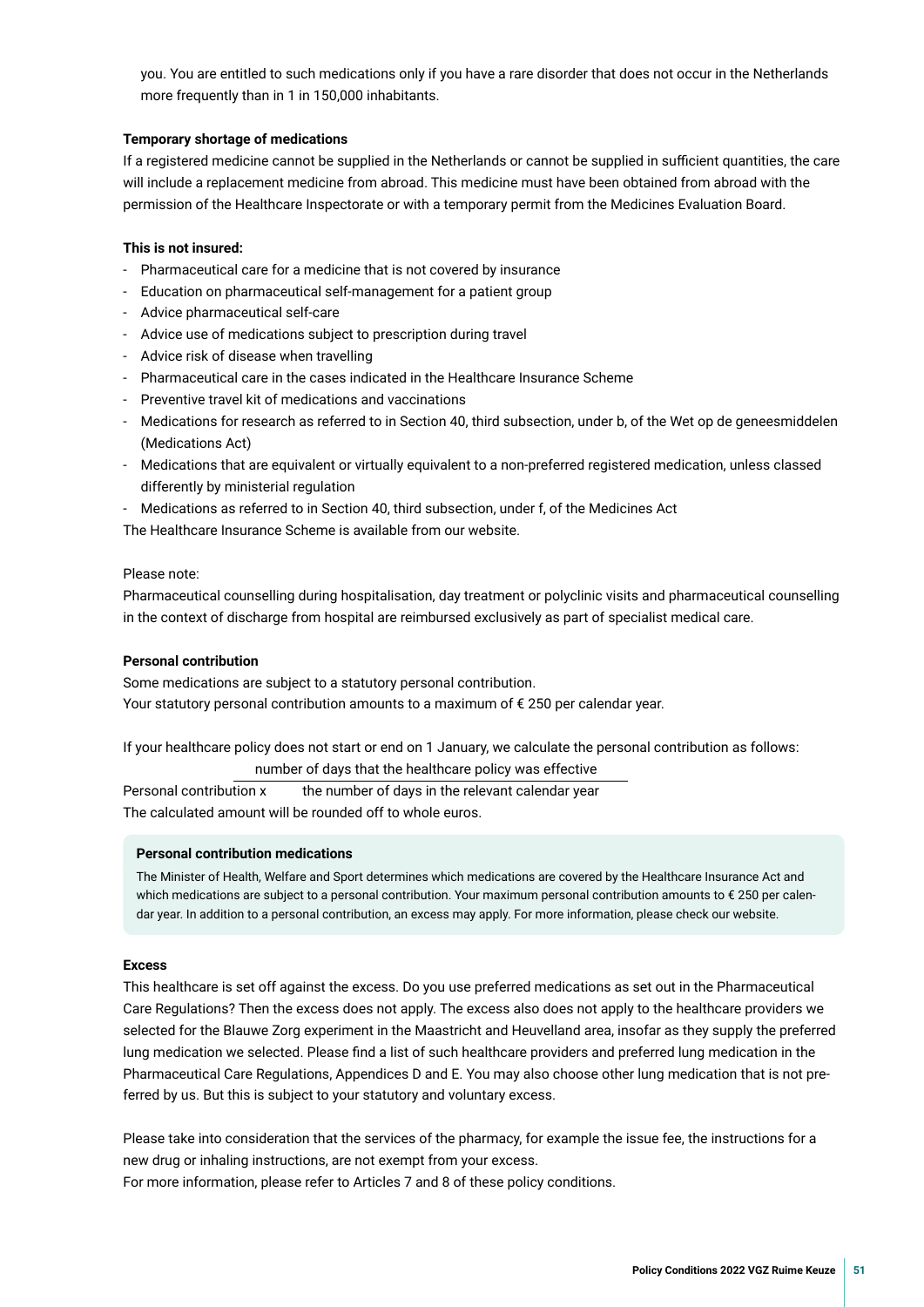you. You are entitled to such medications only if you have a rare disorder that does not occur in the Netherlands more frequently than in 1 in 150,000 inhabitants.

#### **Temporary shortage of medications**

If a registered medicine cannot be supplied in the Netherlands or cannot be supplied in sufficient quantities, the care will include a replacement medicine from abroad. This medicine must have been obtained from abroad with the permission of the Healthcare Inspectorate or with a temporary permit from the Medicines Evaluation Board.

#### **This is not insured:**

- Pharmaceutical care for a medicine that is not covered by insurance
- Education on pharmaceutical self-management for a patient group
- Advice pharmaceutical self-care
- Advice use of medications subject to prescription during travel
- Advice risk of disease when travelling
- Pharmaceutical care in the cases indicated in the Healthcare Insurance Scheme
- Preventive travel kit of medications and vaccinations
- Medications for research as referred to in Section 40, third subsection, under b, of the Wet op de geneesmiddelen (Medications Act)
- Medications that are equivalent or virtually equivalent to a non-preferred registered medication, unless classed differently by ministerial regulation
- Medications as referred to in Section 40, third subsection, under f, of the Medicines Act

The Healthcare Insurance Scheme is available from our website.

#### Please note:

Pharmaceutical counselling during hospitalisation, day treatment or polyclinic visits and pharmaceutical counselling in the context of discharge from hospital are reimbursed exclusively as part of specialist medical care.

#### **Personal contribution**

Some medications are subject to a statutory personal contribution. Your statutory personal contribution amounts to a maximum of € 250 per calendar year.

If your healthcare policy does not start or end on 1 January, we calculate the personal contribution as follows: number of days that the healthcare policy was effective

Personal contribution x the number of days in the relevant calendar year The calculated amount will be rounded off to whole euros.

#### **Personal contribution medications**

The Minister of Health, Welfare and Sport determines which medications are covered by the Healthcare Insurance Act and which medications are subject to a personal contribution. Your maximum personal contribution amounts to € 250 per calendar year. In addition to a personal contribution, an excess may apply. For more information, please check our website.

#### **Excess**

This healthcare is set off against the excess. Do you use preferred medications as set out in the Pharmaceutical Care Regulations? Then the excess does not apply. The excess also does not apply to the healthcare providers we selected for the Blauwe Zorg experiment in the Maastricht and Heuvelland area, insofar as they supply the preferred lung medication we selected. Please fnd a list of such healthcare providers and preferred lung medication in the Pharmaceutical Care Regulations, Appendices D and E. You may also choose other lung medication that is not preferred by us. But this is subject to your statutory and voluntary excess.

Please take into consideration that the services of the pharmacy, for example the issue fee, the instructions for a new drug or inhaling instructions, are not exempt from your excess.

For more information, please refer to Articles 7 and 8 of these policy conditions.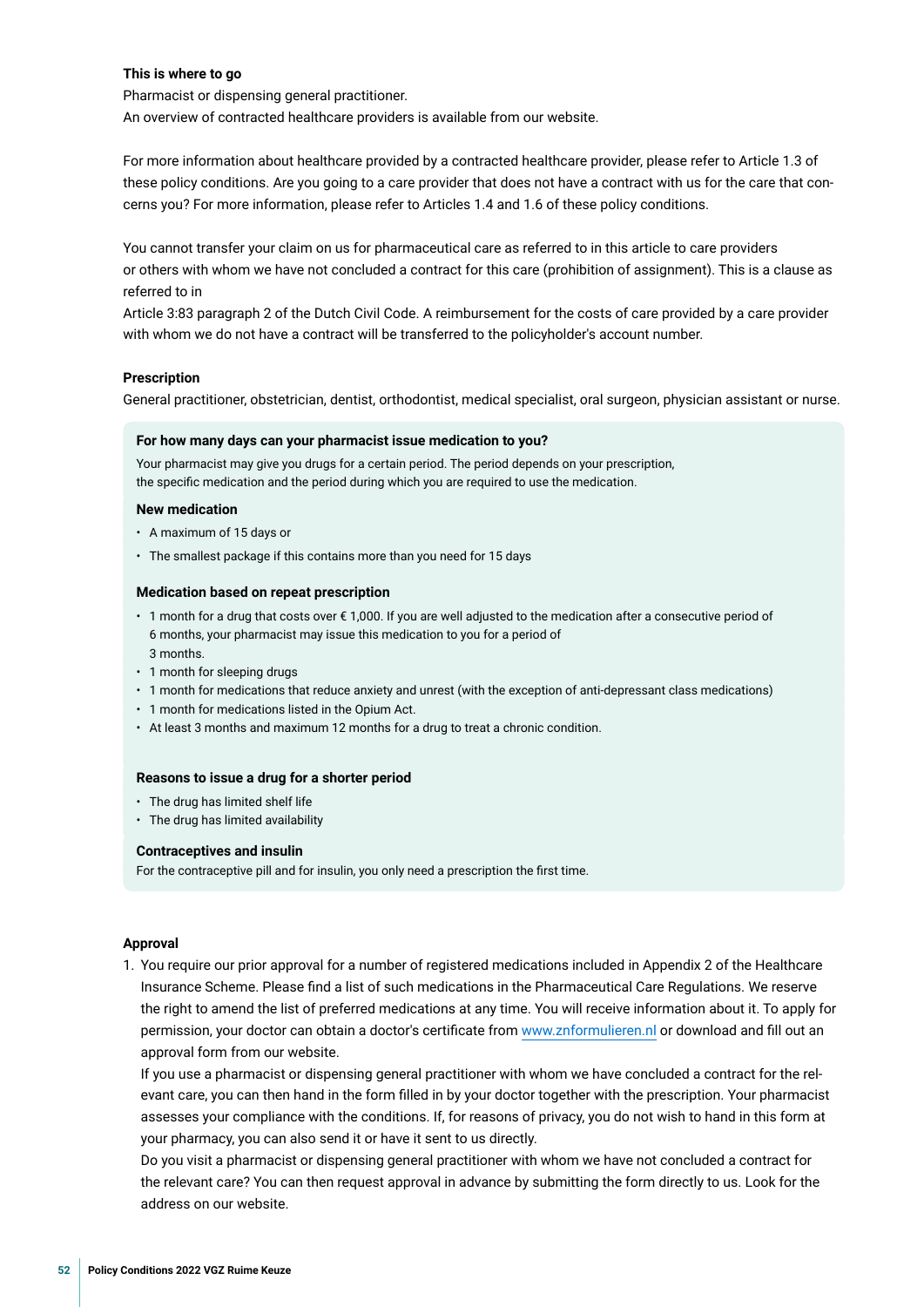#### **This is where to go**

Pharmacist or dispensing general practitioner.

An overview of contracted healthcare providers is available from our website.

For more information about healthcare provided by a contracted healthcare provider, please refer to Article 1.3 of these policy conditions. Are you going to a care provider that does not have a contract with us for the care that concerns you? For more information, please refer to Articles 1.4 and 1.6 of these policy conditions.

You cannot transfer your claim on us for pharmaceutical care as referred to in this article to care providers or others with whom we have not concluded a contract for this care (prohibition of assignment). This is a clause as referred to in

Article 3:83 paragraph 2 of the Dutch Civil Code. A reimbursement for the costs of care provided by a care provider with whom we do not have a contract will be transferred to the policyholder's account number.

#### **Prescription**

General practitioner, obstetrician, dentist, orthodontist, medical specialist, oral surgeon, physician assistant or nurse.

#### **For how many days can your pharmacist issue medication to you?**

Your pharmacist may give you drugs for a certain period. The period depends on your prescription, the specifc medication and the period during which you are required to use the medication.

#### **New medication**

- A maximum of 15 days or
- The smallest package if this contains more than you need for 15 days

#### **Medication based on repeat prescription**

- 1 month for a drug that costs over € 1,000. If you are well adjusted to the medication after a consecutive period of 6 months, your pharmacist may issue this medication to you for a period of 3 months.
- 1 month for sleeping drugs
- 1 month for medications that reduce anxiety and unrest (with the exception of anti-depressant class medications)
- 1 month for medications listed in the Opium Act.
- At least 3 months and maximum 12 months for a drug to treat a chronic condition.

#### **Reasons to issue a drug for a shorter period**

- The drug has limited shelf life
- The drug has limited availability

#### **Contraceptives and insulin**

For the contraceptive pill and for insulin, you only need a prescription the frst time.

#### **Approval**

1. You require our prior approval for a number of registered medications included in Appendix 2 of the Healthcare Insurance Scheme. Please fnd a list of such medications in the Pharmaceutical Care Regulations. We reserve the right to amend the list of preferred medications at any time. You will receive information about it. To apply for permission, your doctor can obtain a doctor's certifcate from [www.znformulieren.nl](https://www.znformulieren.nl) or download and fll out an approval form from our website.

 If you use a pharmacist or dispensing general practitioner with whom we have concluded a contract for the relevant care, you can then hand in the form flled in by your doctor together with the prescription. Your pharmacist assesses your compliance with the conditions. If, for reasons of privacy, you do not wish to hand in this form at your pharmacy, you can also send it or have it sent to us directly.

 Do you visit a pharmacist or dispensing general practitioner with whom we have not concluded a contract for the relevant care? You can then request approval in advance by submitting the form directly to us. Look for the address on our website.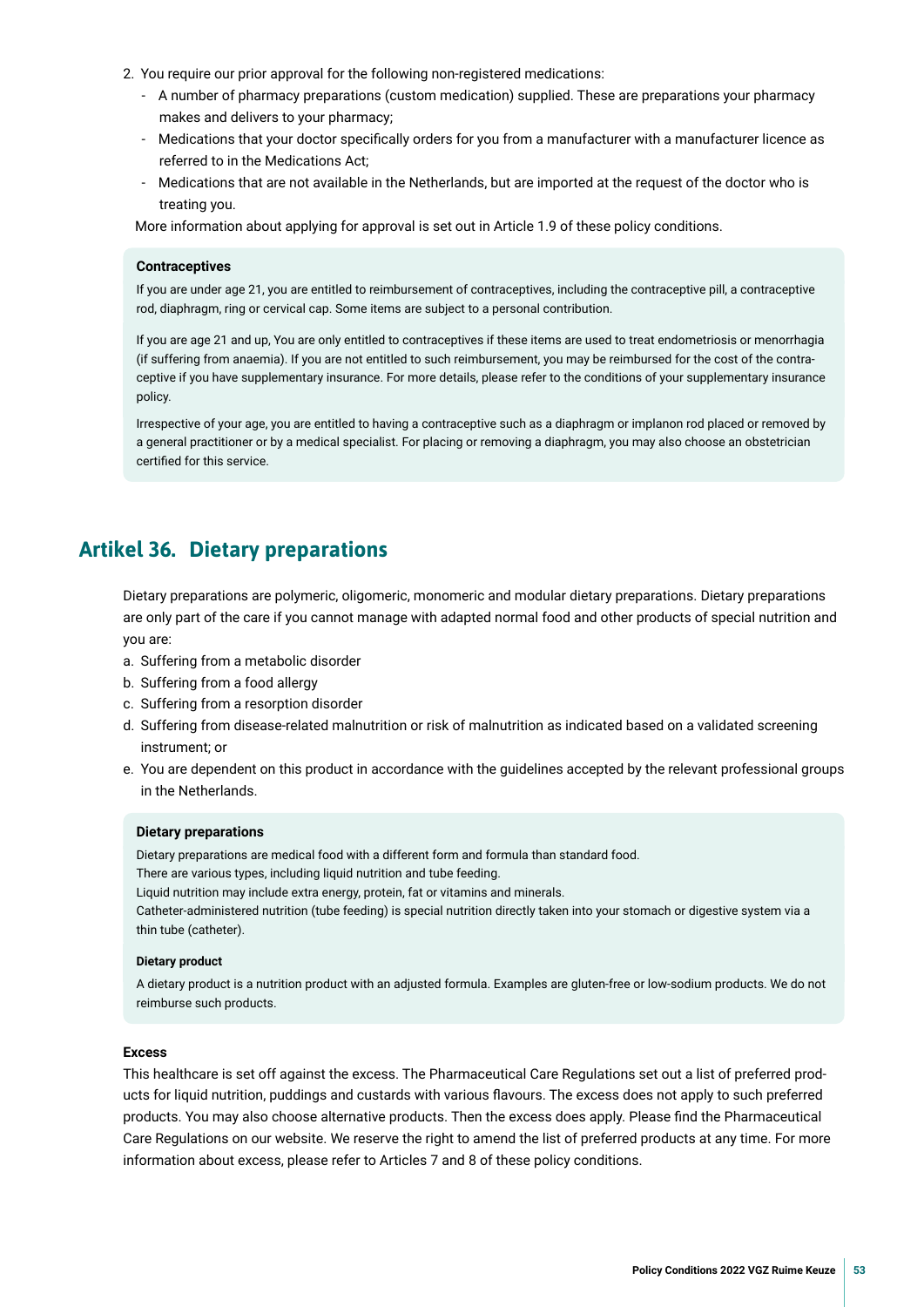- <span id="page-52-0"></span>2. You require our prior approval for the following non-registered medications:
	- A number of pharmacy preparations (custom medication) supplied. These are preparations your pharmacy makes and delivers to your pharmacy;
	- Medications that your doctor specifcally orders for you from a manufacturer with a manufacturer licence as referred to in the Medications Act;
	- Medications that are not available in the Netherlands, but are imported at the request of the doctor who is treating you.

More information about applying for approval is set out in Article 1.9 of these policy conditions.

#### **Contraceptives**

If you are under age 21, you are entitled to reimbursement of contraceptives, including the contraceptive pill, a contraceptive rod, diaphragm, ring or cervical cap. Some items are subject to a personal contribution.

If you are age 21 and up, You are only entitled to contraceptives if these items are used to treat endometriosis or menorrhagia (if suffering from anaemia). If you are not entitled to such reimbursement, you may be reimbursed for the cost of the contraceptive if you have supplementary insurance. For more details, please refer to the conditions of your supplementary insurance policy.

Irrespective of your age, you are entitled to having a contraceptive such as a diaphragm or implanon rod placed or removed by a general practitioner or by a medical specialist. For placing or removing a diaphragm, you may also choose an obstetrician certifed for this service.

## **Artikel 36. Dietary preparations**

Dietary preparations are polymeric, oligomeric, monomeric and modular dietary preparations. Dietary preparations are only part of the care if you cannot manage with adapted normal food and other products of special nutrition and you are:

- a. Suffering from a metabolic disorder
- b. Suffering from a food allergy
- c. Suffering from a resorption disorder
- d. Suffering from disease-related malnutrition or risk of malnutrition as indicated based on a validated screening instrument; or
- e. You are dependent on this product in accordance with the guidelines accepted by the relevant professional groups in the Netherlands.

#### **Dietary preparations**

Dietary preparations are medical food with a different form and formula than standard food.

There are various types, including liquid nutrition and tube feeding.

Liquid nutrition may include extra energy, protein, fat or vitamins and minerals.

Catheter-administered nutrition (tube feeding) is special nutrition directly taken into your stomach or digestive system via a thin tube (catheter).

#### **Dietary product**

A dietary product is a nutrition product with an adjusted formula. Examples are gluten-free or low-sodium products. We do not reimburse such products.

#### **Excess**

This healthcare is set off against the excess. The Pharmaceutical Care Regulations set out a list of preferred products for liquid nutrition, puddings and custards with various favours. The excess does not apply to such preferred products. You may also choose alternative products. Then the excess does apply. Please fnd the Pharmaceutical Care Regulations on our website. We reserve the right to amend the list of preferred products at any time. For more information about excess, please refer to Articles 7 and 8 of these policy conditions.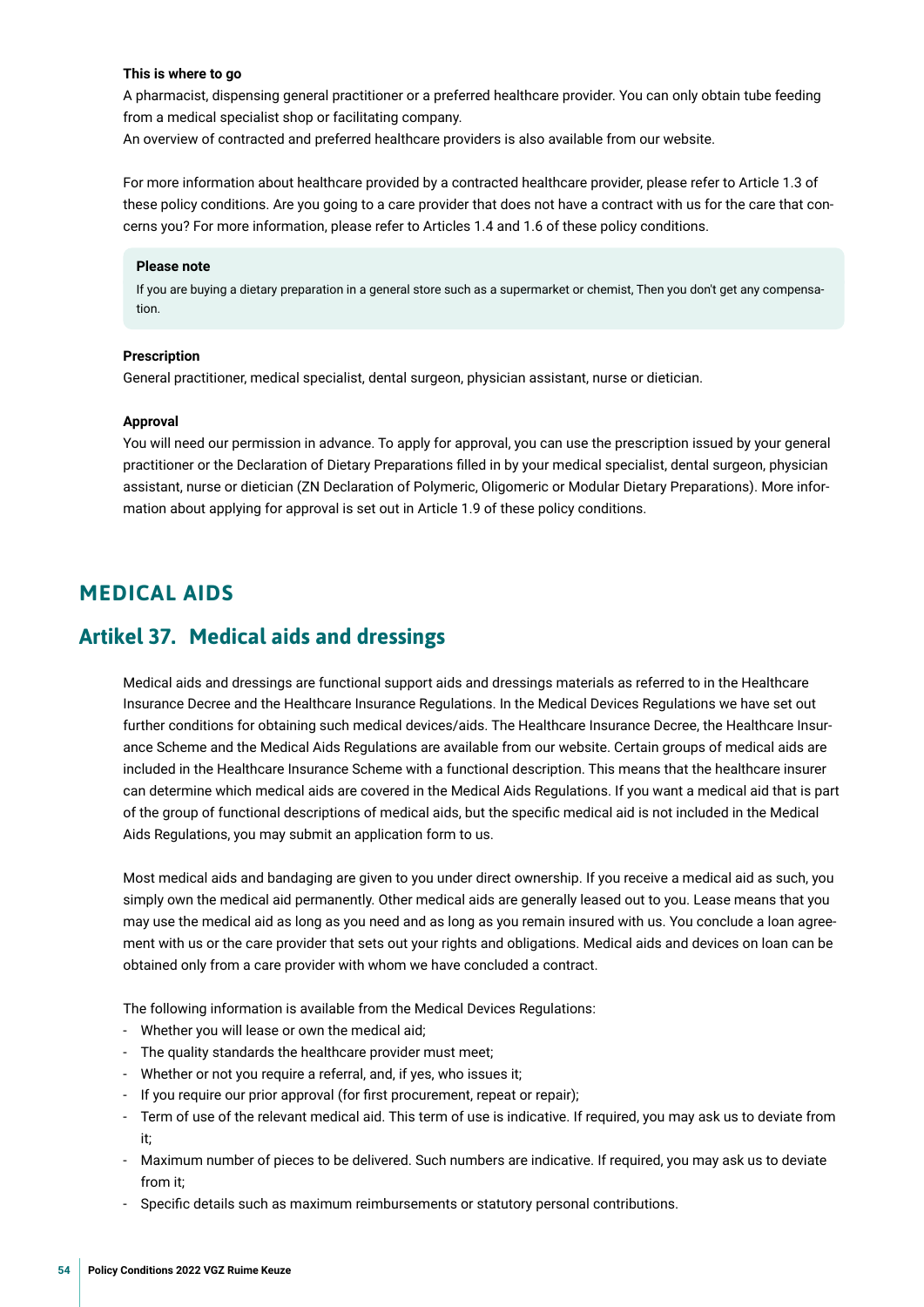#### <span id="page-53-0"></span>**This is where to go**

A pharmacist, dispensing general practitioner or a preferred healthcare provider. You can only obtain tube feeding from a medical specialist shop or facilitating company.

An overview of contracted and preferred healthcare providers is also available from our website.

For more information about healthcare provided by a contracted healthcare provider, please refer to Article 1.3 of these policy conditions. Are you going to a care provider that does not have a contract with us for the care that concerns you? For more information, please refer to Articles 1.4 and 1.6 of these policy conditions.

#### **Please note**

If you are buying a dietary preparation in a general store such as a supermarket or chemist, Then you don't get any compensation.

#### **Prescription**

General practitioner, medical specialist, dental surgeon, physician assistant, nurse or dietician.

#### **Approval**

You will need our permission in advance. To apply for approval, you can use the prescription issued by your general practitioner or the Declaration of Dietary Preparations flled in by your medical specialist, dental surgeon, physician assistant, nurse or dietician (ZN Declaration of Polymeric, Oligomeric or Modular Dietary Preparations). More information about applying for approval is set out in Article 1.9 of these policy conditions.

## **MEDICAL AIDS**

## **Artikel 37. Medical aids and dressings**

Medical aids and dressings are functional support aids and dressings materials as referred to in the Healthcare Insurance Decree and the Healthcare Insurance Regulations. In the Medical Devices Regulations we have set out further conditions for obtaining such medical devices/aids. The Healthcare Insurance Decree, the Healthcare Insurance Scheme and the Medical Aids Regulations are available from our website. Certain groups of medical aids are included in the Healthcare Insurance Scheme with a functional description. This means that the healthcare insurer can determine which medical aids are covered in the Medical Aids Regulations. If you want a medical aid that is part of the group of functional descriptions of medical aids, but the specifc medical aid is not included in the Medical Aids Regulations, you may submit an application form to us.

Most medical aids and bandaging are given to you under direct ownership. If you receive a medical aid as such, you simply own the medical aid permanently. Other medical aids are generally leased out to you. Lease means that you may use the medical aid as long as you need and as long as you remain insured with us. You conclude a loan agreement with us or the care provider that sets out your rights and obligations. Medical aids and devices on loan can be obtained only from a care provider with whom we have concluded a contract.

The following information is available from the Medical Devices Regulations:

- Whether you will lease or own the medical aid;
- The quality standards the healthcare provider must meet;
- Whether or not you require a referral, and, if yes, who issues it;
- If you require our prior approval (for frst procurement, repeat or repair);
- Term of use of the relevant medical aid. This term of use is indicative. If required, you may ask us to deviate from it;
- Maximum number of pieces to be delivered. Such numbers are indicative. If required, you may ask us to deviate from it;
- Specifc details such as maximum reimbursements or statutory personal contributions.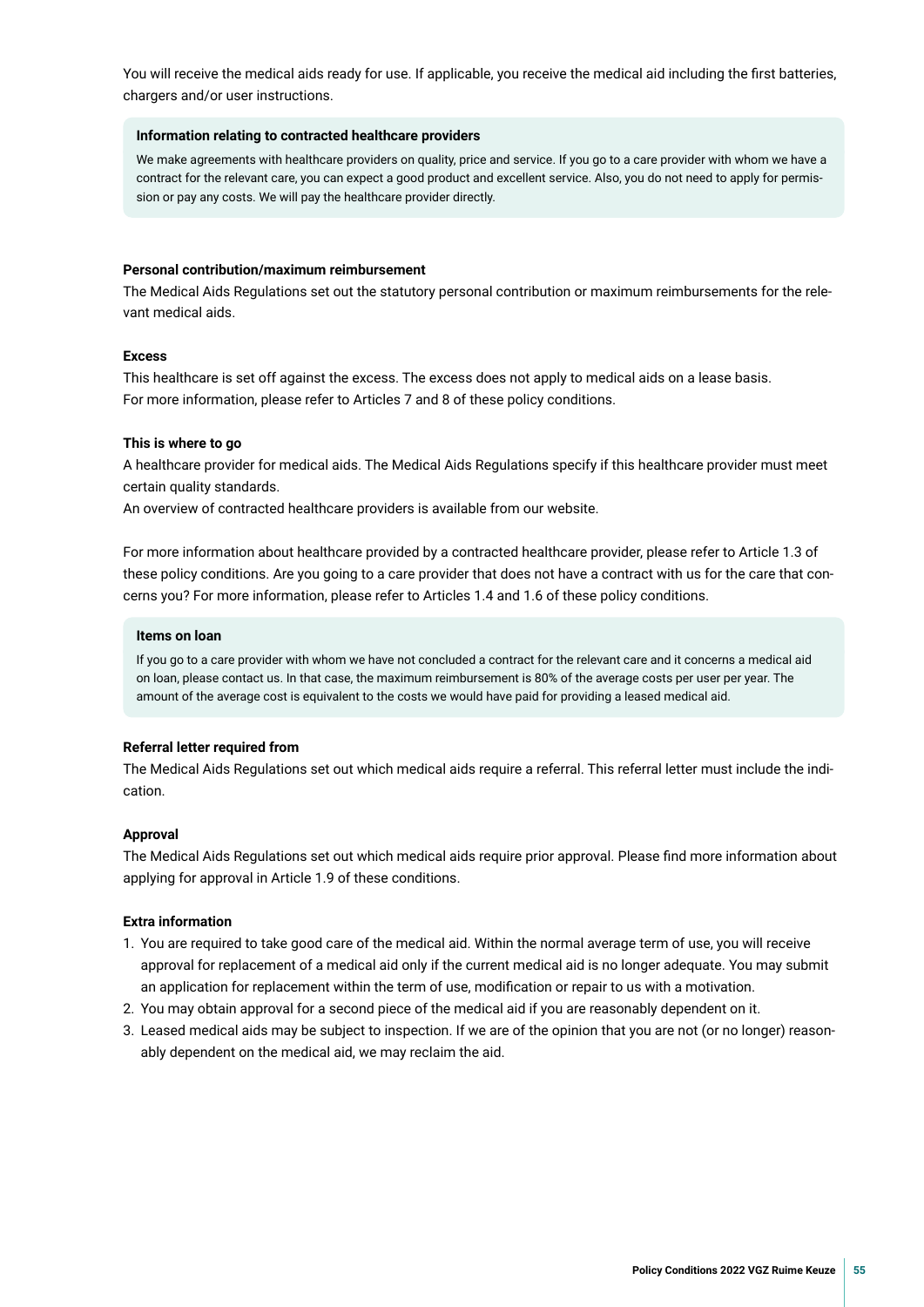You will receive the medical aids ready for use. If applicable, you receive the medical aid including the frst batteries, chargers and/or user instructions.

#### **Information relating to contracted healthcare providers**

We make agreements with healthcare providers on quality, price and service. If you go to a care provider with whom we have a contract for the relevant care, you can expect a good product and excellent service. Also, you do not need to apply for permission or pay any costs. We will pay the healthcare provider directly.

#### **Personal contribution/maximum reimbursement**

The Medical Aids Regulations set out the statutory personal contribution or maximum reimbursements for the relevant medical aids.

#### **Excess**

This healthcare is set off against the excess. The excess does not apply to medical aids on a lease basis. For more information, please refer to Articles 7 and 8 of these policy conditions.

#### **This is where to go**

A healthcare provider for medical aids. The Medical Aids Regulations specify if this healthcare provider must meet certain quality standards.

An overview of contracted healthcare providers is available from our website.

For more information about healthcare provided by a contracted healthcare provider, please refer to Article 1.3 of these policy conditions. Are you going to a care provider that does not have a contract with us for the care that concerns you? For more information, please refer to Articles 1.4 and 1.6 of these policy conditions.

#### **Items on loan**

If you go to a care provider with whom we have not concluded a contract for the relevant care and it concerns a medical aid on loan, please contact us. In that case, the maximum reimbursement is 80% of the average costs per user per year. The amount of the average cost is equivalent to the costs we would have paid for providing a leased medical aid.

#### **Referral letter required from**

The Medical Aids Regulations set out which medical aids require a referral. This referral letter must include the indication.

#### **Approval**

The Medical Aids Regulations set out which medical aids require prior approval. Please fnd more information about applying for approval in Article 1.9 of these conditions.

#### **Extra information**

- 1. You are required to take good care of the medical aid. Within the normal average term of use, you will receive approval for replacement of a medical aid only if the current medical aid is no longer adequate. You may submit an application for replacement within the term of use, modifcation or repair to us with a motivation.
- 2. You may obtain approval for a second piece of the medical aid if you are reasonably dependent on it.
- 3. Leased medical aids may be subject to inspection. If we are of the opinion that you are not (or no longer) reasonably dependent on the medical aid, we may reclaim the aid.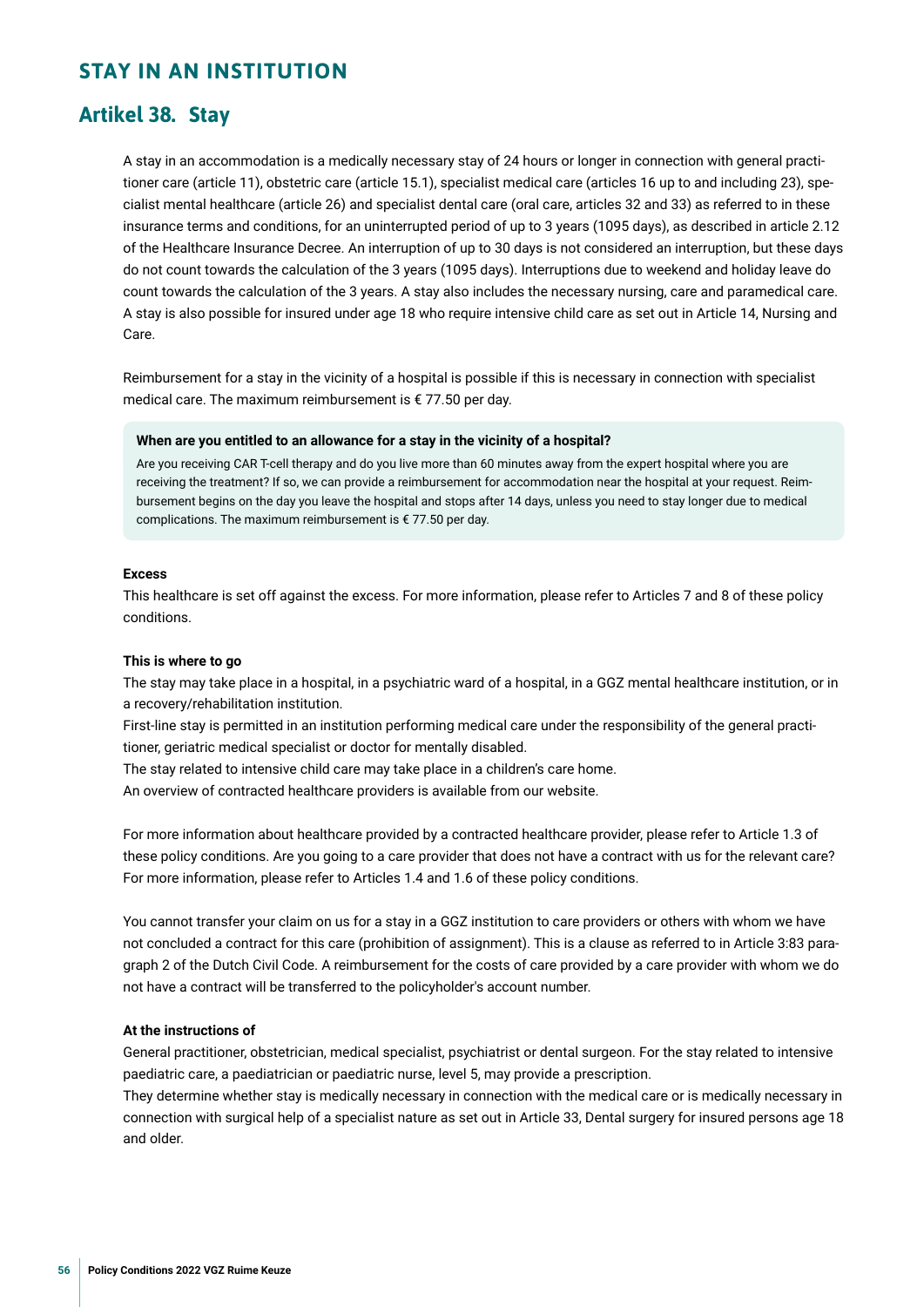## <span id="page-55-0"></span>**STAY IN AN INSTITUTION**

## **Artikel 38. Stay**

A stay in an accommodation is a medically necessary stay of 24 hours or longer in connection with general practitioner care (article 11), obstetric care (article 15.1), specialist medical care (articles 16 up to and including 23), specialist mental healthcare (article 26) and specialist dental care (oral care, articles 32 and 33) as referred to in these insurance terms and conditions, for an uninterrupted period of up to 3 years (1095 days), as described in article 2.12 of the Healthcare Insurance Decree. An interruption of up to 30 days is not considered an interruption, but these days do not count towards the calculation of the 3 years (1095 days). Interruptions due to weekend and holiday leave do count towards the calculation of the 3 years. A stay also includes the necessary nursing, care and paramedical care. A stay is also possible for insured under age 18 who require intensive child care as set out in Article 14, Nursing and Care.

Reimbursement for a stay in the vicinity of a hospital is possible if this is necessary in connection with specialist medical care. The maximum reimbursement is € 77.50 per day.

#### **When are you entitled to an allowance for a stay in the vicinity of a hospital?**

Are you receiving CAR T-cell therapy and do you live more than 60 minutes away from the expert hospital where you are receiving the treatment? If so, we can provide a reimbursement for accommodation near the hospital at your request. Reimbursement begins on the day you leave the hospital and stops after 14 days, unless you need to stay longer due to medical complications. The maximum reimbursement is € 77.50 per day.

#### **Excess**

This healthcare is set off against the excess. For more information, please refer to Articles 7 and 8 of these policy conditions.

#### **This is where to go**

The stay may take place in a hospital, in a psychiatric ward of a hospital, in a GGZ mental healthcare institution, or in a recovery/rehabilitation institution.

First-line stay is permitted in an institution performing medical care under the responsibility of the general practitioner, geriatric medical specialist or doctor for mentally disabled.

The stay related to intensive child care may take place in a children's care home.

An overview of contracted healthcare providers is available from our website.

For more information about healthcare provided by a contracted healthcare provider, please refer to Article 1.3 of these policy conditions. Are you going to a care provider that does not have a contract with us for the relevant care? For more information, please refer to Articles 1.4 and 1.6 of these policy conditions.

You cannot transfer your claim on us for a stay in a GGZ institution to care providers or others with whom we have not concluded a contract for this care (prohibition of assignment). This is a clause as referred to in Article 3:83 paragraph 2 of the Dutch Civil Code. A reimbursement for the costs of care provided by a care provider with whom we do not have a contract will be transferred to the policyholder's account number.

#### **At the instructions of**

General practitioner, obstetrician, medical specialist, psychiatrist or dental surgeon. For the stay related to intensive paediatric care, a paediatrician or paediatric nurse, level 5, may provide a prescription.

They determine whether stay is medically necessary in connection with the medical care or is medically necessary in connection with surgical help of a specialist nature as set out in Article 33, Dental surgery for insured persons age 18 and older.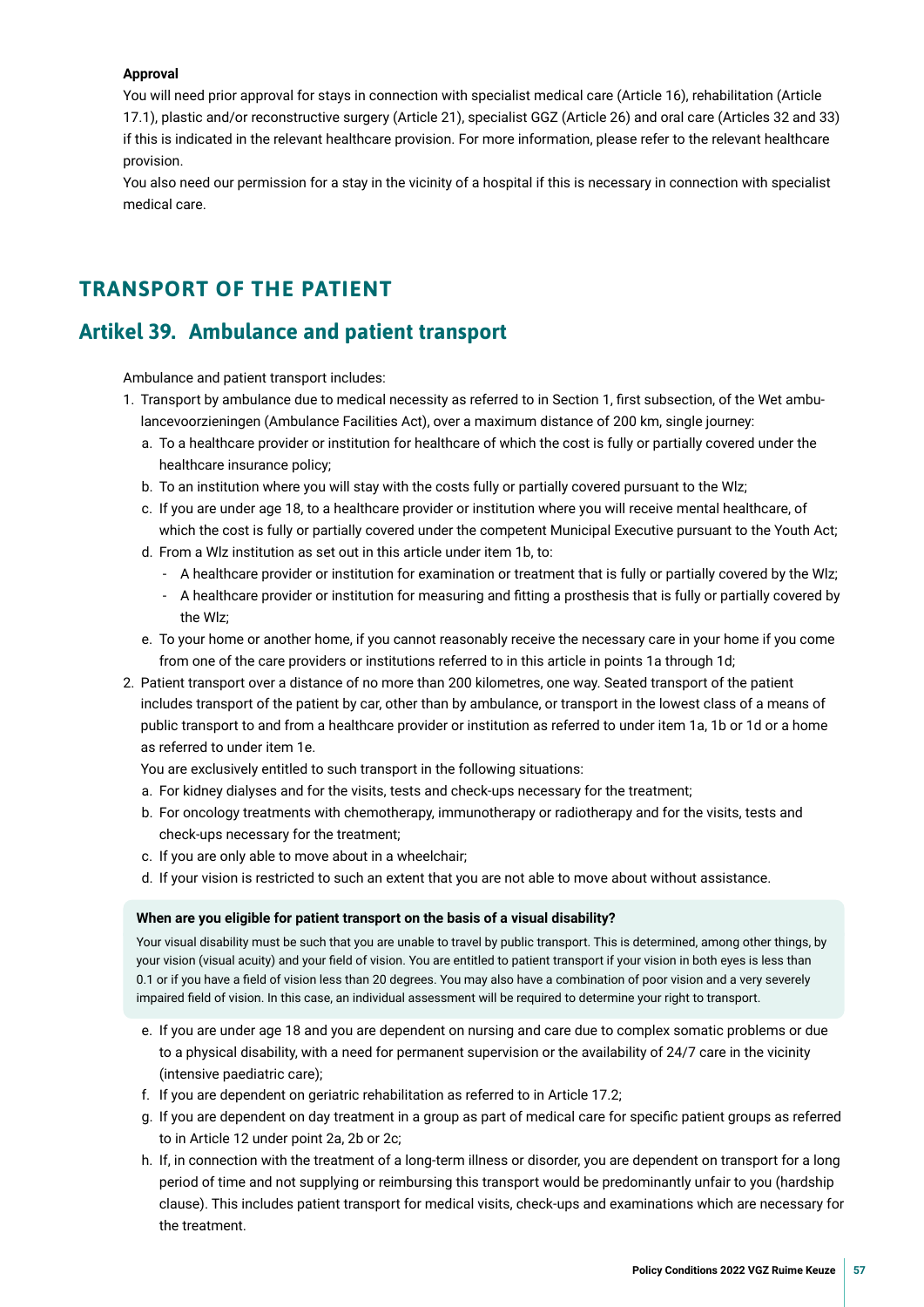#### <span id="page-56-0"></span>**Approval**

You will need prior approval for stays in connection with specialist medical care (Article 16), rehabilitation (Article 17.1), plastic and/or reconstructive surgery (Article 21), specialist GGZ (Article 26) and oral care (Articles 32 and 33) if this is indicated in the relevant healthcare provision. For more information, please refer to the relevant healthcare provision.

You also need our permission for a stay in the vicinity of a hospital if this is necessary in connection with specialist medical care.

## **TRANSPORT OF THE PATIENT**

## **Artikel 39. Ambulance and patient transport**

Ambulance and patient transport includes:

- 1. Transport by ambulance due to medical necessity as referred to in Section 1, frst subsection, of the Wet ambulancevoorzieningen (Ambulance Facilities Act), over a maximum distance of 200 km, single journey:
	- a. To a healthcare provider or institution for healthcare of which the cost is fully or partially covered under the healthcare insurance policy;
	- b. To an institution where you will stay with the costs fully or partially covered pursuant to the Wlz;
	- c. If you are under age 18, to a healthcare provider or institution where you will receive mental healthcare, of which the cost is fully or partially covered under the competent Municipal Executive pursuant to the Youth Act;
	- d. From a Wlz institution as set out in this article under item 1b, to:
		- A healthcare provider or institution for examination or treatment that is fully or partially covered by the Wlz;
		- A healthcare provider or institution for measuring and ftting a prosthesis that is fully or partially covered by the Wlz;
	- e. To your home or another home, if you cannot reasonably receive the necessary care in your home if you come from one of the care providers or institutions referred to in this article in points 1a through 1d;
- 2. Patient transport over a distance of no more than 200 kilometres, one way. Seated transport of the patient includes transport of the patient by car, other than by ambulance, or transport in the lowest class of a means of public transport to and from a healthcare provider or institution as referred to under item 1a, 1b or 1d or a home as referred to under item 1e.

You are exclusively entitled to such transport in the following situations:

- a. For kidney dialyses and for the visits, tests and check-ups necessary for the treatment;
- b. For oncology treatments with chemotherapy, immunotherapy or radiotherapy and for the visits, tests and check-ups necessary for the treatment;
- c. If you are only able to move about in a wheelchair;
- d. If your vision is restricted to such an extent that you are not able to move about without assistance.

#### **When are you eligible for patient transport on the basis of a visual disability?**

Your visual disability must be such that you are unable to travel by public transport. This is determined, among other things, by your vision (visual acuity) and your feld of vision. You are entitled to patient transport if your vision in both eyes is less than 0.1 or if you have a feld of vision less than 20 degrees. You may also have a combination of poor vision and a very severely impaired feld of vision. In this case, an individual assessment will be required to determine your right to transport.

- e. If you are under age 18 and you are dependent on nursing and care due to complex somatic problems or due to a physical disability, with a need for permanent supervision or the availability of 24/7 care in the vicinity (intensive paediatric care);
- f. If you are dependent on geriatric rehabilitation as referred to in Article 17.2;
- g. If you are dependent on day treatment in a group as part of medical care for specifc patient groups as referred to in Article 12 under point 2a, 2b or 2c;
- h. If, in connection with the treatment of a long-term illness or disorder, you are dependent on transport for a long period of time and not supplying or reimbursing this transport would be predominantly unfair to you (hardship clause). This includes patient transport for medical visits, check-ups and examinations which are necessary for the treatment.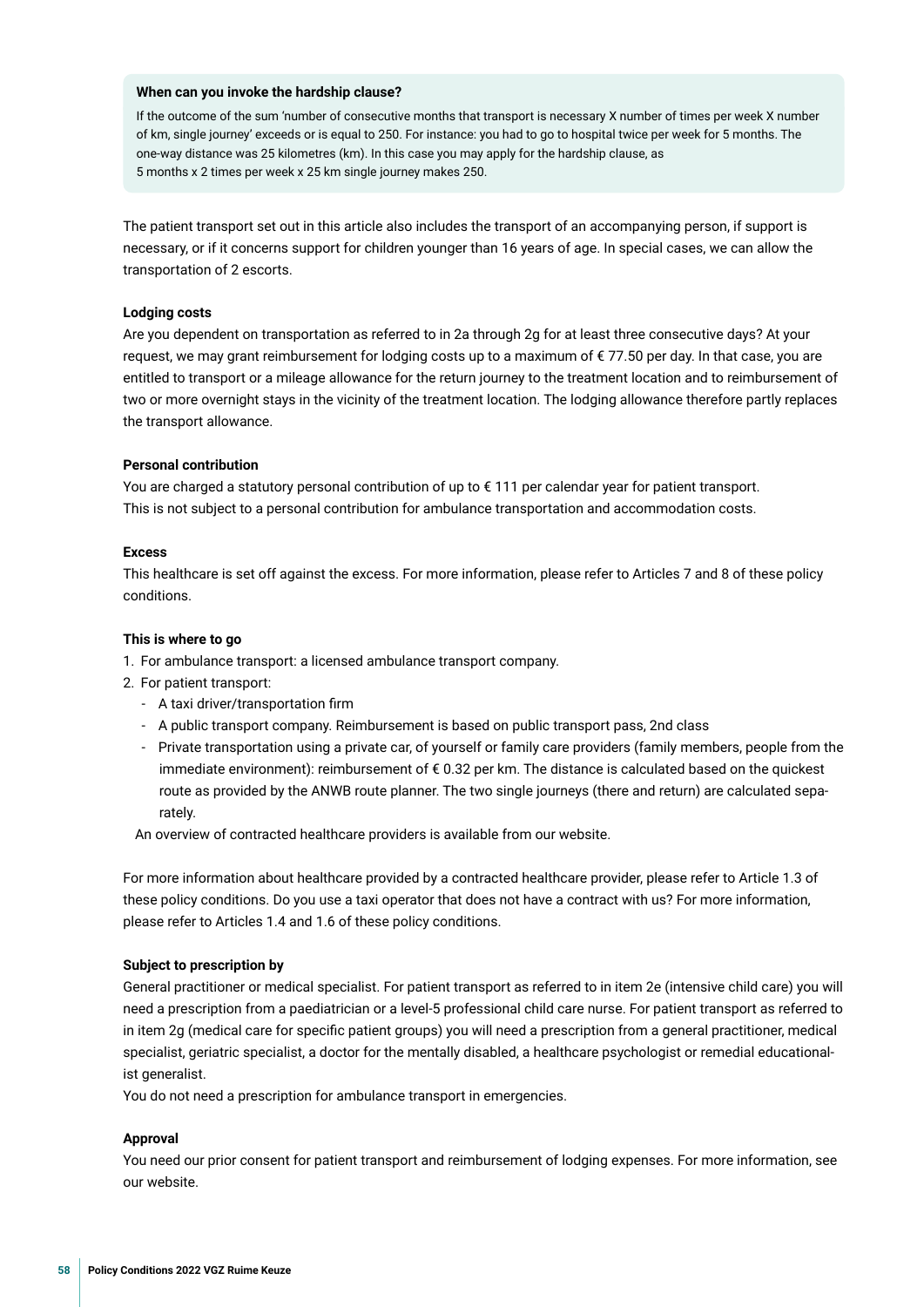#### **When can you invoke the hardship clause?**

If the outcome of the sum 'number of consecutive months that transport is necessary X number of times per week X number of km, single journey' exceeds or is equal to 250. For instance: you had to go to hospital twice per week for 5 months. The one-way distance was 25 kilometres (km). In this case you may apply for the hardship clause, as 5 months x 2 times per week x 25 km single journey makes 250.

The patient transport set out in this article also includes the transport of an accompanying person, if support is necessary, or if it concerns support for children younger than 16 years of age. In special cases, we can allow the transportation of 2 escorts.

#### **Lodging costs**

Are you dependent on transportation as referred to in 2a through 2g for at least three consecutive days? At your request, we may grant reimbursement for lodging costs up to a maximum of €77.50 per day. In that case, you are entitled to transport or a mileage allowance for the return journey to the treatment location and to reimbursement of two or more overnight stays in the vicinity of the treatment location. The lodging allowance therefore partly replaces the transport allowance.

#### **Personal contribution**

You are charged a statutory personal contribution of up to € 111 per calendar year for patient transport. This is not subject to a personal contribution for ambulance transportation and accommodation costs.

#### **Excess**

This healthcare is set off against the excess. For more information, please refer to Articles 7 and 8 of these policy conditions.

#### **This is where to go**

- 1. For ambulance transport: a licensed ambulance transport company.
- 2. For patient transport:
	- A taxi driver/transportation frm
	- A public transport company. Reimbursement is based on public transport pass, 2nd class
	- Private transportation using a private car, of yourself or family care providers (family members, people from the immediate environment): reimbursement of € 0.32 per km. The distance is calculated based on the quickest route as provided by the ANWB route planner. The two single journeys (there and return) are calculated separately.

An overview of contracted healthcare providers is available from our website.

For more information about healthcare provided by a contracted healthcare provider, please refer to Article 1.3 of these policy conditions. Do you use a taxi operator that does not have a contract with us? For more information, please refer to Articles 1.4 and 1.6 of these policy conditions.

#### **Subject to prescription by**

General practitioner or medical specialist. For patient transport as referred to in item 2e (intensive child care) you will need a prescription from a paediatrician or a level-5 professional child care nurse. For patient transport as referred to in item 2g (medical care for specifc patient groups) you will need a prescription from a general practitioner, medical specialist, geriatric specialist, a doctor for the mentally disabled, a healthcare psychologist or remedial educationalist generalist.

You do not need a prescription for ambulance transport in emergencies.

#### **Approval**

You need our prior consent for patient transport and reimbursement of lodging expenses. For more information, see our website.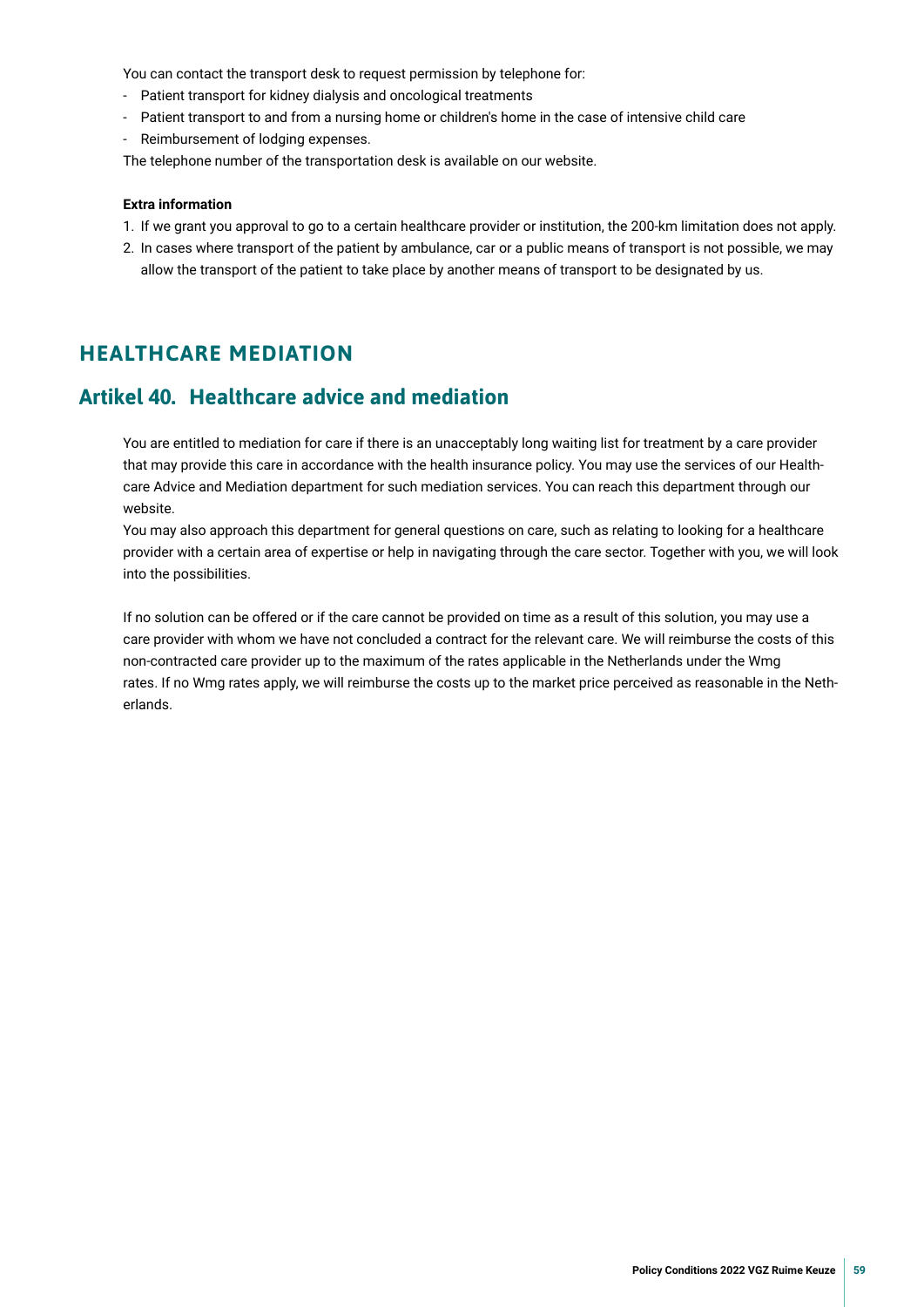<span id="page-58-0"></span>You can contact the transport desk to request permission by telephone for:

- Patient transport for kidney dialysis and oncological treatments
- Patient transport to and from a nursing home or children's home in the case of intensive child care
- Reimbursement of lodging expenses.

The telephone number of the transportation desk is available on our website.

#### **Extra information**

- 1. If we grant you approval to go to a certain healthcare provider or institution, the 200-km limitation does not apply.
- 2. In cases where transport of the patient by ambulance, car or a public means of transport is not possible, we may allow the transport of the patient to take place by another means of transport to be designated by us.

## **HEALTHCARE MEDIATION**

## **Artikel 40. Healthcare advice and mediation**

You are entitled to mediation for care if there is an unacceptably long waiting list for treatment by a care provider that may provide this care in accordance with the health insurance policy. You may use the services of our Healthcare Advice and Mediation department for such mediation services. You can reach this department through our website.

You may also approach this department for general questions on care, such as relating to looking for a healthcare provider with a certain area of expertise or help in navigating through the care sector. Together with you, we will look into the possibilities.

If no solution can be offered or if the care cannot be provided on time as a result of this solution, you may use a care provider with whom we have not concluded a contract for the relevant care. We will reimburse the costs of this non-contracted care provider up to the maximum of the rates applicable in the Netherlands under the Wmg rates. If no Wmg rates apply, we will reimburse the costs up to the market price perceived as reasonable in the Netherlands.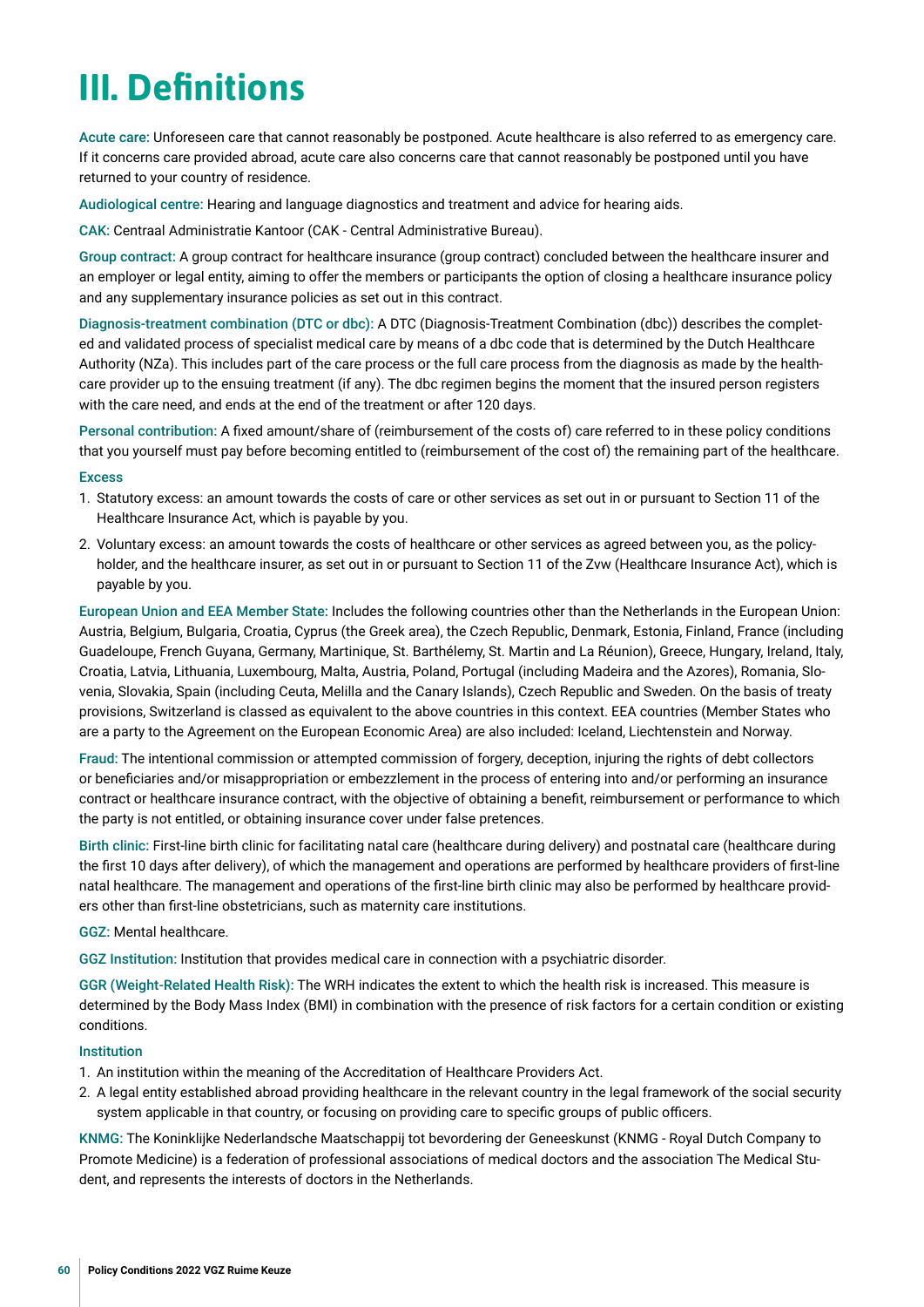## <span id="page-59-0"></span>**III. Defnitions**

Acute care: Unforeseen care that cannot reasonably be postponed. Acute healthcare is also referred to as emergency care. If it concerns care provided abroad, acute care also concerns care that cannot reasonably be postponed until you have returned to your country of residence.

Audiological centre: Hearing and language diagnostics and treatment and advice for hearing aids.

CAK: Centraal Administratie Kantoor (CAK - Central Administrative Bureau).

Group contract: A group contract for healthcare insurance (group contract) concluded between the healthcare insurer and an employer or legal entity, aiming to offer the members or participants the option of closing a healthcare insurance policy and any supplementary insurance policies as set out in this contract.

Diagnosis-treatment combination (DTC or dbc): A DTC (Diagnosis-Treatment Combination (dbc)) describes the completed and validated process of specialist medical care by means of a dbc code that is determined by the Dutch Healthcare Authority (NZa). This includes part of the care process or the full care process from the diagnosis as made by the healthcare provider up to the ensuing treatment (if any). The dbc regimen begins the moment that the insured person registers with the care need, and ends at the end of the treatment or after 120 days.

Personal contribution: A fxed amount/share of (reimbursement of the costs of) care referred to in these policy conditions that you yourself must pay before becoming entitled to (reimbursement of the cost of) the remaining part of the healthcare.

#### **Excess**

- 1. Statutory excess: an amount towards the costs of care or other services as set out in or pursuant to Section 11 of the Healthcare Insurance Act, which is payable by you.
- 2. Voluntary excess: an amount towards the costs of healthcare or other services as agreed between you, as the policyholder, and the healthcare insurer, as set out in or pursuant to Section 11 of the Zvw (Healthcare Insurance Act), which is payable by you.

European Union and EEA Member State: Includes the following countries other than the Netherlands in the European Union: Austria, Belgium, Bulgaria, Croatia, Cyprus (the Greek area), the Czech Republic, Denmark, Estonia, Finland, France (including Guadeloupe, French Guyana, Germany, Martinique, St. Barthélemy, St. Martin and La Réunion), Greece, Hungary, Ireland, Italy, Croatia, Latvia, Lithuania, Luxembourg, Malta, Austria, Poland, Portugal (including Madeira and the Azores), Romania, Slovenia, Slovakia, Spain (including Ceuta, Melilla and the Canary Islands), Czech Republic and Sweden. On the basis of treaty provisions, Switzerland is classed as equivalent to the above countries in this context. EEA countries (Member States who are a party to the Agreement on the European Economic Area) are also included: Iceland, Liechtenstein and Norway.

Fraud: The intentional commission or attempted commission of forgery, deception, injuring the rights of debt collectors or benefciaries and/or misappropriation or embezzlement in the process of entering into and/or performing an insurance contract or healthcare insurance contract, with the objective of obtaining a beneft, reimbursement or performance to which the party is not entitled, or obtaining insurance cover under false pretences.

Birth clinic: First-line birth clinic for facilitating natal care (healthcare during delivery) and postnatal care (healthcare during the frst 10 days after delivery), of which the management and operations are performed by healthcare providers of frst-line natal healthcare. The management and operations of the frst-line birth clinic may also be performed by healthcare providers other than frst-line obstetricians, such as maternity care institutions.

GGZ: Mental healthcare.

GGZ Institution: Institution that provides medical care in connection with a psychiatric disorder.

GGR (Weight-Related Health Risk): The WRH indicates the extent to which the health risk is increased. This measure is determined by the Body Mass Index (BMI) in combination with the presence of risk factors for a certain condition or existing conditions.

#### Institution

- 1. An institution within the meaning of the Accreditation of Healthcare Providers Act.
- 2. A legal entity established abroad providing healthcare in the relevant country in the legal framework of the social security system applicable in that country, or focusing on providing care to specific groups of public officers.

KNMG: The Koninklijke Nederlandsche Maatschappij tot bevordering der Geneeskunst (KNMG - Royal Dutch Company to Promote Medicine) is a federation of professional associations of medical doctors and the association The Medical Student, and represents the interests of doctors in the Netherlands.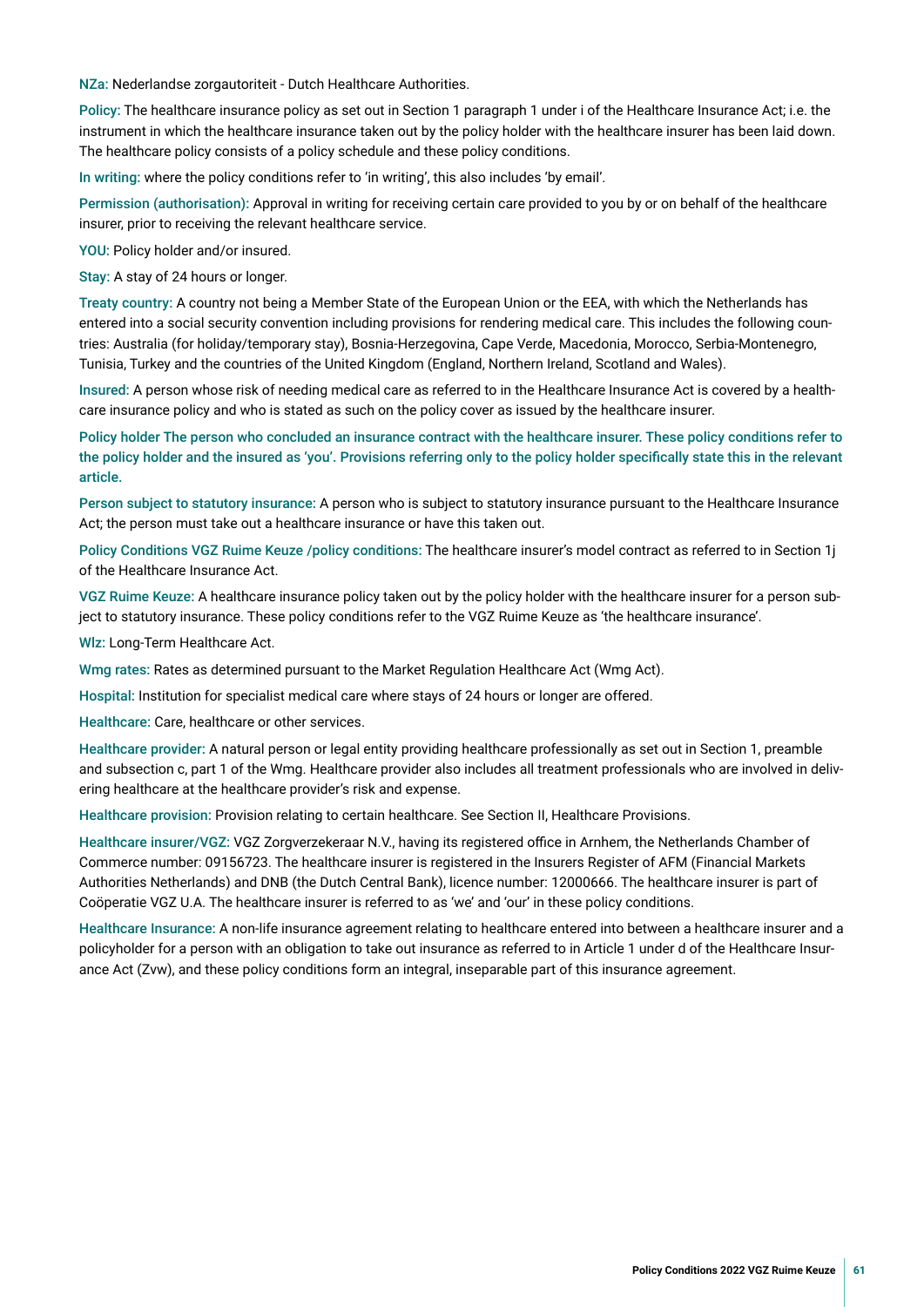NZa: Nederlandse zorgautoriteit - Dutch Healthcare Authorities.

Policy: The healthcare insurance policy as set out in Section 1 paragraph 1 under i of the Healthcare Insurance Act; i.e. the instrument in which the healthcare insurance taken out by the policy holder with the healthcare insurer has been laid down. The healthcare policy consists of a policy schedule and these policy conditions.

In writing: where the policy conditions refer to 'in writing', this also includes 'by email'.

Permission (authorisation): Approval in writing for receiving certain care provided to you by or on behalf of the healthcare insurer, prior to receiving the relevant healthcare service.

YOU: Policy holder and/or insured.

Stay: A stay of 24 hours or longer.

Treaty country: A country not being a Member State of the European Union or the EEA, with which the Netherlands has entered into a social security convention including provisions for rendering medical care. This includes the following countries: Australia (for holiday/temporary stay), Bosnia-Herzegovina, Cape Verde, Macedonia, Morocco, Serbia-Montenegro, Tunisia, Turkey and the countries of the United Kingdom (England, Northern Ireland, Scotland and Wales).

Insured: A person whose risk of needing medical care as referred to in the Healthcare Insurance Act is covered by a healthcare insurance policy and who is stated as such on the policy cover as issued by the healthcare insurer.

Policy holder The person who concluded an insurance contract with the healthcare insurer. These policy conditions refer to the policy holder and the insured as 'you'. Provisions referring only to the policy holder specifcally state this in the relevant article.

Person subject to statutory insurance: A person who is subject to statutory insurance pursuant to the Healthcare Insurance Act; the person must take out a healthcare insurance or have this taken out.

Policy Conditions VGZ Ruime Keuze /policy conditions: The healthcare insurer's model contract as referred to in Section 1j of the Healthcare Insurance Act.

VGZ Ruime Keuze: A healthcare insurance policy taken out by the policy holder with the healthcare insurer for a person subject to statutory insurance. These policy conditions refer to the VGZ Ruime Keuze as 'the healthcare insurance'.

Wlz: Long-Term Healthcare Act.

Wmg rates: Rates as determined pursuant to the Market Regulation Healthcare Act (Wmg Act).

Hospital: Institution for specialist medical care where stays of 24 hours or longer are offered.

Healthcare: Care, healthcare or other services.

Healthcare provider: A natural person or legal entity providing healthcare professionally as set out in Section 1, preamble and subsection c, part 1 of the Wmg. Healthcare provider also includes all treatment professionals who are involved in delivering healthcare at the healthcare provider's risk and expense.

Healthcare provision: Provision relating to certain healthcare. See Section II, Healthcare Provisions.

Healthcare insurer/VGZ: VGZ Zorgverzekeraar N.V., having its registered office in Arnhem, the Netherlands Chamber of Commerce number: 09156723. The healthcare insurer is registered in the Insurers Register of AFM (Financial Markets Authorities Netherlands) and DNB (the Dutch Central Bank), licence number: 12000666. The healthcare insurer is part of Coöperatie VGZ U.A. The healthcare insurer is referred to as 'we' and 'our' in these policy conditions.

Healthcare Insurance: A non-life insurance agreement relating to healthcare entered into between a healthcare insurer and a policyholder for a person with an obligation to take out insurance as referred to in Article 1 under d of the Healthcare Insurance Act (Zvw), and these policy conditions form an integral, inseparable part of this insurance agreement.